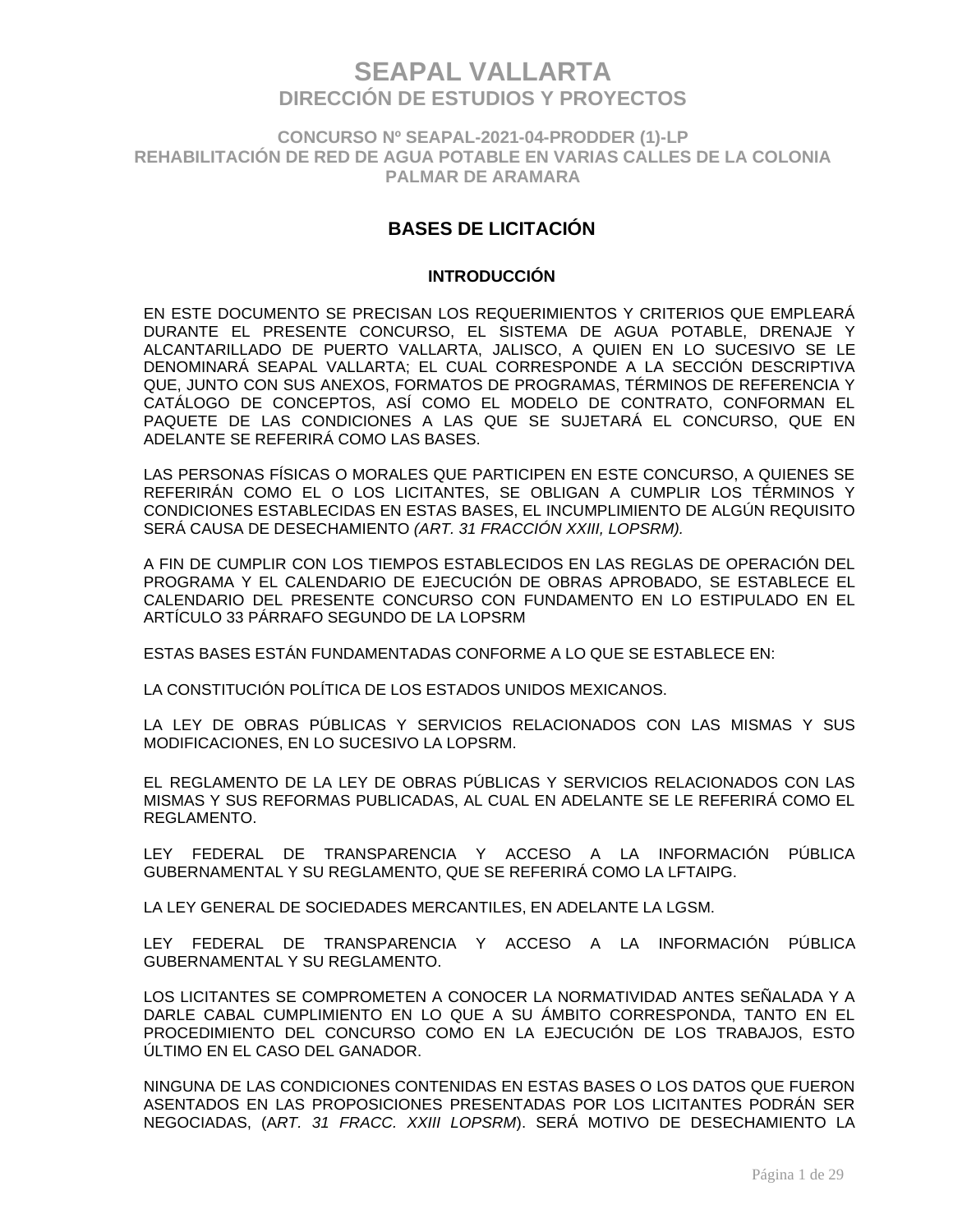**CONCURSO Nº SEAPAL-2021-04-PRODDER (1)-LP REHABILITACIÓN DE RED DE AGUA POTABLE EN VARIAS CALLES DE LA COLONIA PALMAR DE ARAMARA**

### **BASES DE LICITACIÓN**

#### **INTRODUCCIÓN**

EN ESTE DOCUMENTO SE PRECISAN LOS REQUERIMIENTOS Y CRITERIOS QUE EMPLEARÁ DURANTE EL PRESENTE CONCURSO, EL SISTEMA DE AGUA POTABLE, DRENAJE Y ALCANTARILLADO DE PUERTO VALLARTA, JALISCO, A QUIEN EN LO SUCESIVO SE LE DENOMINARÁ SEAPAL VALLARTA; EL CUAL CORRESPONDE A LA SECCIÓN DESCRIPTIVA QUE, JUNTO CON SUS ANEXOS, FORMATOS DE PROGRAMAS, TÉRMINOS DE REFERENCIA Y CATÁLOGO DE CONCEPTOS, ASÍ COMO EL MODELO DE CONTRATO, CONFORMAN EL PAQUETE DE LAS CONDICIONES A LAS QUE SE SUJETARÁ EL CONCURSO, QUE EN ADELANTE SE REFERIRÁ COMO LAS BASES.

LAS PERSONAS FÍSICAS O MORALES QUE PARTICIPEN EN ESTE CONCURSO, A QUIENES SE REFERIRÁN COMO EL O LOS LICITANTES, SE OBLIGAN A CUMPLIR LOS TÉRMINOS Y CONDICIONES ESTABLECIDAS EN ESTAS BASES, EL INCUMPLIMIENTO DE ALGÚN REQUISITO SERÁ CAUSA DE DESECHAMIENTO *(ART. 31 FRACCIÓN XXIII, LOPSRM).*

A FIN DE CUMPLIR CON LOS TIEMPOS ESTABLECIDOS EN LAS REGLAS DE OPERACIÓN DEL PROGRAMA Y EL CALENDARIO DE EJECUCIÓN DE OBRAS APROBADO, SE ESTABLECE EL CALENDARIO DEL PRESENTE CONCURSO CON FUNDAMENTO EN LO ESTIPULADO EN EL ARTÍCULO 33 PÁRRAFO SEGUNDO DE LA LOPSRM

ESTAS BASES ESTÁN FUNDAMENTADAS CONFORME A LO QUE SE ESTABLECE EN:

LA CONSTITUCIÓN POLÍTICA DE LOS ESTADOS UNIDOS MEXICANOS.

LA LEY DE OBRAS PÚBLICAS Y SERVICIOS RELACIONADOS CON LAS MISMAS Y SUS MODIFICACIONES, EN LO SUCESIVO LA LOPSRM.

EL REGLAMENTO DE LA LEY DE OBRAS PÚBLICAS Y SERVICIOS RELACIONADOS CON LAS MISMAS Y SUS REFORMAS PUBLICADAS, AL CUAL EN ADELANTE SE LE REFERIRÁ COMO EL REGLAMENTO.

LEY FEDERAL DE TRANSPARENCIA Y ACCESO A LA INFORMACIÓN PÚBLICA GUBERNAMENTAL Y SU REGLAMENTO, QUE SE REFERIRÁ COMO LA LFTAIPG.

LA LEY GENERAL DE SOCIEDADES MERCANTILES, EN ADELANTE LA LGSM.

LEY FEDERAL DE TRANSPARENCIA Y ACCESO A LA INFORMACIÓN PÚBLICA GUBERNAMENTAL Y SU REGLAMENTO.

LOS LICITANTES SE COMPROMETEN A CONOCER LA NORMATIVIDAD ANTES SEÑALADA Y A DARLE CABAL CUMPLIMIENTO EN LO QUE A SU ÁMBITO CORRESPONDA, TANTO EN EL PROCEDIMIENTO DEL CONCURSO COMO EN LA EJECUCIÓN DE LOS TRABAJOS, ESTO ÚLTIMO EN EL CASO DEL GANADOR.

NINGUNA DE LAS CONDICIONES CONTENIDAS EN ESTAS BASES O LOS DATOS QUE FUERON ASENTADOS EN LAS PROPOSICIONES PRESENTADAS POR LOS LICITANTES PODRÁN SER NEGOCIADAS, (A*RT. 31 FRACC. XXIII LOPSRM*). SERÁ MOTIVO DE DESECHAMIENTO LA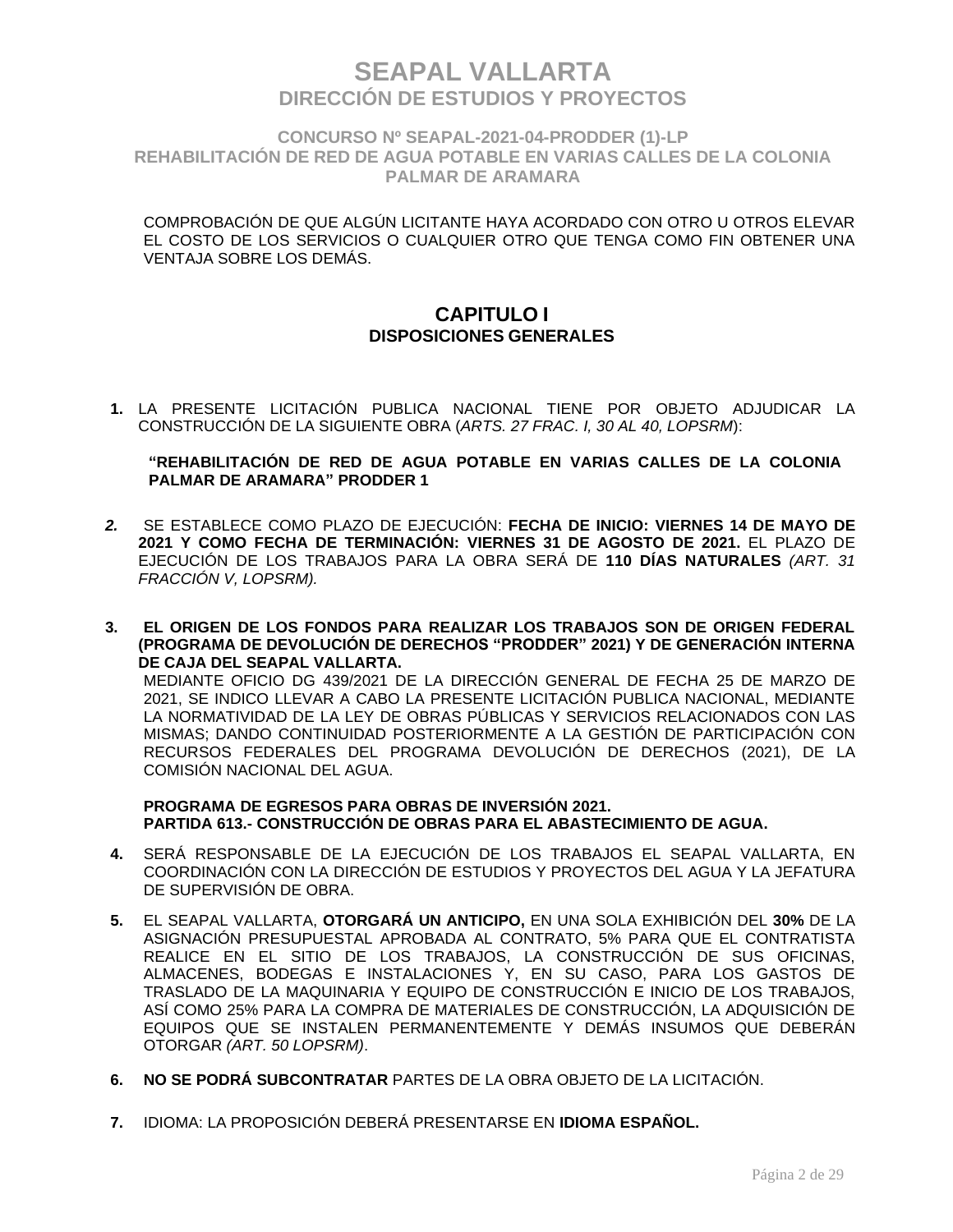**CONCURSO Nº SEAPAL-2021-04-PRODDER (1)-LP REHABILITACIÓN DE RED DE AGUA POTABLE EN VARIAS CALLES DE LA COLONIA PALMAR DE ARAMARA**

COMPROBACIÓN DE QUE ALGÚN LICITANTE HAYA ACORDADO CON OTRO U OTROS ELEVAR EL COSTO DE LOS SERVICIOS O CUALQUIER OTRO QUE TENGA COMO FIN OBTENER UNA VENTAJA SOBRE LOS DEMÁS.

### **CAPITULO I DISPOSICIONES GENERALES**

**1.** LA PRESENTE LICITACIÓN PUBLICA NACIONAL TIENE POR OBJETO ADJUDICAR LA CONSTRUCCIÓN DE LA SIGUIENTE OBRA (*ARTS. 27 FRAC. I, 30 AL 40, LOPSRM*):

#### **"REHABILITACIÓN DE RED DE AGUA POTABLE EN VARIAS CALLES DE LA COLONIA PALMAR DE ARAMARA" PRODDER 1**

- *2.* SE ESTABLECE COMO PLAZO DE EJECUCIÓN: **FECHA DE INICIO: VIERNES 14 DE MAYO DE 2021 Y COMO FECHA DE TERMINACIÓN: VIERNES 31 DE AGOSTO DE 2021.** EL PLAZO DE EJECUCIÓN DE LOS TRABAJOS PARA LA OBRA SERÁ DE **110 DÍAS NATURALES** *(ART. 31 FRACCIÓN V, LOPSRM).*
- **3. EL ORIGEN DE LOS FONDOS PARA REALIZAR LOS TRABAJOS SON DE ORIGEN FEDERAL (PROGRAMA DE DEVOLUCIÓN DE DERECHOS "PRODDER" 2021) Y DE GENERACIÓN INTERNA DE CAJA DEL SEAPAL VALLARTA.**  MEDIANTE OFICIO DG 439/2021 DE LA DIRECCIÓN GENERAL DE FECHA 25 DE MARZO DE 2021, SE INDICO LLEVAR A CABO LA PRESENTE LICITACIÓN PUBLICA NACIONAL, MEDIANTE LA NORMATIVIDAD DE LA LEY DE OBRAS PÚBLICAS Y SERVICIOS RELACIONADOS CON LAS MISMAS; DANDO CONTINUIDAD POSTERIORMENTE A LA GESTIÓN DE PARTICIPACIÓN CON RECURSOS FEDERALES DEL PROGRAMA DEVOLUCIÓN DE DERECHOS (2021), DE LA COMISIÓN NACIONAL DEL AGUA.

#### **PROGRAMA DE EGRESOS PARA OBRAS DE INVERSIÓN 2021. PARTIDA 613.- CONSTRUCCIÓN DE OBRAS PARA EL ABASTECIMIENTO DE AGUA.**

- **4.** SERÁ RESPONSABLE DE LA EJECUCIÓN DE LOS TRABAJOS EL SEAPAL VALLARTA, EN COORDINACIÓN CON LA DIRECCIÓN DE ESTUDIOS Y PROYECTOS DEL AGUA Y LA JEFATURA DE SUPERVISIÓN DE OBRA.
- **5.** EL SEAPAL VALLARTA, **OTORGARÁ UN ANTICIPO,** EN UNA SOLA EXHIBICIÓN DEL **30%** DE LA ASIGNACIÓN PRESUPUESTAL APROBADA AL CONTRATO, 5% PARA QUE EL CONTRATISTA REALICE EN EL SITIO DE LOS TRABAJOS, LA CONSTRUCCIÓN DE SUS OFICINAS, ALMACENES, BODEGAS E INSTALACIONES Y, EN SU CASO, PARA LOS GASTOS DE TRASLADO DE LA MAQUINARIA Y EQUIPO DE CONSTRUCCIÓN E INICIO DE LOS TRABAJOS, ASÍ COMO 25% PARA LA COMPRA DE MATERIALES DE CONSTRUCCIÓN, LA ADQUISICIÓN DE EQUIPOS QUE SE INSTALEN PERMANENTEMENTE Y DEMÁS INSUMOS QUE DEBERÁN OTORGAR *(ART. 50 LOPSRM)*.
- **6. NO SE PODRÁ SUBCONTRATAR** PARTES DE LA OBRA OBJETO DE LA LICITACIÓN.
- **7.** IDIOMA: LA PROPOSICIÓN DEBERÁ PRESENTARSE EN **IDIOMA ESPAÑOL.**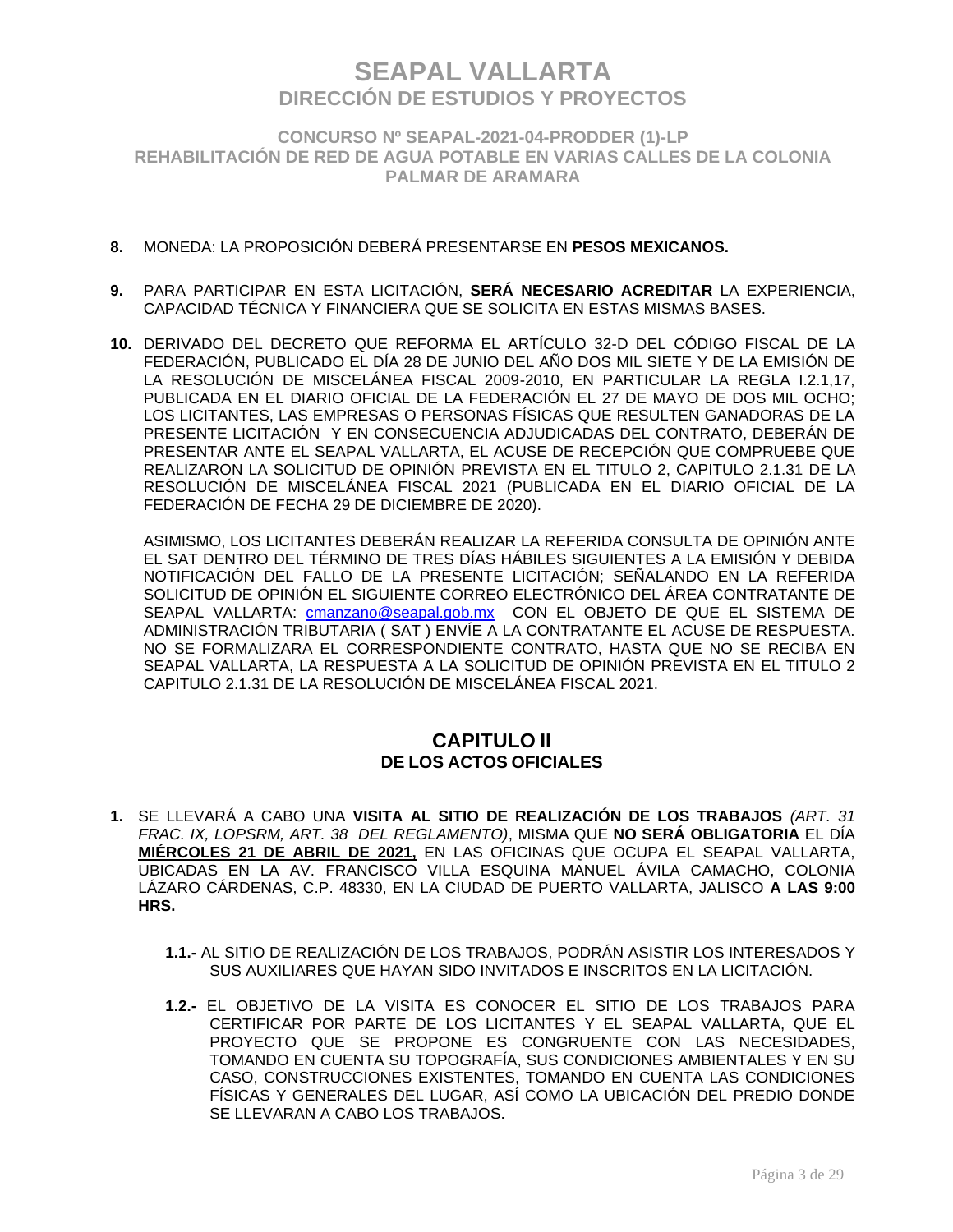**CONCURSO Nº SEAPAL-2021-04-PRODDER (1)-LP REHABILITACIÓN DE RED DE AGUA POTABLE EN VARIAS CALLES DE LA COLONIA PALMAR DE ARAMARA**

### **8.** MONEDA: LA PROPOSICIÓN DEBERÁ PRESENTARSE EN **PESOS MEXICANOS.**

- **9.** PARA PARTICIPAR EN ESTA LICITACIÓN, **SERÁ NECESARIO ACREDITAR** LA EXPERIENCIA, CAPACIDAD TÉCNICA Y FINANCIERA QUE SE SOLICITA EN ESTAS MISMAS BASES.
- **10.** DERIVADO DEL DECRETO QUE REFORMA EL ARTÍCULO 32-D DEL CÓDIGO FISCAL DE LA FEDERACIÓN, PUBLICADO EL DÍA 28 DE JUNIO DEL AÑO DOS MIL SIETE Y DE LA EMISIÓN DE LA RESOLUCIÓN DE MISCELÁNEA FISCAL 2009-2010, EN PARTICULAR LA REGLA I.2.1,17, PUBLICADA EN EL DIARIO OFICIAL DE LA FEDERACIÓN EL 27 DE MAYO DE DOS MIL OCHO; LOS LICITANTES, LAS EMPRESAS O PERSONAS FÍSICAS QUE RESULTEN GANADORAS DE LA PRESENTE LICITACIÓN Y EN CONSECUENCIA ADJUDICADAS DEL CONTRATO, DEBERÁN DE PRESENTAR ANTE EL SEAPAL VALLARTA, EL ACUSE DE RECEPCIÓN QUE COMPRUEBE QUE REALIZARON LA SOLICITUD DE OPINIÓN PREVISTA EN EL TITULO 2, CAPITULO 2.1.31 DE LA RESOLUCIÓN DE MISCELÁNEA FISCAL 2021 (PUBLICADA EN EL DIARIO OFICIAL DE LA FEDERACIÓN DE FECHA 29 DE DICIEMBRE DE 2020).

ASIMISMO, LOS LICITANTES DEBERÁN REALIZAR LA REFERIDA CONSULTA DE OPINIÓN ANTE EL SAT DENTRO DEL TÉRMINO DE TRES DÍAS HÁBILES SIGUIENTES A LA EMISIÓN Y DEBIDA NOTIFICACIÓN DEL FALLO DE LA PRESENTE LICITACIÓN; SEÑALANDO EN LA REFERIDA SOLICITUD DE OPINIÓN EL SIGUIENTE CORREO ELECTRÓNICO DEL ÁREA CONTRATANTE DE SEAPAL VALLARTA: cmanzano@seapal.gob.mx CON EL OBJETO DE QUE EL SISTEMA DE ADMINISTRACIÓN TRIBUTARIA ( SAT ) ENVÍE A LA CONTRATANTE EL ACUSE DE RESPUESTA. NO SE FORMALIZARA EL CORRESPONDIENTE CONTRATO, HASTA QUE NO SE RECIBA EN SEAPAL VALLARTA, LA RESPUESTA A LA SOLICITUD DE OPINIÓN PREVISTA EN EL TITULO 2 CAPITULO 2.1.31 DE LA RESOLUCIÓN DE MISCELÁNEA FISCAL 2021.

### **CAPITULO II DE LOS ACTOS OFICIALES**

- **1.** SE LLEVARÁ A CABO UNA **VISITA AL SITIO DE REALIZACIÓN DE LOS TRABAJOS** *(ART. 31 FRAC. IX, LOPSRM, ART. 38 DEL REGLAMENTO)*, MISMA QUE **NO SERÁ OBLIGATORIA** EL DÍA **MIÉRCOLES 21 DE ABRIL DE 2021,** EN LAS OFICINAS QUE OCUPA EL SEAPAL VALLARTA, UBICADAS EN LA AV. FRANCISCO VILLA ESQUINA MANUEL ÁVILA CAMACHO, COLONIA LÁZARO CÁRDENAS, C.P. 48330, EN LA CIUDAD DE PUERTO VALLARTA, JALISCO **A LAS 9:00 HRS.** 
	- **1.1.-** AL SITIO DE REALIZACIÓN DE LOS TRABAJOS, PODRÁN ASISTIR LOS INTERESADOS Y SUS AUXILIARES QUE HAYAN SIDO INVITADOS E INSCRITOS EN LA LICITACIÓN.
	- **1.2.-** EL OBJETIVO DE LA VISITA ES CONOCER EL SITIO DE LOS TRABAJOS PARA CERTIFICAR POR PARTE DE LOS LICITANTES Y EL SEAPAL VALLARTA, QUE EL PROYECTO QUE SE PROPONE ES CONGRUENTE CON LAS NECESIDADES, TOMANDO EN CUENTA SU TOPOGRAFÍA, SUS CONDICIONES AMBIENTALES Y EN SU CASO, CONSTRUCCIONES EXISTENTES, TOMANDO EN CUENTA LAS CONDICIONES FÍSICAS Y GENERALES DEL LUGAR, ASÍ COMO LA UBICACIÓN DEL PREDIO DONDE SE LLEVARAN A CABO LOS TRABAJOS.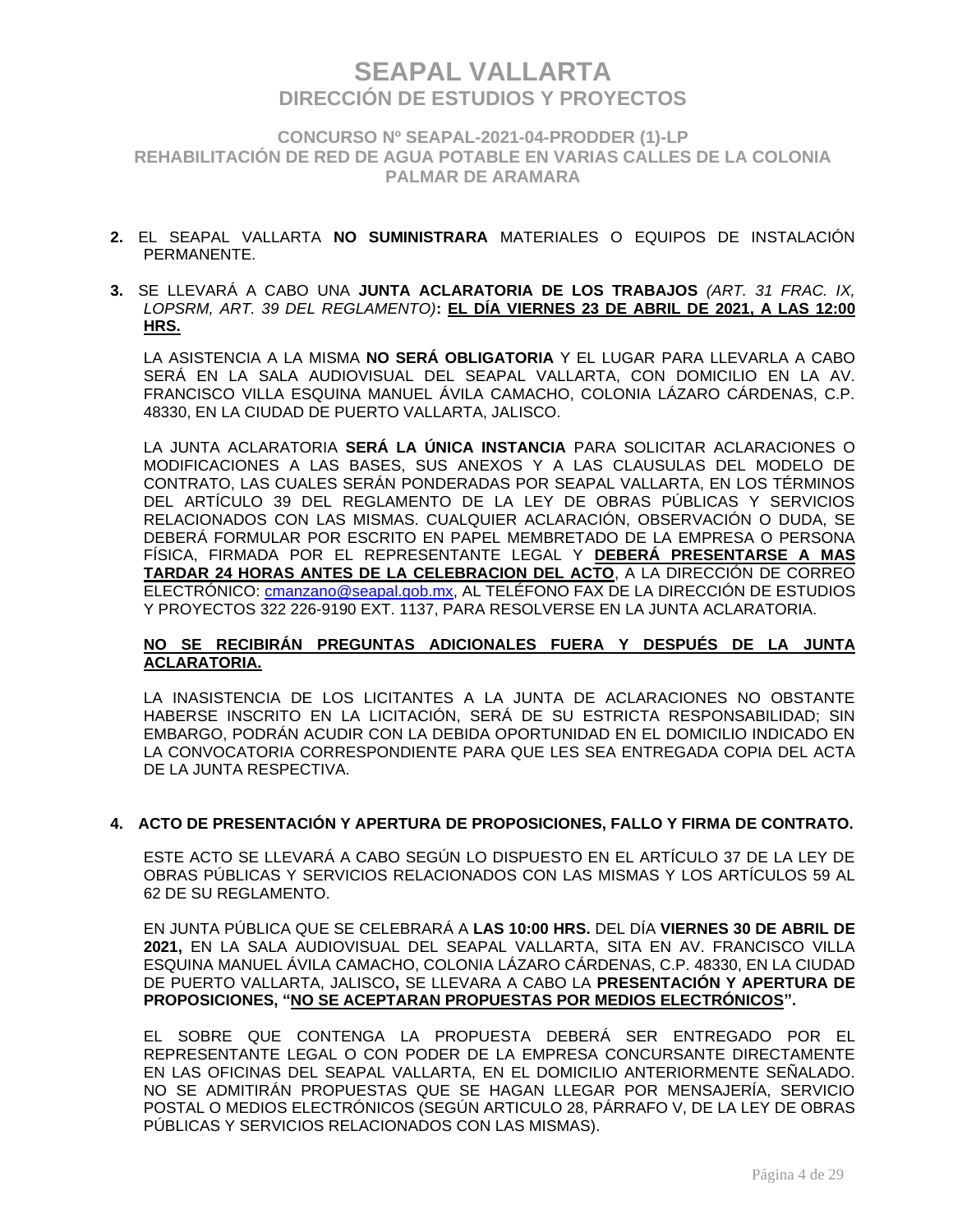**CONCURSO Nº SEAPAL-2021-04-PRODDER (1)-LP REHABILITACIÓN DE RED DE AGUA POTABLE EN VARIAS CALLES DE LA COLONIA PALMAR DE ARAMARA**

- **2.** EL SEAPAL VALLARTA **NO SUMINISTRARA** MATERIALES O EQUIPOS DE INSTALACIÓN PERMANENTE.
- **3.** SE LLEVARÁ A CABO UNA **JUNTA ACLARATORIA DE LOS TRABAJOS** *(ART. 31 FRAC. IX, LOPSRM, ART. 39 DEL REGLAMENTO)***: EL DÍA VIERNES 23 DE ABRIL DE 2021, A LAS 12:00 HRS.**

LA ASISTENCIA A LA MISMA **NO SERÁ OBLIGATORIA** Y EL LUGAR PARA LLEVARLA A CABO SERÁ EN LA SALA AUDIOVISUAL DEL SEAPAL VALLARTA, CON DOMICILIO EN LA AV. FRANCISCO VILLA ESQUINA MANUEL ÁVILA CAMACHO, COLONIA LÁZARO CÁRDENAS, C.P. 48330, EN LA CIUDAD DE PUERTO VALLARTA, JALISCO.

LA JUNTA ACLARATORIA **SERÁ LA ÚNICA INSTANCIA** PARA SOLICITAR ACLARACIONES O MODIFICACIONES A LAS BASES, SUS ANEXOS Y A LAS CLAUSULAS DEL MODELO DE CONTRATO, LAS CUALES SERÁN PONDERADAS POR SEAPAL VALLARTA, EN LOS TÉRMINOS DEL ARTÍCULO 39 DEL REGLAMENTO DE LA LEY DE OBRAS PÚBLICAS Y SERVICIOS RELACIONADOS CON LAS MISMAS. CUALQUIER ACLARACIÓN, OBSERVACIÓN O DUDA, SE DEBERÁ FORMULAR POR ESCRITO EN PAPEL MEMBRETADO DE LA EMPRESA O PERSONA FÍSICA, FIRMADA POR EL REPRESENTANTE LEGAL Y **DEBERÁ PRESENTARSE A MAS TARDAR 24 HORAS ANTES DE LA CELEBRACION DEL ACTO**, A LA DIRECCIÓN DE CORREO ELECTRÓNICO: [cmanzano@seapal.gob.mx,](mailto:cmanzano@seapal.gob.mx) AL TELÉFONO FAX DE LA DIRECCIÓN DE ESTUDIOS Y PROYECTOS 322 226-9190 EXT. 1137, PARA RESOLVERSE EN LA JUNTA ACLARATORIA.

#### **NO SE RECIBIRÁN PREGUNTAS ADICIONALES FUERA Y DESPUÉS DE LA JUNTA ACLARATORIA.**

LA INASISTENCIA DE LOS LICITANTES A LA JUNTA DE ACLARACIONES NO OBSTANTE HABERSE INSCRITO EN LA LICITACIÓN, SERÁ DE SU ESTRICTA RESPONSABILIDAD; SIN EMBARGO, PODRÁN ACUDIR CON LA DEBIDA OPORTUNIDAD EN EL DOMICILIO INDICADO EN LA CONVOCATORIA CORRESPONDIENTE PARA QUE LES SEA ENTREGADA COPIA DEL ACTA DE LA JUNTA RESPECTIVA.

#### **4. ACTO DE PRESENTACIÓN Y APERTURA DE PROPOSICIONES, FALLO Y FIRMA DE CONTRATO.**

ESTE ACTO SE LLEVARÁ A CABO SEGÚN LO DISPUESTO EN EL ARTÍCULO 37 DE LA LEY DE OBRAS PÚBLICAS Y SERVICIOS RELACIONADOS CON LAS MISMAS Y LOS ARTÍCULOS 59 AL 62 DE SU REGLAMENTO.

EN JUNTA PÚBLICA QUE SE CELEBRARÁ A **LAS 10:00 HRS.** DEL DÍA **VIERNES 30 DE ABRIL DE 2021,** EN LA SALA AUDIOVISUAL DEL SEAPAL VALLARTA, SITA EN AV. FRANCISCO VILLA ESQUINA MANUEL ÁVILA CAMACHO, COLONIA LÁZARO CÁRDENAS, C.P. 48330, EN LA CIUDAD DE PUERTO VALLARTA, JALISCO**,** SE LLEVARA A CABO LA **PRESENTACIÓN Y APERTURA DE PROPOSICIONES, "NO SE ACEPTARAN PROPUESTAS POR MEDIOS ELECTRÓNICOS".**

EL SOBRE QUE CONTENGA LA PROPUESTA DEBERÁ SER ENTREGADO POR EL REPRESENTANTE LEGAL O CON PODER DE LA EMPRESA CONCURSANTE DIRECTAMENTE EN LAS OFICINAS DEL SEAPAL VALLARTA, EN EL DOMICILIO ANTERIORMENTE SEÑALADO. NO SE ADMITIRÁN PROPUESTAS QUE SE HAGAN LLEGAR POR MENSAJERÍA, SERVICIO POSTAL O MEDIOS ELECTRÓNICOS (SEGÚN ARTICULO 28, PÁRRAFO V, DE LA LEY DE OBRAS PÚBLICAS Y SERVICIOS RELACIONADOS CON LAS MISMAS).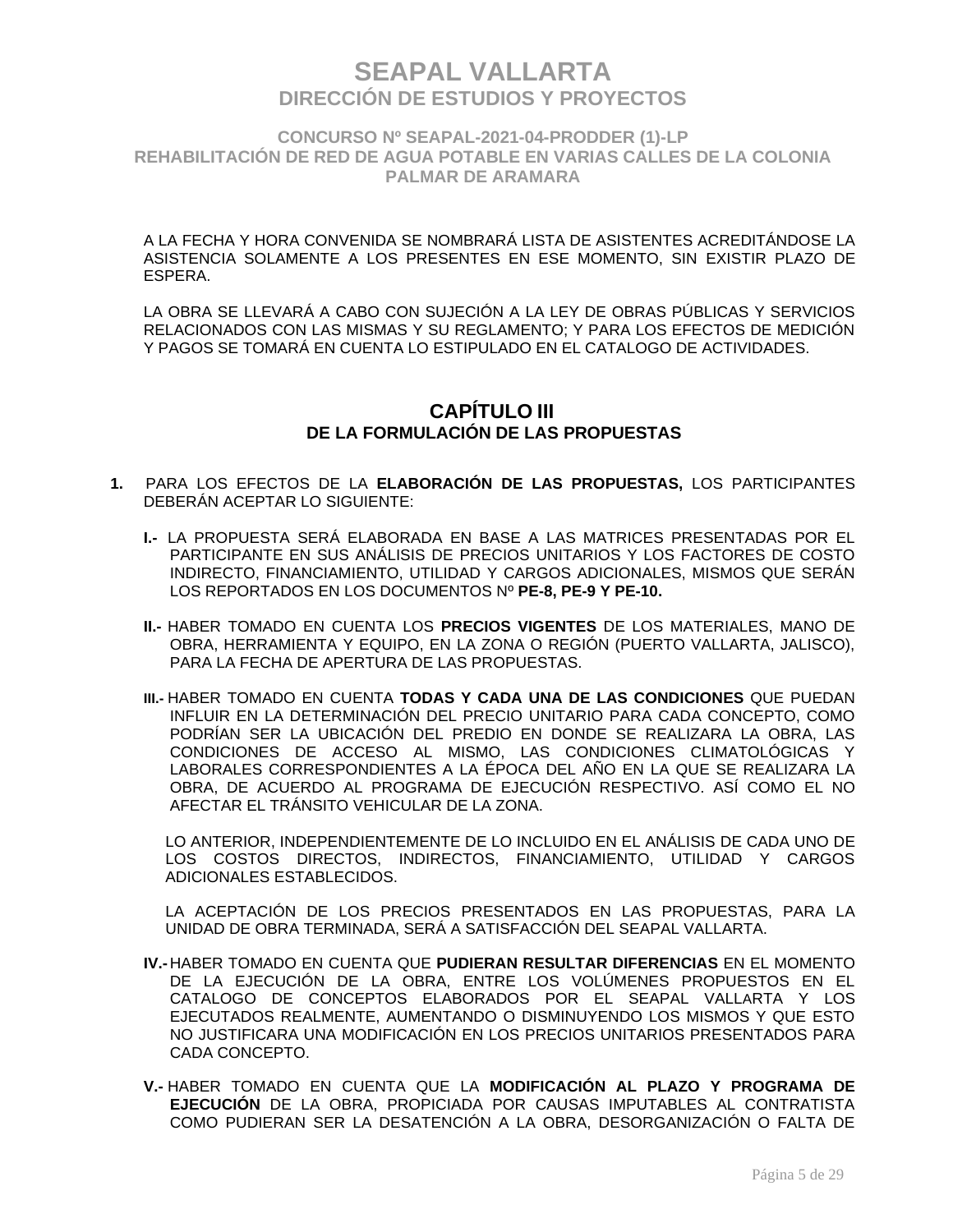**CONCURSO Nº SEAPAL-2021-04-PRODDER (1)-LP REHABILITACIÓN DE RED DE AGUA POTABLE EN VARIAS CALLES DE LA COLONIA PALMAR DE ARAMARA**

A LA FECHA Y HORA CONVENIDA SE NOMBRARÁ LISTA DE ASISTENTES ACREDITÁNDOSE LA ASISTENCIA SOLAMENTE A LOS PRESENTES EN ESE MOMENTO, SIN EXISTIR PLAZO DE ESPERA.

LA OBRA SE LLEVARÁ A CABO CON SUJECIÓN A LA LEY DE OBRAS PÚBLICAS Y SERVICIOS RELACIONADOS CON LAS MISMAS Y SU REGLAMENTO; Y PARA LOS EFECTOS DE MEDICIÓN Y PAGOS SE TOMARÁ EN CUENTA LO ESTIPULADO EN EL CATALOGO DE ACTIVIDADES.

### **CAPÍTULO III DE LA FORMULACIÓN DE LAS PROPUESTAS**

- **1.** PARA LOS EFECTOS DE LA **ELABORACIÓN DE LAS PROPUESTAS,** LOS PARTICIPANTES DEBERÁN ACEPTAR LO SIGUIENTE:
	- **I.-** LA PROPUESTA SERÁ ELABORADA EN BASE A LAS MATRICES PRESENTADAS POR EL PARTICIPANTE EN SUS ANÁLISIS DE PRECIOS UNITARIOS Y LOS FACTORES DE COSTO INDIRECTO, FINANCIAMIENTO, UTILIDAD Y CARGOS ADICIONALES, MISMOS QUE SERÁN LOS REPORTADOS EN LOS DOCUMENTOS Nº **PE-8, PE-9 Y PE-10.**
	- **II.-** HABER TOMADO EN CUENTA LOS **PRECIOS VIGENTES** DE LOS MATERIALES, MANO DE OBRA, HERRAMIENTA Y EQUIPO, EN LA ZONA O REGIÓN (PUERTO VALLARTA, JALISCO), PARA LA FECHA DE APERTURA DE LAS PROPUESTAS.
	- **III.-** HABER TOMADO EN CUENTA **TODAS Y CADA UNA DE LAS CONDICIONES** QUE PUEDAN INFLUIR EN LA DETERMINACIÓN DEL PRECIO UNITARIO PARA CADA CONCEPTO, COMO PODRÍAN SER LA UBICACIÓN DEL PREDIO EN DONDE SE REALIZARA LA OBRA, LAS CONDICIONES DE ACCESO AL MISMO, LAS CONDICIONES CLIMATOLÓGICAS Y LABORALES CORRESPONDIENTES A LA ÉPOCA DEL AÑO EN LA QUE SE REALIZARA LA OBRA, DE ACUERDO AL PROGRAMA DE EJECUCIÓN RESPECTIVO. ASÍ COMO EL NO AFECTAR EL TRÁNSITO VEHICULAR DE LA ZONA.

LO ANTERIOR, INDEPENDIENTEMENTE DE LO INCLUIDO EN EL ANÁLISIS DE CADA UNO DE LOS COSTOS DIRECTOS, INDIRECTOS, FINANCIAMIENTO, UTILIDAD Y CARGOS ADICIONALES ESTABLECIDOS.

LA ACEPTACIÓN DE LOS PRECIOS PRESENTADOS EN LAS PROPUESTAS, PARA LA UNIDAD DE OBRA TERMINADA, SERÁ A SATISFACCIÓN DEL SEAPAL VALLARTA.

- **IV.-** HABER TOMADO EN CUENTA QUE **PUDIERAN RESULTAR DIFERENCIAS** EN EL MOMENTO DE LA EJECUCIÓN DE LA OBRA, ENTRE LOS VOLÚMENES PROPUESTOS EN EL CATALOGO DE CONCEPTOS ELABORADOS POR EL SEAPAL VALLARTA Y LOS EJECUTADOS REALMENTE, AUMENTANDO O DISMINUYENDO LOS MISMOS Y QUE ESTO NO JUSTIFICARA UNA MODIFICACIÓN EN LOS PRECIOS UNITARIOS PRESENTADOS PARA CADA CONCEPTO.
- **V.-** HABER TOMADO EN CUENTA QUE LA **MODIFICACIÓN AL PLAZO Y PROGRAMA DE EJECUCIÓN** DE LA OBRA, PROPICIADA POR CAUSAS IMPUTABLES AL CONTRATISTA COMO PUDIERAN SER LA DESATENCIÓN A LA OBRA, DESORGANIZACIÓN O FALTA DE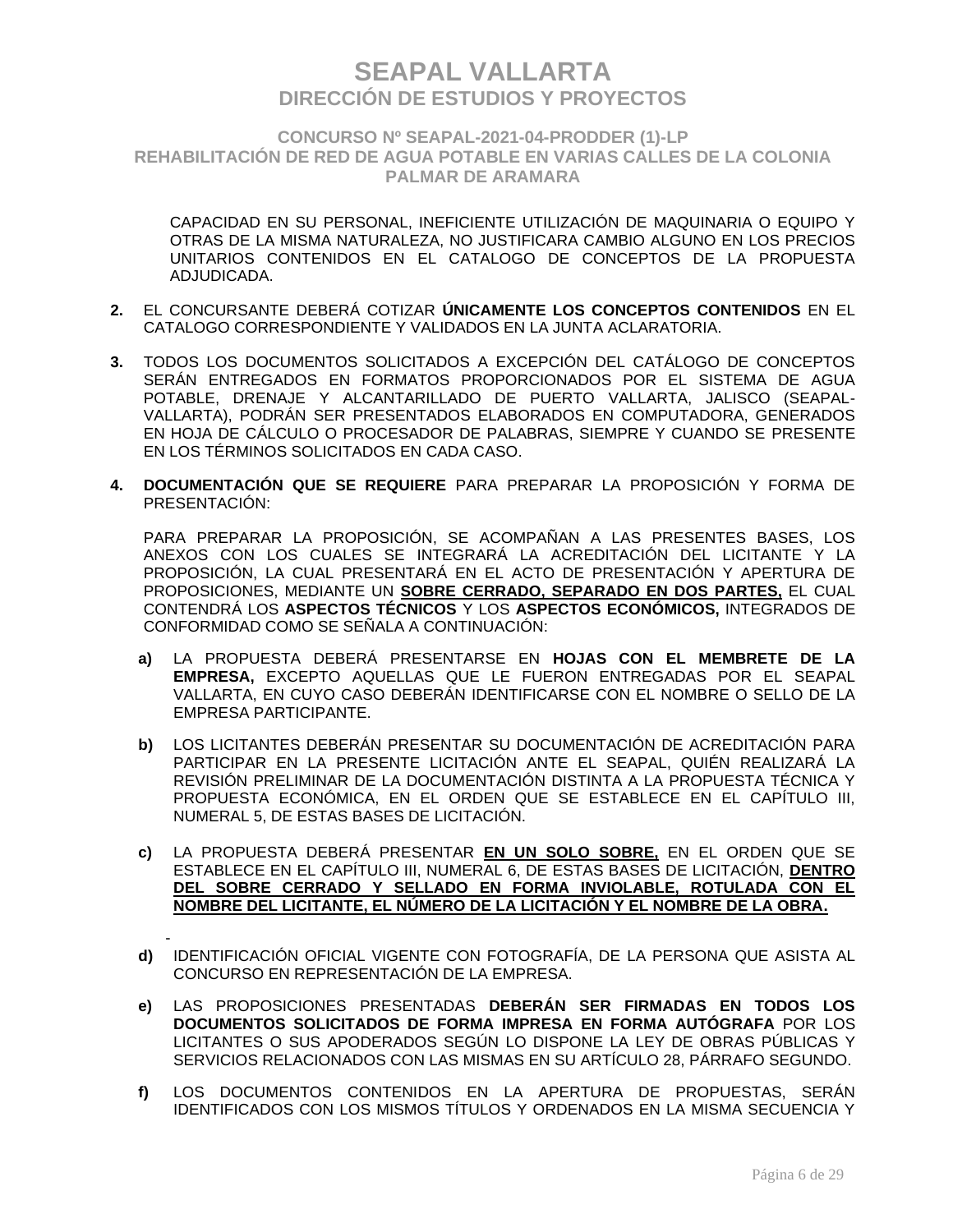### **CONCURSO Nº SEAPAL-2021-04-PRODDER (1)-LP REHABILITACIÓN DE RED DE AGUA POTABLE EN VARIAS CALLES DE LA COLONIA PALMAR DE ARAMARA**

CAPACIDAD EN SU PERSONAL, INEFICIENTE UTILIZACIÓN DE MAQUINARIA O EQUIPO Y OTRAS DE LA MISMA NATURALEZA, NO JUSTIFICARA CAMBIO ALGUNO EN LOS PRECIOS UNITARIOS CONTENIDOS EN EL CATALOGO DE CONCEPTOS DE LA PROPUESTA ADJUDICADA.

- **2.** EL CONCURSANTE DEBERÁ COTIZAR **ÚNICAMENTE LOS CONCEPTOS CONTENIDOS** EN EL CATALOGO CORRESPONDIENTE Y VALIDADOS EN LA JUNTA ACLARATORIA.
- **3.** TODOS LOS DOCUMENTOS SOLICITADOS A EXCEPCIÓN DEL CATÁLOGO DE CONCEPTOS SERÁN ENTREGADOS EN FORMATOS PROPORCIONADOS POR EL SISTEMA DE AGUA POTABLE, DRENAJE Y ALCANTARILLADO DE PUERTO VALLARTA, JALISCO (SEAPAL-VALLARTA), PODRÁN SER PRESENTADOS ELABORADOS EN COMPUTADORA, GENERADOS EN HOJA DE CÁLCULO O PROCESADOR DE PALABRAS, SIEMPRE Y CUANDO SE PRESENTE EN LOS TÉRMINOS SOLICITADOS EN CADA CASO.
- **4. DOCUMENTACIÓN QUE SE REQUIERE** PARA PREPARAR LA PROPOSICIÓN Y FORMA DE PRESENTACIÓN:

PARA PREPARAR LA PROPOSICIÓN, SE ACOMPAÑAN A LAS PRESENTES BASES, LOS ANEXOS CON LOS CUALES SE INTEGRARÁ LA ACREDITACIÓN DEL LICITANTE Y LA PROPOSICIÓN, LA CUAL PRESENTARÁ EN EL ACTO DE PRESENTACIÓN Y APERTURA DE PROPOSICIONES, MEDIANTE UN **SOBRE CERRADO, SEPARADO EN DOS PARTES,** EL CUAL CONTENDRÁ LOS **ASPECTOS TÉCNICOS** Y LOS **ASPECTOS ECONÓMICOS,** INTEGRADOS DE CONFORMIDAD COMO SE SEÑALA A CONTINUACIÓN:

- **a)** LA PROPUESTA DEBERÁ PRESENTARSE EN **HOJAS CON EL MEMBRETE DE LA EMPRESA,** EXCEPTO AQUELLAS QUE LE FUERON ENTREGADAS POR EL SEAPAL VALLARTA, EN CUYO CASO DEBERÁN IDENTIFICARSE CON EL NOMBRE O SELLO DE LA EMPRESA PARTICIPANTE.
- **b)** LOS LICITANTES DEBERÁN PRESENTAR SU DOCUMENTACIÓN DE ACREDITACIÓN PARA PARTICIPAR EN LA PRESENTE LICITACIÓN ANTE EL SEAPAL, QUIÉN REALIZARÁ LA REVISIÓN PRELIMINAR DE LA DOCUMENTACIÓN DISTINTA A LA PROPUESTA TÉCNICA Y PROPUESTA ECONÓMICA, EN EL ORDEN QUE SE ESTABLECE EN EL CAPÍTULO III, NUMERAL 5, DE ESTAS BASES DE LICITACIÓN.
- **c)** LA PROPUESTA DEBERÁ PRESENTAR **EN UN SOLO SOBRE,** EN EL ORDEN QUE SE ESTABLECE EN EL CAPÍTULO III, NUMERAL 6, DE ESTAS BASES DE LICITACIÓN, **DENTRO DEL SOBRE CERRADO Y SELLADO EN FORMA INVIOLABLE, ROTULADA CON EL NOMBRE DEL LICITANTE, EL NÚMERO DE LA LICITACIÓN Y EL NOMBRE DE LA OBRA.**
- **d)** IDENTIFICACIÓN OFICIAL VIGENTE CON FOTOGRAFÍA, DE LA PERSONA QUE ASISTA AL CONCURSO EN REPRESENTACIÓN DE LA EMPRESA.
- **e)** LAS PROPOSICIONES PRESENTADAS **DEBERÁN SER FIRMADAS EN TODOS LOS DOCUMENTOS SOLICITADOS DE FORMA IMPRESA EN FORMA AUTÓGRAFA** POR LOS LICITANTES O SUS APODERADOS SEGÚN LO DISPONE LA LEY DE OBRAS PÚBLICAS Y SERVICIOS RELACIONADOS CON LAS MISMAS EN SU ARTÍCULO 28, PÁRRAFO SEGUNDO.
- **f)** LOS DOCUMENTOS CONTENIDOS EN LA APERTURA DE PROPUESTAS, SERÁN IDENTIFICADOS CON LOS MISMOS TÍTULOS Y ORDENADOS EN LA MISMA SECUENCIA Y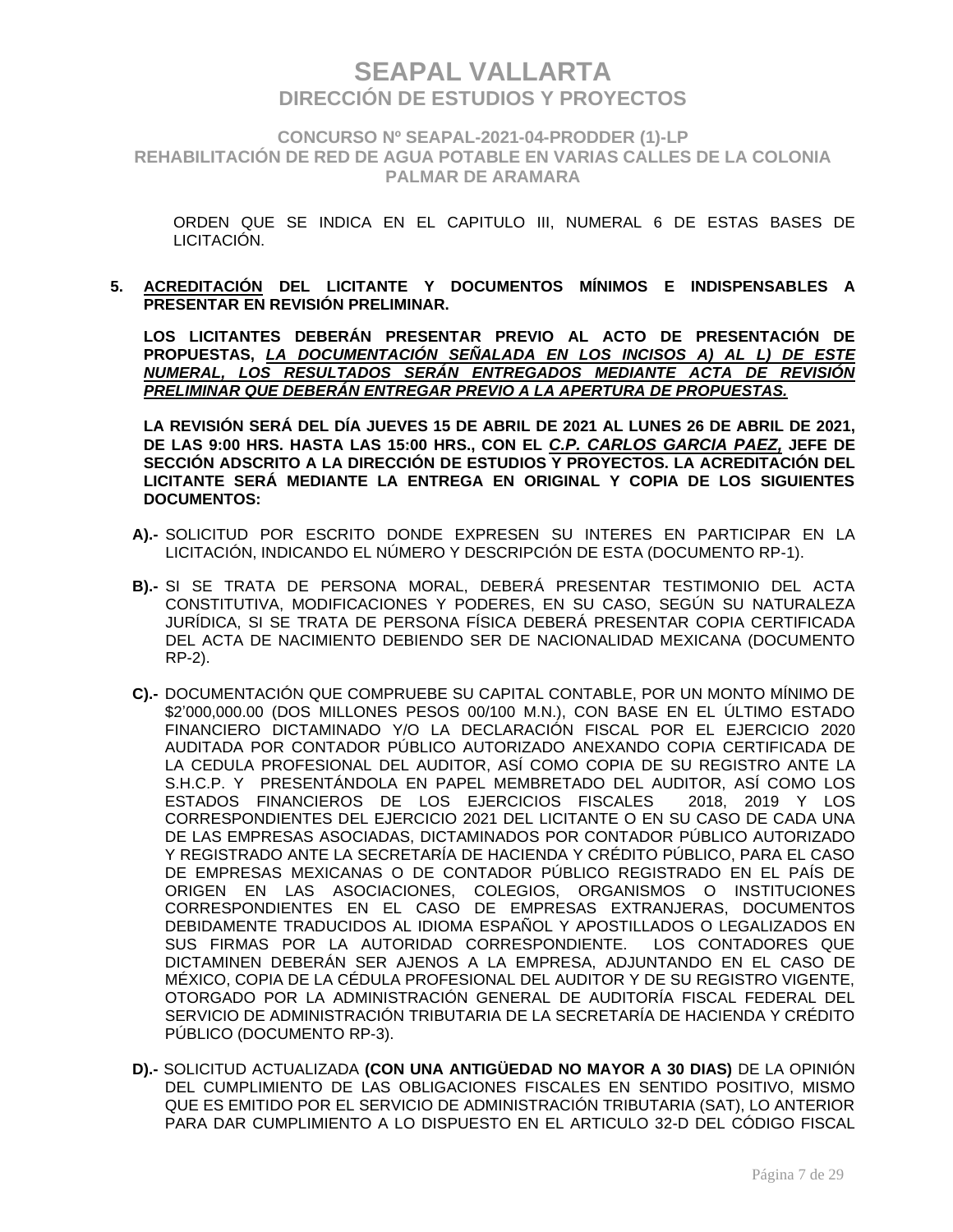**CONCURSO Nº SEAPAL-2021-04-PRODDER (1)-LP REHABILITACIÓN DE RED DE AGUA POTABLE EN VARIAS CALLES DE LA COLONIA PALMAR DE ARAMARA**

ORDEN QUE SE INDICA EN EL CAPITULO III, NUMERAL 6 DE ESTAS BASES DE LICITACIÓN.

**5. ACREDITACIÓN DEL LICITANTE Y DOCUMENTOS MÍNIMOS E INDISPENSABLES A PRESENTAR EN REVISIÓN PRELIMINAR.**

**LOS LICITANTES DEBERÁN PRESENTAR PREVIO AL ACTO DE PRESENTACIÓN DE PROPUESTAS,** *LA DOCUMENTACIÓN SEÑALADA EN LOS INCISOS A) AL L) DE ESTE NUMERAL, LOS RESULTADOS SERÁN ENTREGADOS MEDIANTE ACTA DE REVISIÓN PRELIMINAR QUE DEBERÁN ENTREGAR PREVIO A LA APERTURA DE PROPUESTAS.*

**LA REVISIÓN SERÁ DEL DÍA JUEVES 15 DE ABRIL DE 2021 AL LUNES 26 DE ABRIL DE 2021, DE LAS 9:00 HRS. HASTA LAS 15:00 HRS., CON EL** *C.P. CARLOS GARCIA PAEZ,* **JEFE DE SECCIÓN ADSCRITO A LA DIRECCIÓN DE ESTUDIOS Y PROYECTOS. LA ACREDITACIÓN DEL LICITANTE SERÁ MEDIANTE LA ENTREGA EN ORIGINAL Y COPIA DE LOS SIGUIENTES DOCUMENTOS:**

- **A).-** SOLICITUD POR ESCRITO DONDE EXPRESEN SU INTERES EN PARTICIPAR EN LA LICITACIÓN, INDICANDO EL NÚMERO Y DESCRIPCIÓN DE ESTA (DOCUMENTO RP-1).
- **B).-** SI SE TRATA DE PERSONA MORAL, DEBERÁ PRESENTAR TESTIMONIO DEL ACTA CONSTITUTIVA, MODIFICACIONES Y PODERES, EN SU CASO, SEGÚN SU NATURALEZA JURÍDICA, SI SE TRATA DE PERSONA FÍSICA DEBERÁ PRESENTAR COPIA CERTIFICADA DEL ACTA DE NACIMIENTO DEBIENDO SER DE NACIONALIDAD MEXICANA (DOCUMENTO RP-2).
- **C).-** DOCUMENTACIÓN QUE COMPRUEBE SU CAPITAL CONTABLE, POR UN MONTO MÍNIMO DE \$2'000,000.00 (DOS MILLONES PESOS 00/100 M.N.), CON BASE EN EL ÚLTIMO ESTADO FINANCIERO DICTAMINADO Y/O LA DECLARACIÓN FISCAL POR EL EJERCICIO 2020 AUDITADA POR CONTADOR PÚBLICO AUTORIZADO ANEXANDO COPIA CERTIFICADA DE LA CEDULA PROFESIONAL DEL AUDITOR, ASÍ COMO COPIA DE SU REGISTRO ANTE LA S.H.C.P. Y PRESENTÁNDOLA EN PAPEL MEMBRETADO DEL AUDITOR, ASÍ COMO LOS ESTADOS FINANCIEROS DE LOS EJERCICIOS FISCALES 2018, 2019 Y LOS CORRESPONDIENTES DEL EJERCICIO 2021 DEL LICITANTE O EN SU CASO DE CADA UNA DE LAS EMPRESAS ASOCIADAS, DICTAMINADOS POR CONTADOR PÚBLICO AUTORIZADO Y REGISTRADO ANTE LA SECRETARÍA DE HACIENDA Y CRÉDITO PÚBLICO, PARA EL CASO DE EMPRESAS MEXICANAS O DE CONTADOR PÚBLICO REGISTRADO EN EL PAÍS DE ORIGEN EN LAS ASOCIACIONES, COLEGIOS, ORGANISMOS O INSTITUCIONES CORRESPONDIENTES EN EL CASO DE EMPRESAS EXTRANJERAS, DOCUMENTOS DEBIDAMENTE TRADUCIDOS AL IDIOMA ESPAÑOL Y APOSTILLADOS O LEGALIZADOS EN SUS FIRMAS POR LA AUTORIDAD CORRESPONDIENTE. LOS CONTADORES QUE DICTAMINEN DEBERÁN SER AJENOS A LA EMPRESA, ADJUNTANDO EN EL CASO DE MÉXICO, COPIA DE LA CÉDULA PROFESIONAL DEL AUDITOR Y DE SU REGISTRO VIGENTE, OTORGADO POR LA ADMINISTRACIÓN GENERAL DE AUDITORÍA FISCAL FEDERAL DEL SERVICIO DE ADMINISTRACIÓN TRIBUTARIA DE LA SECRETARÍA DE HACIENDA Y CRÉDITO PÚBLICO (DOCUMENTO RP-3).
- **D).-** SOLICITUD ACTUALIZADA **(CON UNA ANTIGÜEDAD NO MAYOR A 30 DIAS)** DE LA OPINIÓN DEL CUMPLIMIENTO DE LAS OBLIGACIONES FISCALES EN SENTIDO POSITIVO, MISMO QUE ES EMITIDO POR EL SERVICIO DE ADMINISTRACIÓN TRIBUTARIA (SAT), LO ANTERIOR PARA DAR CUMPLIMIENTO A LO DISPUESTO EN EL ARTICULO 32-D DEL CÓDIGO FISCAL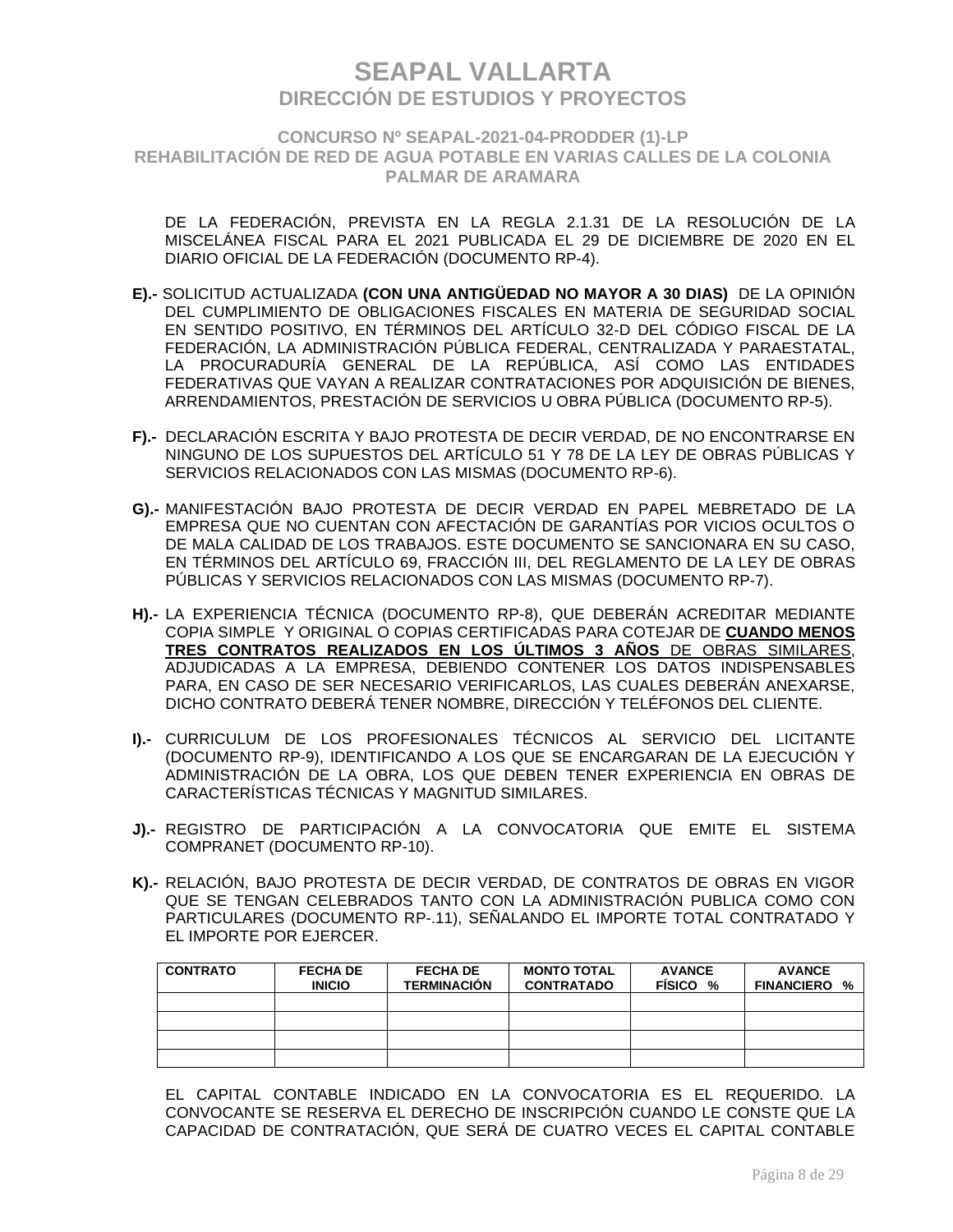**CONCURSO Nº SEAPAL-2021-04-PRODDER (1)-LP REHABILITACIÓN DE RED DE AGUA POTABLE EN VARIAS CALLES DE LA COLONIA PALMAR DE ARAMARA**

DE LA FEDERACIÓN, PREVISTA EN LA REGLA 2.1.31 DE LA RESOLUCIÓN DE LA MISCELÁNEA FISCAL PARA EL 2021 PUBLICADA EL 29 DE DICIEMBRE DE 2020 EN EL DIARIO OFICIAL DE LA FEDERACIÓN (DOCUMENTO RP-4).

- **E).-** SOLICITUD ACTUALIZADA **(CON UNA ANTIGÜEDAD NO MAYOR A 30 DIAS)** DE LA OPINIÓN DEL CUMPLIMIENTO DE OBLIGACIONES FISCALES EN MATERIA DE SEGURIDAD SOCIAL EN SENTIDO POSITIVO, EN TÉRMINOS DEL ARTÍCULO 32-D DEL CÓDIGO FISCAL DE LA FEDERACIÓN, LA ADMINISTRACIÓN PÚBLICA FEDERAL, CENTRALIZADA Y PARAESTATAL, LA PROCURADURÍA GENERAL DE LA REPÚBLICA, ASÍ COMO LAS ENTIDADES FEDERATIVAS QUE VAYAN A REALIZAR CONTRATACIONES POR ADQUISICIÓN DE BIENES, ARRENDAMIENTOS, PRESTACIÓN DE SERVICIOS U OBRA PÚBLICA (DOCUMENTO RP-5).
- **F).-** DECLARACIÓN ESCRITA Y BAJO PROTESTA DE DECIR VERDAD, DE NO ENCONTRARSE EN NINGUNO DE LOS SUPUESTOS DEL ARTÍCULO 51 Y 78 DE LA LEY DE OBRAS PÚBLICAS Y SERVICIOS RELACIONADOS CON LAS MISMAS (DOCUMENTO RP-6).
- **G).-** MANIFESTACIÓN BAJO PROTESTA DE DECIR VERDAD EN PAPEL MEBRETADO DE LA EMPRESA QUE NO CUENTAN CON AFECTACIÓN DE GARANTÍAS POR VICIOS OCULTOS O DE MALA CALIDAD DE LOS TRABAJOS. ESTE DOCUMENTO SE SANCIONARA EN SU CASO, EN TÉRMINOS DEL ARTÍCULO 69, FRACCIÓN III, DEL REGLAMENTO DE LA LEY DE OBRAS PÚBLICAS Y SERVICIOS RELACIONADOS CON LAS MISMAS (DOCUMENTO RP-7).
- **H).-** LA EXPERIENCIA TÉCNICA (DOCUMENTO RP-8), QUE DEBERÁN ACREDITAR MEDIANTE COPIA SIMPLE Y ORIGINAL O COPIAS CERTIFICADAS PARA COTEJAR DE **CUANDO MENOS TRES CONTRATOS REALIZADOS EN LOS ÚLTIMOS 3 AÑOS** DE OBRAS SIMILARES, ADJUDICADAS A LA EMPRESA, DEBIENDO CONTENER LOS DATOS INDISPENSABLES PARA, EN CASO DE SER NECESARIO VERIFICARLOS, LAS CUALES DEBERÁN ANEXARSE, DICHO CONTRATO DEBERÁ TENER NOMBRE, DIRECCIÓN Y TELÉFONOS DEL CLIENTE.
- **I).-** CURRICULUM DE LOS PROFESIONALES TÉCNICOS AL SERVICIO DEL LICITANTE (DOCUMENTO RP-9), IDENTIFICANDO A LOS QUE SE ENCARGARAN DE LA EJECUCIÓN Y ADMINISTRACIÓN DE LA OBRA, LOS QUE DEBEN TENER EXPERIENCIA EN OBRAS DE CARACTERÍSTICAS TÉCNICAS Y MAGNITUD SIMILARES.
- **J).-** REGISTRO DE PARTICIPACIÓN A LA CONVOCATORIA QUE EMITE EL SISTEMA COMPRANET (DOCUMENTO RP-10).
- **K).-** RELACIÓN, BAJO PROTESTA DE DECIR VERDAD, DE CONTRATOS DE OBRAS EN VIGOR QUE SE TENGAN CELEBRADOS TANTO CON LA ADMINISTRACIÓN PUBLICA COMO CON PARTICULARES (DOCUMENTO RP-.11), SEÑALANDO EL IMPORTE TOTAL CONTRATADO Y EL IMPORTE POR EJERCER.

| <b>CONTRATO</b> | <b>FECHA DE</b><br><b>INICIO</b> | <b>FECHA DE</b><br><b>TERMINACIÓN</b> | <b>MONTO TOTAL</b><br><b>CONTRATADO</b> | <b>AVANCE</b><br><b>FISICO</b><br>% | <b>AVANCE</b><br><b>FINANCIERO</b><br>% |
|-----------------|----------------------------------|---------------------------------------|-----------------------------------------|-------------------------------------|-----------------------------------------|
|                 |                                  |                                       |                                         |                                     |                                         |
|                 |                                  |                                       |                                         |                                     |                                         |
|                 |                                  |                                       |                                         |                                     |                                         |
|                 |                                  |                                       |                                         |                                     |                                         |

EL CAPITAL CONTABLE INDICADO EN LA CONVOCATORIA ES EL REQUERIDO. LA CONVOCANTE SE RESERVA EL DERECHO DE INSCRIPCIÓN CUANDO LE CONSTE QUE LA CAPACIDAD DE CONTRATACIÓN, QUE SERÁ DE CUATRO VECES EL CAPITAL CONTABLE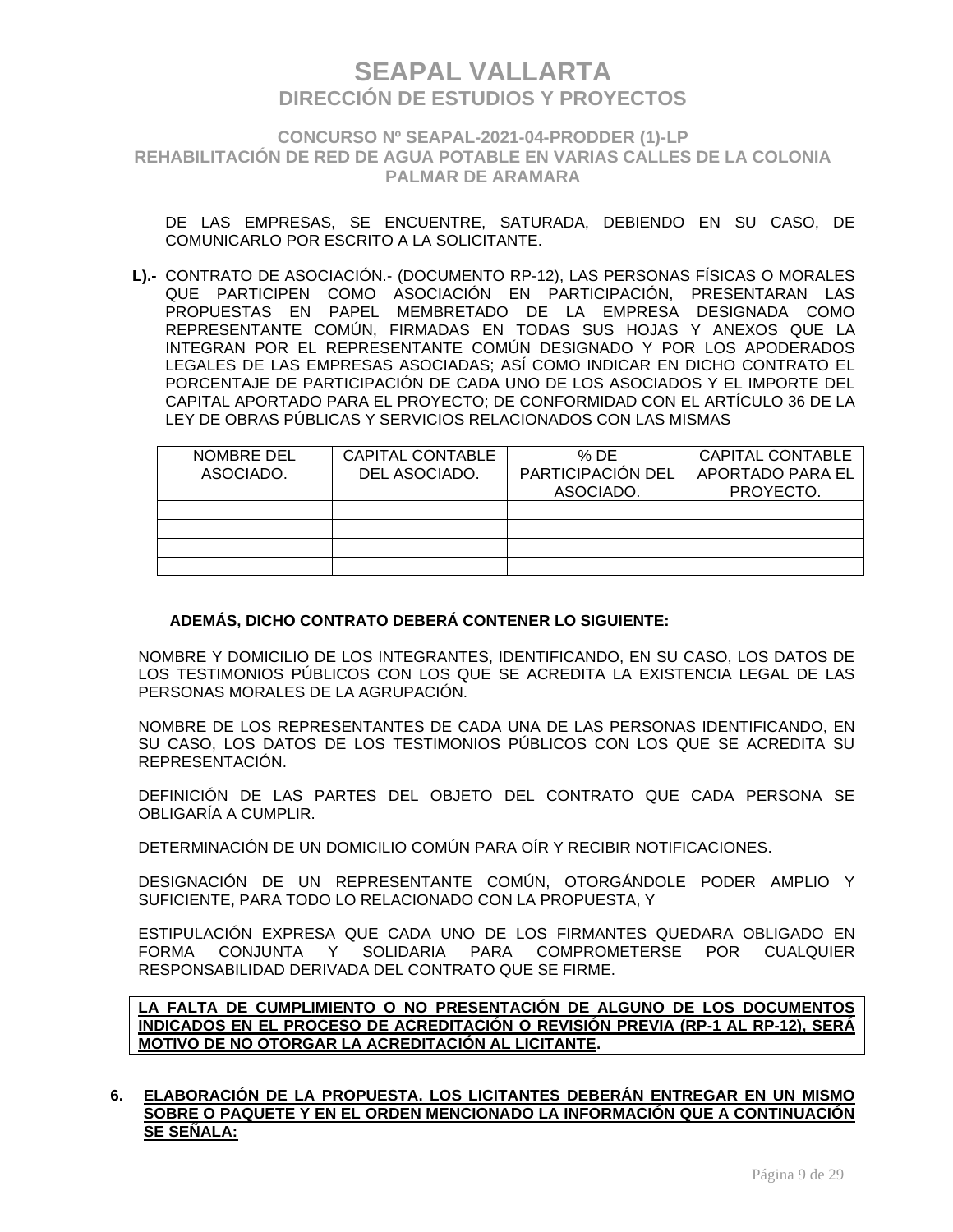### **CONCURSO Nº SEAPAL-2021-04-PRODDER (1)-LP REHABILITACIÓN DE RED DE AGUA POTABLE EN VARIAS CALLES DE LA COLONIA PALMAR DE ARAMARA**

DE LAS EMPRESAS, SE ENCUENTRE, SATURADA, DEBIENDO EN SU CASO, DE COMUNICARLO POR ESCRITO A LA SOLICITANTE.

**L).-** CONTRATO DE ASOCIACIÓN.- (DOCUMENTO RP-12), LAS PERSONAS FÍSICAS O MORALES QUE PARTICIPEN COMO ASOCIACIÓN EN PARTICIPACIÓN, PRESENTARAN LAS PROPUESTAS EN PAPEL MEMBRETADO DE LA EMPRESA DESIGNADA COMO REPRESENTANTE COMÚN, FIRMADAS EN TODAS SUS HOJAS Y ANEXOS QUE LA INTEGRAN POR EL REPRESENTANTE COMÚN DESIGNADO Y POR LOS APODERADOS LEGALES DE LAS EMPRESAS ASOCIADAS; ASÍ COMO INDICAR EN DICHO CONTRATO EL PORCENTAJE DE PARTICIPACIÓN DE CADA UNO DE LOS ASOCIADOS Y EL IMPORTE DEL CAPITAL APORTADO PARA EL PROYECTO; DE CONFORMIDAD CON EL ARTÍCULO 36 DE LA LEY DE OBRAS PÚBLICAS Y SERVICIOS RELACIONADOS CON LAS MISMAS

| NOMBRE DEL<br>ASOCIADO. | CAPITAL CONTABLE<br>DEL ASOCIADO. | % DE<br>PARTICIPACIÓN DEL<br>ASOCIADO. | <b>CAPITAL CONTABLE</b><br>APORTADO PARA EL<br>PROYECTO. |
|-------------------------|-----------------------------------|----------------------------------------|----------------------------------------------------------|
|                         |                                   |                                        |                                                          |
|                         |                                   |                                        |                                                          |
|                         |                                   |                                        |                                                          |
|                         |                                   |                                        |                                                          |

### **ADEMÁS, DICHO CONTRATO DEBERÁ CONTENER LO SIGUIENTE:**

NOMBRE Y DOMICILIO DE LOS INTEGRANTES, IDENTIFICANDO, EN SU CASO, LOS DATOS DE LOS TESTIMONIOS PÚBLICOS CON LOS QUE SE ACREDITA LA EXISTENCIA LEGAL DE LAS PERSONAS MORALES DE LA AGRUPACIÓN.

NOMBRE DE LOS REPRESENTANTES DE CADA UNA DE LAS PERSONAS IDENTIFICANDO, EN SU CASO, LOS DATOS DE LOS TESTIMONIOS PÚBLICOS CON LOS QUE SE ACREDITA SU REPRESENTACIÓN.

DEFINICIÓN DE LAS PARTES DEL OBJETO DEL CONTRATO QUE CADA PERSONA SE OBLIGARÍA A CUMPLIR.

DETERMINACIÓN DE UN DOMICILIO COMÚN PARA OÍR Y RECIBIR NOTIFICACIONES.

DESIGNACIÓN DE UN REPRESENTANTE COMÚN, OTORGÁNDOLE PODER AMPLIO Y SUFICIENTE, PARA TODO LO RELACIONADO CON LA PROPUESTA, Y

ESTIPULACIÓN EXPRESA QUE CADA UNO DE LOS FIRMANTES QUEDARA OBLIGADO EN FORMA CONJUNTA Y SOLIDARIA PARA COMPROMETERSE POR CUALQUIER RESPONSABILIDAD DERIVADA DEL CONTRATO QUE SE FIRME.

**LA FALTA DE CUMPLIMIENTO O NO PRESENTACIÓN DE ALGUNO DE LOS DOCUMENTOS INDICADOS EN EL PROCESO DE ACREDITACIÓN O REVISIÓN PREVIA (RP-1 AL RP-12), SERÁ MOTIVO DE NO OTORGAR LA ACREDITACIÓN AL LICITANTE.**

#### **6. ELABORACIÓN DE LA PROPUESTA. LOS LICITANTES DEBERÁN ENTREGAR EN UN MISMO SOBRE O PAQUETE Y EN EL ORDEN MENCIONADO LA INFORMACIÓN QUE A CONTINUACIÓN SE SEÑALA:**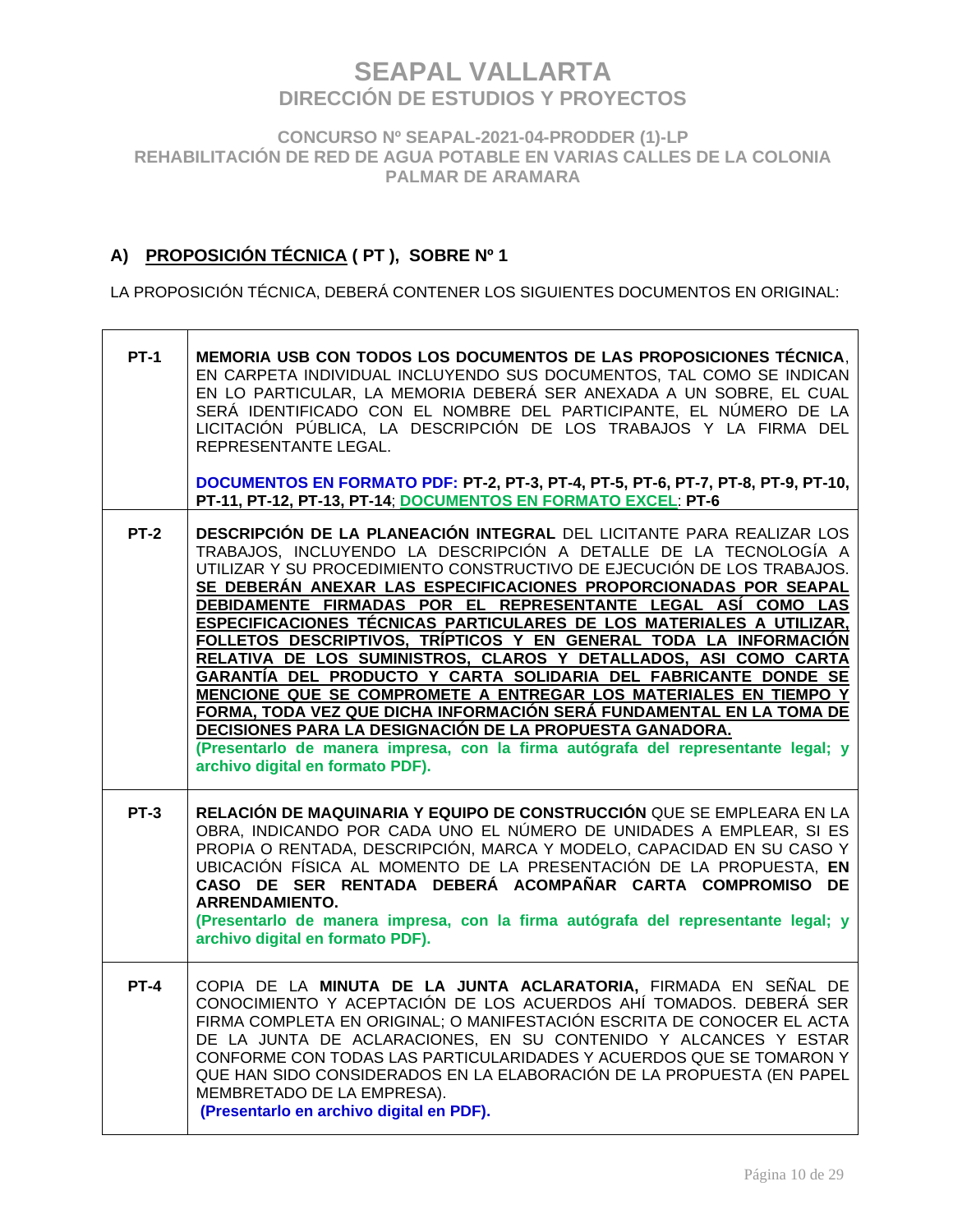**CONCURSO Nº SEAPAL-2021-04-PRODDER (1)-LP REHABILITACIÓN DE RED DE AGUA POTABLE EN VARIAS CALLES DE LA COLONIA PALMAR DE ARAMARA**

## **A) PROPOSICIÓN TÉCNICA ( PT ), SOBRE Nº 1**

LA PROPOSICIÓN TÉCNICA, DEBERÁ CONTENER LOS SIGUIENTES DOCUMENTOS EN ORIGINAL:

| <b>PT-1</b> | MEMORIA USB CON TODOS LOS DOCUMENTOS DE LAS PROPOSICIONES TÉCNICA,<br>EN CARPETA INDIVIDUAL INCLUYENDO SUS DOCUMENTOS, TAL COMO SE INDICAN<br>EN LO PARTICULAR, LA MEMORIA DEBERÁ SER ANEXADA A UN SOBRE, EL CUAL<br>SERÁ IDENTIFICADO CON EL NOMBRE DEL PARTICIPANTE, EL NÚMERO DE LA<br>LICITACIÓN PÚBLICA, LA DESCRIPCIÓN DE LOS TRABAJOS Y LA FIRMA DEL<br>REPRESENTANTE LEGAL.<br>DOCUMENTOS EN FORMATO PDF: PT-2, PT-3, PT-4, PT-5, PT-6, PT-7, PT-8, PT-9, PT-10,                                                                                                                                                                                                                                                                                                                                                                                                                                                                                                     |
|-------------|------------------------------------------------------------------------------------------------------------------------------------------------------------------------------------------------------------------------------------------------------------------------------------------------------------------------------------------------------------------------------------------------------------------------------------------------------------------------------------------------------------------------------------------------------------------------------------------------------------------------------------------------------------------------------------------------------------------------------------------------------------------------------------------------------------------------------------------------------------------------------------------------------------------------------------------------------------------------------|
|             | PT-11, PT-12, PT-13, PT-14; DOCUMENTOS EN FORMATO EXCEL: PT-6                                                                                                                                                                                                                                                                                                                                                                                                                                                                                                                                                                                                                                                                                                                                                                                                                                                                                                                |
| <b>PT-2</b> | DESCRIPCIÓN DE LA PLANEACIÓN INTEGRAL DEL LICITANTE PARA REALIZAR LOS<br>TRABAJOS, INCLUYENDO LA DESCRIPCIÓN A DETALLE DE LA TECNOLOGÍA A<br>UTILIZAR Y SU PROCEDIMIENTO CONSTRUCTIVO DE EJECUCIÓN DE LOS TRABAJOS.<br>SE DEBERÁN ANEXAR LAS ESPECIFICACIONES PROPORCIONADAS POR SEAPAL<br>DEBIDAMENTE FIRMADAS POR EL REPRESENTANTE LEGAL ASÍ COMO LAS<br>ESPECIFICACIONES TÉCNICAS PARTICULARES DE LOS MATERIALES A UTILIZAR,<br>FOLLETOS DESCRIPTIVOS, TRÍPTICOS Y EN GENERAL TODA LA INFORMACIÓN<br>RELATIVA DE LOS SUMINISTROS, CLAROS Y DETALLADOS, ASI COMO CARTA<br>GARANTÍA DEL PRODUCTO Y CARTA SOLIDARIA DEL FABRICANTE DONDE SE<br>MENCIONE QUE SE COMPROMETE A ENTREGAR LOS MATERIALES EN TIEMPO Y<br>FORMA, TODA VEZ QUE DICHA INFORMACIÓN SERÁ FUNDAMENTAL EN LA TOMA DE<br>DECISIONES PARA LA DESIGNACIÓN DE LA PROPUESTA GANADORA.<br>(Presentarlo de manera impresa, con la firma autógrafa del representante legal; y<br>archivo digital en formato PDF). |
| $PT-3$      | RELACIÓN DE MAQUINARIA Y EQUIPO DE CONSTRUCCIÓN QUE SE EMPLEARA EN LA<br>OBRA, INDICANDO POR CADA UNO EL NÚMERO DE UNIDADES A EMPLEAR, SI ES<br>PROPIA O RENTADA, DESCRIPCIÓN, MARCA Y MODELO, CAPACIDAD EN SU CASO Y<br>UBICACIÓN FÍSICA AL MOMENTO DE LA PRESENTACIÓN DE LA PROPUESTA, EN<br>CASO DE SER RENTADA DEBERÁ ACOMPAÑAR CARTA COMPROMISO DE<br><b>ARRENDAMIENTO.</b><br>(Presentarlo de manera impresa, con la firma autógrafa del representante legal; y<br>archivo digital en formato PDF).                                                                                                                                                                                                                                                                                                                                                                                                                                                                    |
| $PT-4$      | COPIA DE LA MINUTA DE LA JUNTA ACLARATORIA, FIRMADA EN SEÑAL DE<br>CONOCIMIENTO Y ACEPTACIÓN DE LOS ACUERDOS AHÍ TOMADOS. DEBERÁ SER<br>FIRMA COMPLETA EN ORIGINAL; O MANIFESTACIÓN ESCRITA DE CONOCER EL ACTA<br>DE LA JUNTA DE ACLARACIONES, EN SU CONTENIDO Y ALCANCES Y ESTAR<br>CONFORME CON TODAS LAS PARTICULARIDADES Y ACUERDOS QUE SE TOMARON Y<br>QUE HAN SIDO CONSIDERADOS EN LA ELABORACIÓN DE LA PROPUESTA (EN PAPEL<br>MEMBRETADO DE LA EMPRESA).<br>(Presentarlo en archivo digital en PDF).                                                                                                                                                                                                                                                                                                                                                                                                                                                                  |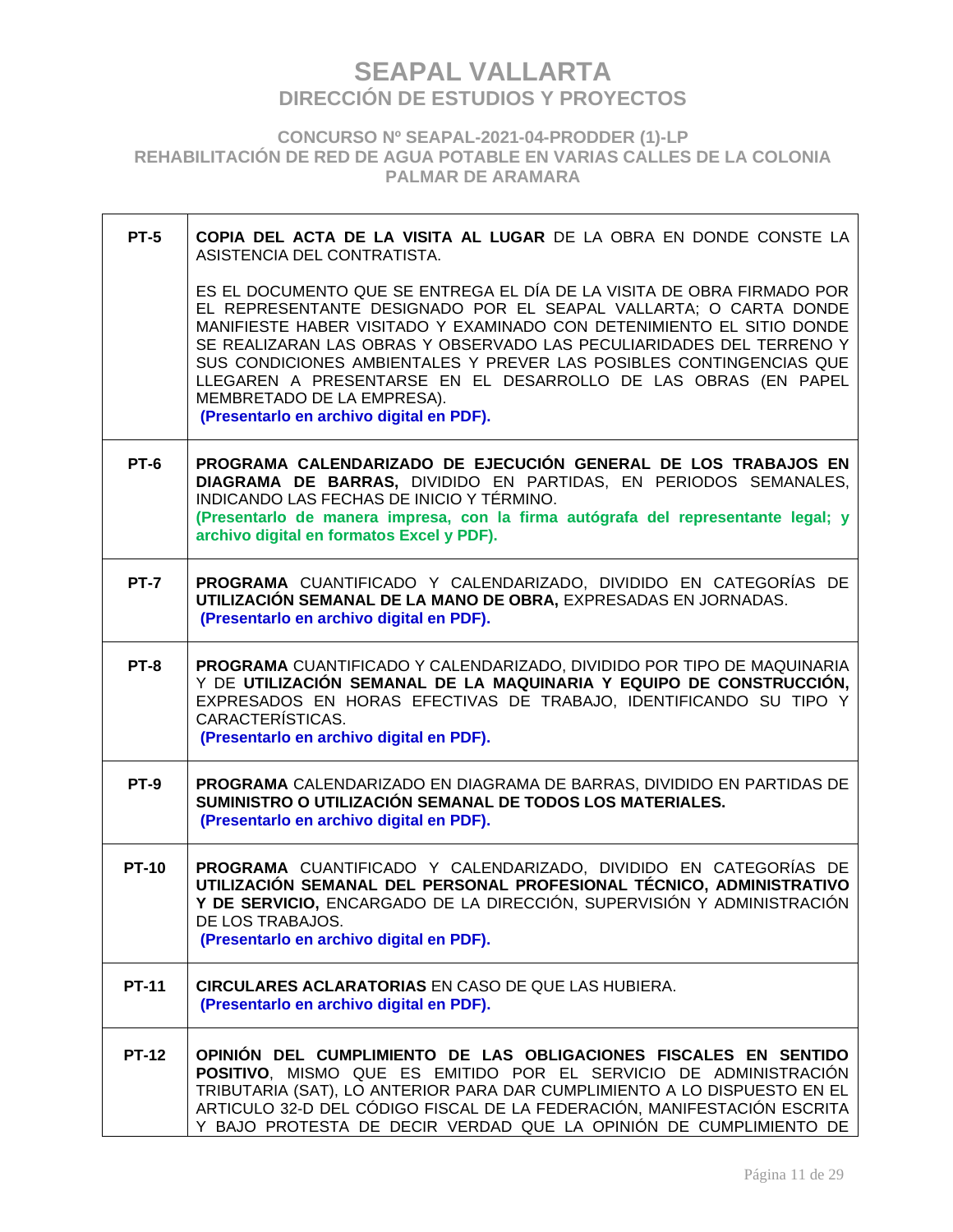**CONCURSO Nº SEAPAL-2021-04-PRODDER (1)-LP REHABILITACIÓN DE RED DE AGUA POTABLE EN VARIAS CALLES DE LA COLONIA PALMAR DE ARAMARA**

| $PT-5$       | COPIA DEL ACTA DE LA VISITA AL LUGAR DE LA OBRA EN DONDE CONSTE LA<br>ASISTENCIA DEL CONTRATISTA.                                                                                                                                                                                                                                                                                                                                                                                                              |
|--------------|----------------------------------------------------------------------------------------------------------------------------------------------------------------------------------------------------------------------------------------------------------------------------------------------------------------------------------------------------------------------------------------------------------------------------------------------------------------------------------------------------------------|
|              | ES EL DOCUMENTO QUE SE ENTREGA EL DÍA DE LA VISITA DE OBRA FIRMADO POR<br>EL REPRESENTANTE DESIGNADO POR EL SEAPAL VALLARTA; O CARTA DONDE<br>MANIFIESTE HABER VISITADO Y EXAMINADO CON DETENIMIENTO EL SITIO DONDE<br>SE REALIZARAN LAS OBRAS Y OBSERVADO LAS PECULIARIDADES DEL TERRENO Y<br>SUS CONDICIONES AMBIENTALES Y PREVER LAS POSIBLES CONTINGENCIAS QUE<br>LLEGAREN A PRESENTARSE EN EL DESARROLLO DE LAS OBRAS (EN PAPEL<br>MEMBRETADO DE LA EMPRESA).<br>(Presentarlo en archivo digital en PDF). |
| <b>PT-6</b>  | PROGRAMA CALENDARIZADO DE EJECUCIÓN GENERAL DE LOS TRABAJOS EN<br>DIAGRAMA DE BARRAS, DIVIDIDO EN PARTIDAS, EN PERIODOS SEMANALES,<br>INDICANDO LAS FECHAS DE INICIO Y TÉRMINO.<br>(Presentarlo de manera impresa, con la firma autógrafa del representante legal; y<br>archivo digital en formatos Excel y PDF).                                                                                                                                                                                              |
| <b>PT-7</b>  | PROGRAMA CUANTIFICADO Y CALENDARIZADO, DIVIDIDO EN CATEGORÍAS DE<br>UTILIZACIÓN SEMANAL DE LA MANO DE OBRA, EXPRESADAS EN JORNADAS.<br>(Presentarlo en archivo digital en PDF).                                                                                                                                                                                                                                                                                                                                |
| <b>PT-8</b>  | PROGRAMA CUANTIFICADO Y CALENDARIZADO, DIVIDIDO POR TIPO DE MAQUINARIA<br>Y DE UTILIZACIÓN SEMANAL DE LA MAQUINARIA Y EQUIPO DE CONSTRUCCIÓN,<br>EXPRESADOS EN HORAS EFECTIVAS DE TRABAJO, IDENTIFICANDO SU TIPO Y<br>CARACTERÍSTICAS.<br>(Presentarlo en archivo digital en PDF).                                                                                                                                                                                                                             |
| <b>PT-9</b>  | PROGRAMA CALENDARIZADO EN DIAGRAMA DE BARRAS, DIVIDIDO EN PARTIDAS DE<br>SUMINISTRO O UTILIZACIÓN SEMANAL DE TODOS LOS MATERIALES.<br>(Presentarlo en archivo digital en PDF).                                                                                                                                                                                                                                                                                                                                 |
| <b>PT-10</b> | PROGRAMA CUANTIFICADO Y CALENDARIZADO, DIVIDIDO EN CATEGORÍAS DE<br>UTILIZACIÓN SEMANAL DEL PERSONAL PROFESIONAL TÉCNICO, ADMINISTRATIVO<br>Y DE SERVICIO, ENCARGADO DE LA DIRECCIÓN, SUPERVISIÓN Y ADMINISTRACIÓN<br>DE LOS TRABAJOS.<br>(Presentarlo en archivo digital en PDF).                                                                                                                                                                                                                             |
| <b>PT-11</b> | <b>CIRCULARES ACLARATORIAS EN CASO DE QUE LAS HUBIERA.</b><br>(Presentarlo en archivo digital en PDF).                                                                                                                                                                                                                                                                                                                                                                                                         |
| <b>PT-12</b> | OPINIÓN DEL CUMPLIMIENTO DE LAS OBLIGACIONES FISCALES EN SENTIDO<br>POSITIVO, MISMO QUE ES EMITIDO POR EL SERVICIO DE ADMINISTRACIÓN<br>TRIBUTARIA (SAT), LO ANTERIOR PARA DAR CUMPLIMIENTO A LO DISPUESTO EN EL<br>ARTICULO 32-D DEL CÓDIGO FISCAL DE LA FEDERACIÓN, MANIFESTACIÓN ESCRITA<br>Y BAJO PROTESTA DE DECIR VERDAD QUE LA OPINIÓN DE CUMPLIMIENTO DE                                                                                                                                               |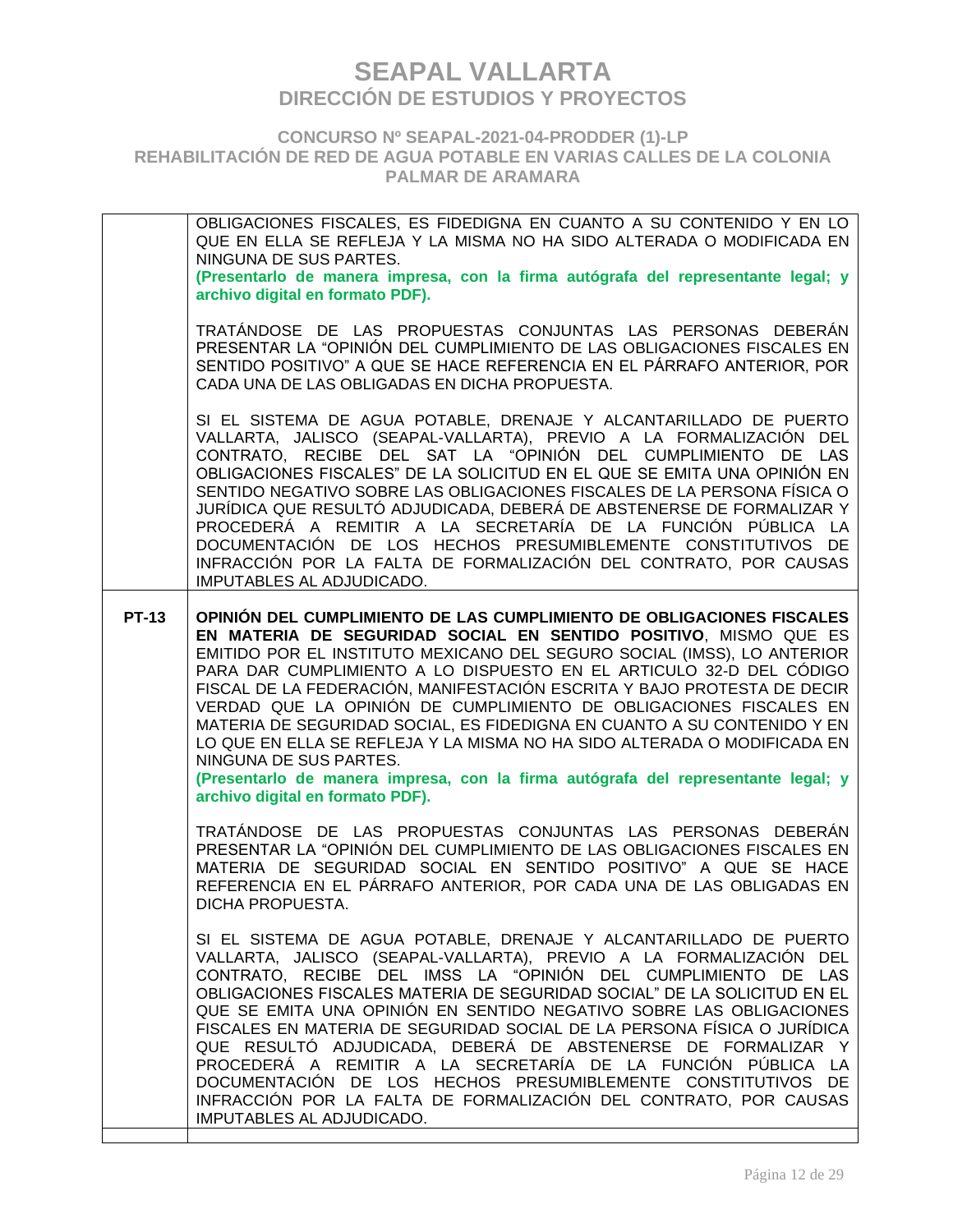**CONCURSO Nº SEAPAL-2021-04-PRODDER (1)-LP REHABILITACIÓN DE RED DE AGUA POTABLE EN VARIAS CALLES DE LA COLONIA PALMAR DE ARAMARA**

OBLIGACIONES FISCALES, ES FIDEDIGNA EN CUANTO A SU CONTENIDO Y EN LO QUE EN ELLA SE REFLEJA Y LA MISMA NO HA SIDO ALTERADA O MODIFICADA EN NINGUNA DE SUS PARTES. **(Presentarlo de manera impresa, con la firma autógrafa del representante legal; y archivo digital en formato PDF).**  TRATÁNDOSE DE LAS PROPUESTAS CONJUNTAS LAS PERSONAS DEBERÁN PRESENTAR LA "OPINIÓN DEL CUMPLIMIENTO DE LAS OBLIGACIONES FISCALES EN SENTIDO POSITIVO" A QUE SE HACE REFERENCIA EN EL PÁRRAFO ANTERIOR, POR CADA UNA DE LAS OBLIGADAS EN DICHA PROPUESTA. SI EL SISTEMA DE AGUA POTABLE, DRENAJE Y ALCANTARILLADO DE PUERTO VALLARTA, JALISCO (SEAPAL-VALLARTA), PREVIO A LA FORMALIZACIÓN DEL CONTRATO, RECIBE DEL SAT LA "OPINIÓN DEL CUMPLIMIENTO DE LAS OBLIGACIONES FISCALES" DE LA SOLICITUD EN EL QUE SE EMITA UNA OPINIÓN EN SENTIDO NEGATIVO SOBRE LAS OBLIGACIONES FISCALES DE LA PERSONA FÍSICA O JURÍDICA QUE RESULTÓ ADJUDICADA, DEBERÁ DE ABSTENERSE DE FORMALIZAR Y PROCEDERÁ A REMITIR A LA SECRETARÍA DE LA FUNCIÓN PÚBLICA LA DOCUMENTACIÓN DE LOS HECHOS PRESUMIBLEMENTE CONSTITUTIVOS DE INFRACCIÓN POR LA FALTA DE FORMALIZACIÓN DEL CONTRATO, POR CAUSAS IMPUTABLES AL ADJUDICADO. **PT-13 OPINIÓN DEL CUMPLIMIENTO DE LAS CUMPLIMIENTO DE OBLIGACIONES FISCALES EN MATERIA DE SEGURIDAD SOCIAL EN SENTIDO POSITIVO**, MISMO QUE ES EMITIDO POR EL INSTITUTO MEXICANO DEL SEGURO SOCIAL (IMSS), LO ANTERIOR PARA DAR CUMPLIMIENTO A LO DISPUESTO EN EL ARTICULO 32-D DEL CÓDIGO FISCAL DE LA FEDERACIÓN, MANIFESTACIÓN ESCRITA Y BAJO PROTESTA DE DECIR VERDAD QUE LA OPINIÓN DE CUMPLIMIENTO DE OBLIGACIONES FISCALES EN MATERIA DE SEGURIDAD SOCIAL, ES FIDEDIGNA EN CUANTO A SU CONTENIDO Y EN LO QUE EN ELLA SE REFLEJA Y LA MISMA NO HA SIDO ALTERADA O MODIFICADA EN NINGUNA DE SUS PARTES. **(Presentarlo de manera impresa, con la firma autógrafa del representante legal; y archivo digital en formato PDF).**  TRATÁNDOSE DE LAS PROPUESTAS CONJUNTAS LAS PERSONAS DEBERÁN PRESENTAR LA "OPINIÓN DEL CUMPLIMIENTO DE LAS OBLIGACIONES FISCALES EN MATERIA DE SEGURIDAD SOCIAL EN SENTIDO POSITIVO" A QUE SE HACE REFERENCIA EN EL PÁRRAFO ANTERIOR, POR CADA UNA DE LAS OBLIGADAS EN DICHA PROPUESTA. SI EL SISTEMA DE AGUA POTABLE, DRENAJE Y ALCANTARILLADO DE PUERTO VALLARTA, JALISCO (SEAPAL-VALLARTA), PREVIO A LA FORMALIZACIÓN DEL CONTRATO, RECIBE DEL IMSS LA "OPINIÓN DEL CUMPLIMIENTO DE LAS OBLIGACIONES FISCALES MATERIA DE SEGURIDAD SOCIAL" DE LA SOLICITUD EN EL QUE SE EMITA UNA OPINIÓN EN SENTIDO NEGATIVO SOBRE LAS OBLIGACIONES FISCALES EN MATERIA DE SEGURIDAD SOCIAL DE LA PERSONA FÍSICA O JURÍDICA QUE RESULTÓ ADJUDICADA, DEBERÁ DE ABSTENERSE DE FORMALIZAR Y PROCEDERÁ A REMITIR A LA SECRETARÍA DE LA FUNCIÓN PÚBLICA LA DOCUMENTACIÓN DE LOS HECHOS PRESUMIBLEMENTE CONSTITUTIVOS DE INFRACCIÓN POR LA FALTA DE FORMALIZACIÓN DEL CONTRATO, POR CAUSAS IMPUTABLES AL ADJUDICADO.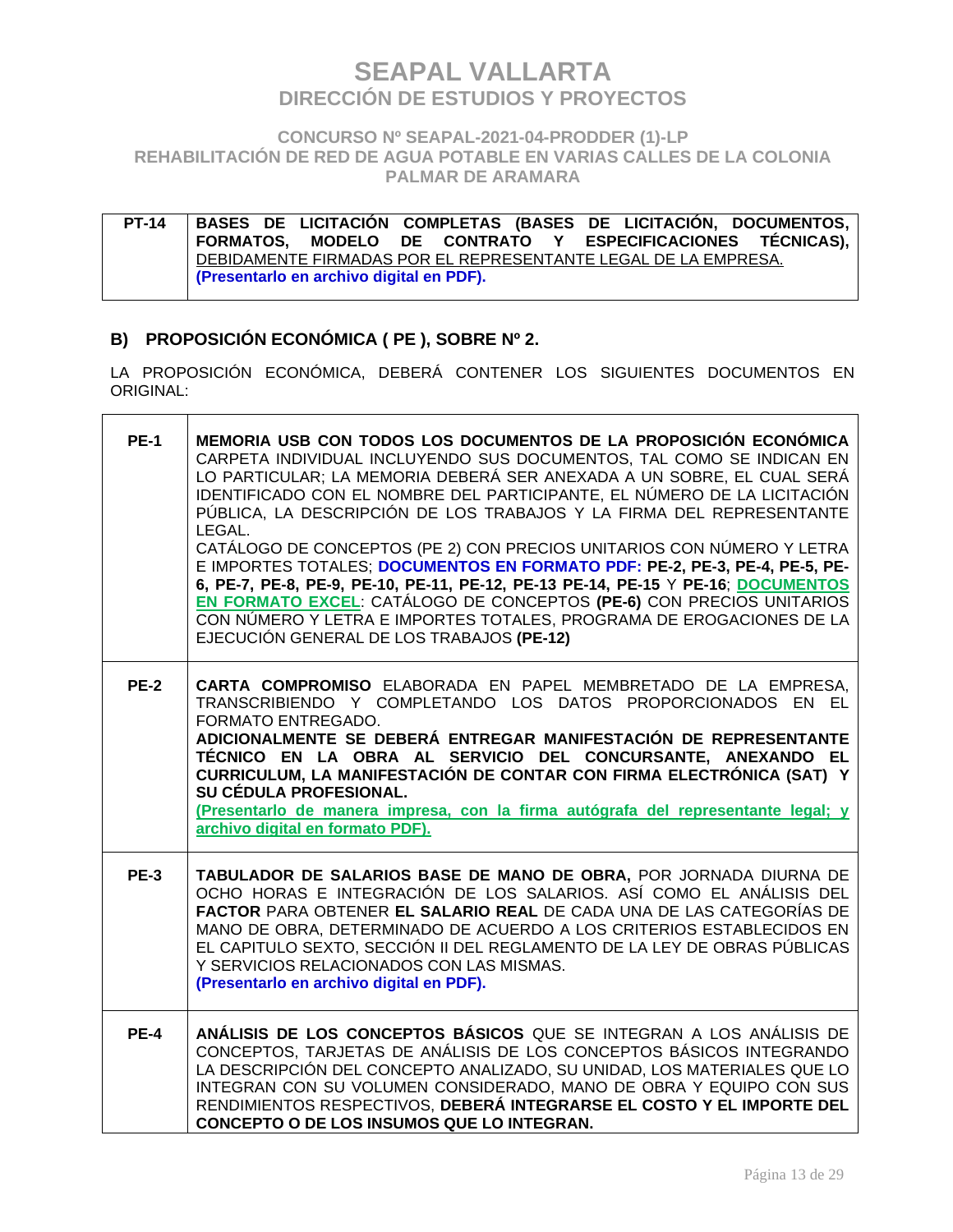### **CONCURSO Nº SEAPAL-2021-04-PRODDER (1)-LP REHABILITACIÓN DE RED DE AGUA POTABLE EN VARIAS CALLES DE LA COLONIA PALMAR DE ARAMARA**

**PT-14 BASES DE LICITACIÓN COMPLETAS (BASES DE LICITACIÓN, DOCUMENTOS, FORMATOS, MODELO DE CONTRATO Y ESPECIFICACIONES TÉCNICAS),**  DEBIDAMENTE FIRMADAS POR EL REPRESENTANTE LEGAL DE LA EMPRESA. **(Presentarlo en archivo digital en PDF).**

### **B) PROPOSICIÓN ECONÓMICA ( PE ), SOBRE Nº 2.**

 $\overline{\phantom{a}}$ 

LA PROPOSICIÓN ECONÓMICA, DEBERÁ CONTENER LOS SIGUIENTES DOCUMENTOS EN ORIGINAL:

| <b>PE-1</b> | MEMORIA USB CON TODOS LOS DOCUMENTOS DE LA PROPOSICIÓN ECONÓMICA<br>CARPETA INDIVIDUAL INCLUYENDO SUS DOCUMENTOS, TAL COMO SE INDICAN EN<br>LO PARTICULAR; LA MEMORIA DEBERÁ SER ANEXADA A UN SOBRE, EL CUAL SERÁ<br>IDENTIFICADO CON EL NOMBRE DEL PARTICIPANTE, EL NÚMERO DE LA LICITACIÓN<br>PÚBLICA, LA DESCRIPCIÓN DE LOS TRABAJOS Y LA FIRMA DEL REPRESENTANTE<br>LEGAL.<br>CATÁLOGO DE CONCEPTOS (PE 2) CON PRECIOS UNITARIOS CON NÚMERO Y LETRA<br>E IMPORTES TOTALES; DOCUMENTOS EN FORMATO PDF: PE-2, PE-3, PE-4, PE-5, PE-<br>6, PE-7, PE-8, PE-9, PE-10, PE-11, PE-12, PE-13 PE-14, PE-15 Y PE-16; DOCUMENTOS<br>EN FORMATO EXCEL: CATÁLOGO DE CONCEPTOS (PE-6) CON PRECIOS UNITARIOS<br>CON NÚMERO Y LETRA E IMPORTES TOTALES, PROGRAMA DE EROGACIONES DE LA<br>EJECUCIÓN GENERAL DE LOS TRABAJOS (PE-12) |
|-------------|------------------------------------------------------------------------------------------------------------------------------------------------------------------------------------------------------------------------------------------------------------------------------------------------------------------------------------------------------------------------------------------------------------------------------------------------------------------------------------------------------------------------------------------------------------------------------------------------------------------------------------------------------------------------------------------------------------------------------------------------------------------------------------------------------------------------|
| <b>PE-2</b> | CARTA COMPROMISO ELABORADA EN PAPEL MEMBRETADO DE LA EMPRESA,<br>TRANSCRIBIENDO Y COMPLETANDO LOS DATOS PROPORCIONADOS EN EL<br>FORMATO ENTREGADO.<br>ADICIONALMENTE SE DEBERÁ ENTREGAR MANIFESTACIÓN DE REPRESENTANTE<br>TÉCNICO EN LA OBRA AL SERVICIO DEL CONCURSANTE, ANEXANDO EL<br>CURRICULUM, LA MANIFESTACIÓN DE CONTAR CON FIRMA ELECTRÓNICA (SAT) Y<br>SU CÉDULA PROFESIONAL.<br>(Presentarlo de manera impresa, con la firma autógrafa del representante legal; y<br>archivo digital en formato PDF).                                                                                                                                                                                                                                                                                                       |
| <b>PE-3</b> | TABULADOR DE SALARIOS BASE DE MANO DE OBRA, POR JORNADA DIURNA DE<br>OCHO HORAS E INTEGRACIÓN DE LOS SALARIOS. ASÍ COMO EL ANÁLISIS DEL<br>FACTOR PARA OBTENER EL SALARIO REAL DE CADA UNA DE LAS CATEGORÍAS DE<br>MANO DE OBRA, DETERMINADO DE ACUERDO A LOS CRITERIOS ESTABLECIDOS EN<br>EL CAPITULO SEXTO, SECCIÓN II DEL REGLAMENTO DE LA LEY DE OBRAS PÚBLICAS<br>Y SERVICIOS RELACIONADOS CON LAS MISMAS.<br>(Presentarlo en archivo digital en PDF).                                                                                                                                                                                                                                                                                                                                                            |
| <b>PE-4</b> | ANÁLISIS DE LOS CONCEPTOS BÁSICOS QUE SE INTEGRAN A LOS ANÁLISIS DE<br>CONCEPTOS, TARJETAS DE ANÁLISIS DE LOS CONCEPTOS BÁSICOS INTEGRANDO<br>LA DESCRIPCIÓN DEL CONCEPTO ANALIZADO, SU UNIDAD, LOS MATERIALES QUE LO<br>INTEGRAN CON SU VOLUMEN CONSIDERADO, MANO DE OBRA Y EQUIPO CON SUS<br>RENDIMIENTOS RESPECTIVOS, DEBERÁ INTEGRARSE EL COSTO Y EL IMPORTE DEL<br>CONCEPTO O DE LOS INSUMOS QUE LO INTEGRAN.                                                                                                                                                                                                                                                                                                                                                                                                     |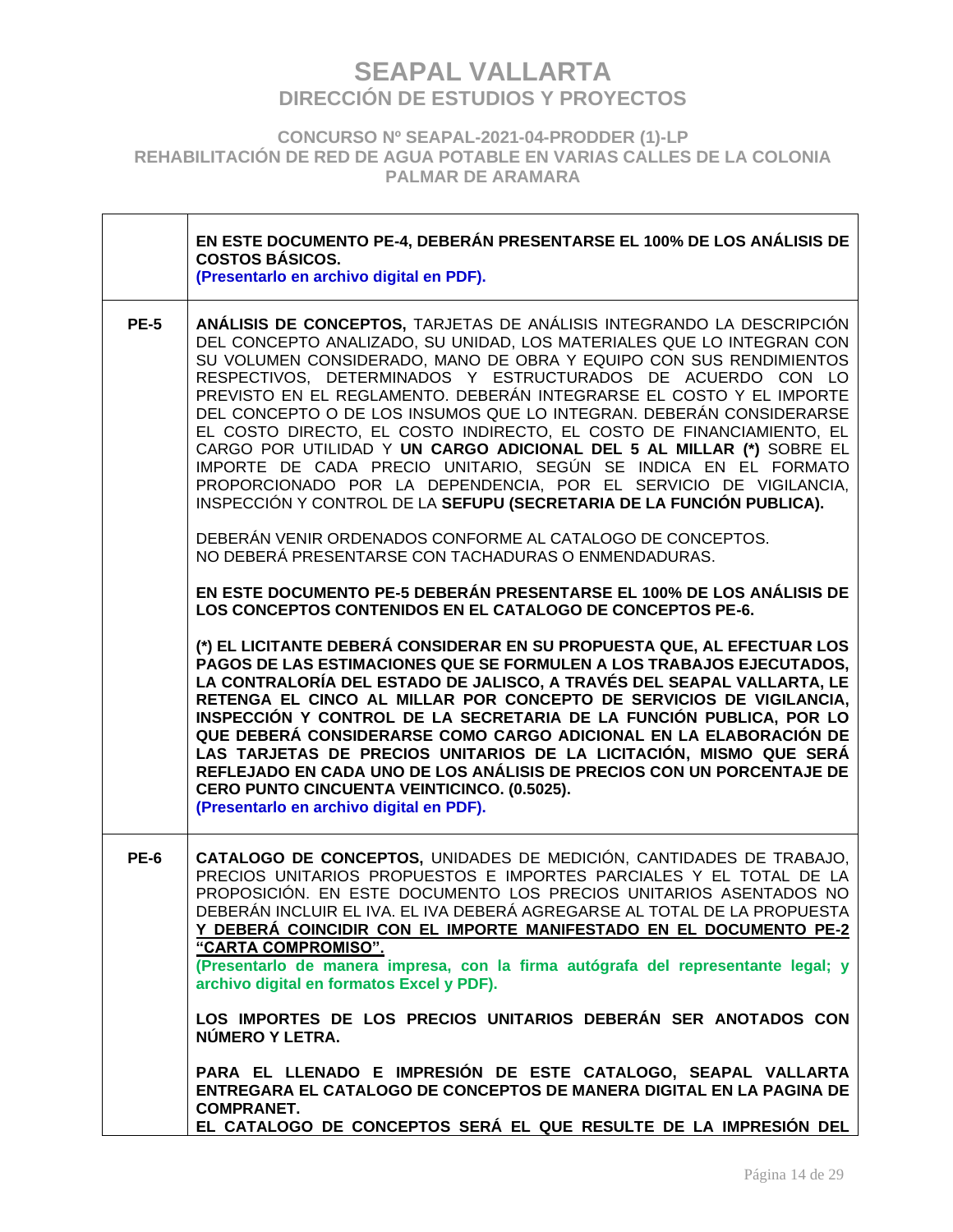**CONCURSO Nº SEAPAL-2021-04-PRODDER (1)-LP REHABILITACIÓN DE RED DE AGUA POTABLE EN VARIAS CALLES DE LA COLONIA PALMAR DE ARAMARA**

|             | EN ESTE DOCUMENTO PE-4, DEBERÁN PRESENTARSE EL 100% DE LOS ANÁLISIS DE<br><b>COSTOS BÁSICOS.</b><br>(Presentarlo en archivo digital en PDF).                                                                                                                                                                                                                                                                                                                                                                                                                                                                                                                                                                                                                                                     |
|-------------|--------------------------------------------------------------------------------------------------------------------------------------------------------------------------------------------------------------------------------------------------------------------------------------------------------------------------------------------------------------------------------------------------------------------------------------------------------------------------------------------------------------------------------------------------------------------------------------------------------------------------------------------------------------------------------------------------------------------------------------------------------------------------------------------------|
| <b>PE-5</b> | ANÁLISIS DE CONCEPTOS, TARJETAS DE ANÁLISIS INTEGRANDO LA DESCRIPCIÓN<br>DEL CONCEPTO ANALIZADO, SU UNIDAD, LOS MATERIALES QUE LO INTEGRAN CON<br>SU VOLUMEN CONSIDERADO, MANO DE OBRA Y EQUIPO CON SUS RENDIMIENTOS<br>RESPECTIVOS, DETERMINADOS Y ESTRUCTURADOS DE ACUERDO CON LO<br>PREVISTO EN EL REGLAMENTO. DEBERÁN INTEGRARSE EL COSTO Y EL IMPORTE<br>DEL CONCEPTO O DE LOS INSUMOS QUE LO INTEGRAN. DEBERÁN CONSIDERARSE<br>EL COSTO DIRECTO, EL COSTO INDIRECTO, EL COSTO DE FINANCIAMIENTO, EL<br>CARGO POR UTILIDAD Y UN CARGO ADICIONAL DEL 5 AL MILLAR (*) SOBRE EL<br>IMPORTE DE CADA PRECIO UNITARIO, SEGÚN SE INDICA EN EL FORMATO<br>PROPORCIONADO POR LA DEPENDENCIA, POR EL SERVICIO DE VIGILANCIA,<br>INSPECCIÓN Y CONTROL DE LA SEFUPU (SECRETARIA DE LA FUNCIÓN PUBLICA). |
|             | DEBERÁN VENIR ORDENADOS CONFORME AL CATALOGO DE CONCEPTOS.<br>NO DEBERÁ PRESENTARSE CON TACHADURAS O ENMENDADURAS.                                                                                                                                                                                                                                                                                                                                                                                                                                                                                                                                                                                                                                                                               |
|             | EN ESTE DOCUMENTO PE-5 DEBERÁN PRESENTARSE EL 100% DE LOS ANÁLISIS DE<br>LOS CONCEPTOS CONTENIDOS EN EL CATALOGO DE CONCEPTOS PE-6.                                                                                                                                                                                                                                                                                                                                                                                                                                                                                                                                                                                                                                                              |
|             | (*) EL LICITANTE DEBERÁ CONSIDERAR EN SU PROPUESTA QUE, AL EFECTUAR LOS<br>PAGOS DE LAS ESTIMACIONES QUE SE FORMULEN A LOS TRABAJOS EJECUTADOS.<br>LA CONTRALORÍA DEL ESTADO DE JALISCO, A TRAVÉS DEL SEAPAL VALLARTA, LE<br>RETENGA EL CINCO AL MILLAR POR CONCEPTO DE SERVICIOS DE VIGILANCIA,<br>INSPECCIÓN Y CONTROL DE LA SECRETARIA DE LA FUNCIÓN PUBLICA, POR LO<br>QUE DEBERÁ CONSIDERARSE COMO CARGO ADICIONAL EN LA ELABORACIÓN DE<br>LAS TARJETAS DE PRECIOS UNITARIOS DE LA LICITACIÓN, MISMO QUE SERÁ<br>REFLEJADO EN CADA UNO DE LOS ANÁLISIS DE PRECIOS CON UN PORCENTAJE DE<br>CERO PUNTO CINCUENTA VEINTICINCO. (0.5025).<br>(Presentarlo en archivo digital en PDF).                                                                                                           |
| <b>PE-6</b> | CATALOGO DE CONCEPTOS, UNIDADES DE MEDICIÓN, CANTIDADES DE TRABAJO,<br>PRECIOS UNITARIOS PROPUESTOS E IMPORTES PARCIALES Y EL TOTAL DE LA<br>PROPOSICIÓN. EN ESTE DOCUMENTO LOS PRECIOS UNITARIOS ASENTADOS NO<br>DEBERÁN INCLUIR EL IVA. EL IVA DEBERÁ AGREGARSE AL TOTAL DE LA PROPUESTA<br>Y DEBERÁ COINCIDIR CON EL IMPORTE MANIFESTADO EN EL DOCUMENTO PE-2<br>"CARTA COMPROMISO".                                                                                                                                                                                                                                                                                                                                                                                                          |
|             | (Presentarlo de manera impresa, con la firma autógrafa del representante legal; y<br>archivo digital en formatos Excel y PDF).                                                                                                                                                                                                                                                                                                                                                                                                                                                                                                                                                                                                                                                                   |
|             | LOS IMPORTES DE LOS PRECIOS UNITARIOS DEBERÁN SER ANOTADOS CON<br>NÚMERO Y LETRA.                                                                                                                                                                                                                                                                                                                                                                                                                                                                                                                                                                                                                                                                                                                |
|             | PARA EL LLENADO E IMPRESIÓN DE ESTE CATALOGO, SEAPAL VALLARTA<br>ENTREGARA EL CATALOGO DE CONCEPTOS DE MANERA DIGITAL EN LA PAGINA DE<br><b>COMPRANET.</b><br>EL CATALOGO DE CONCEPTOS SERÁ EL QUE RESULTE DE LA IMPRESIÓN DEL                                                                                                                                                                                                                                                                                                                                                                                                                                                                                                                                                                   |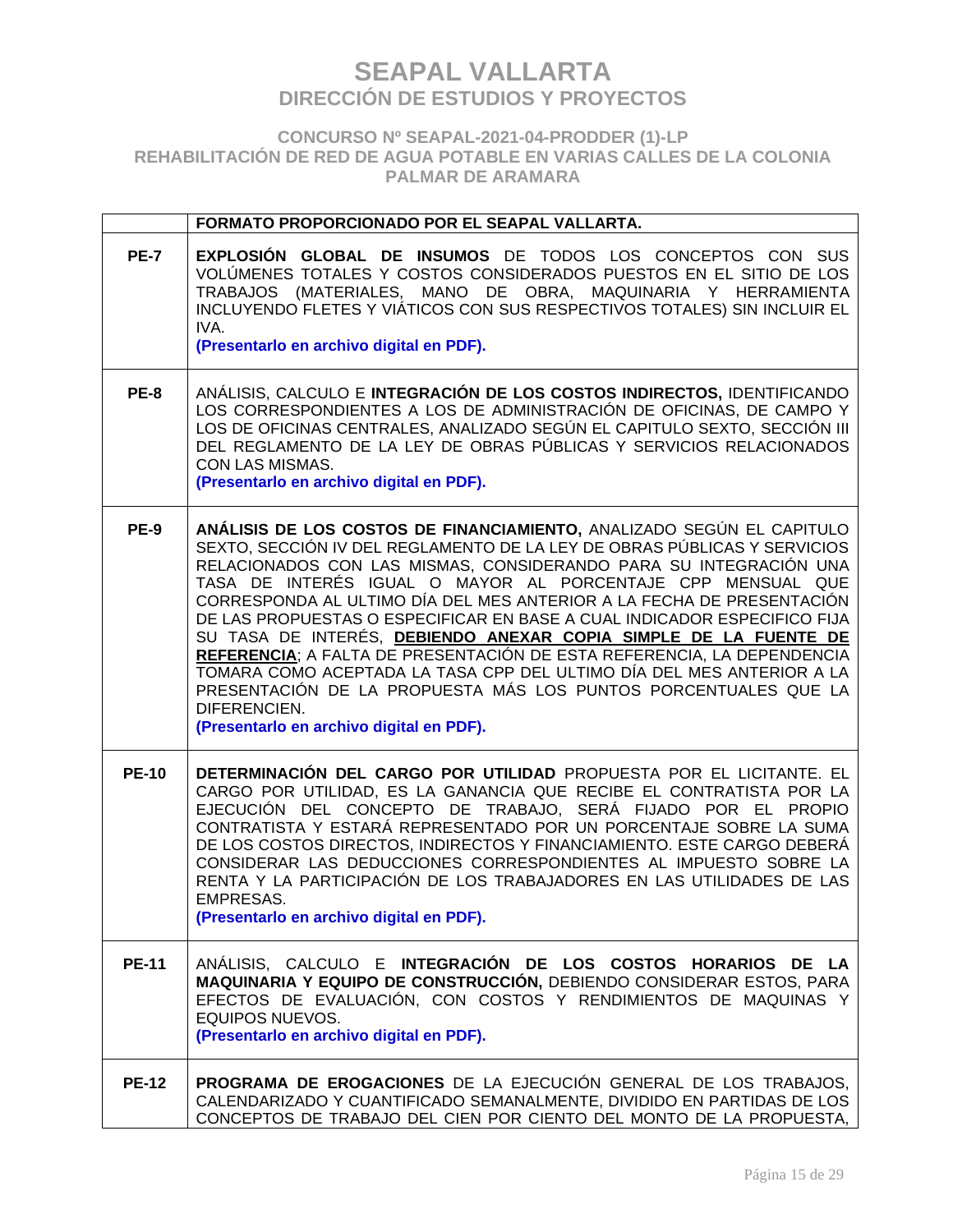### **CONCURSO Nº SEAPAL-2021-04-PRODDER (1)-LP REHABILITACIÓN DE RED DE AGUA POTABLE EN VARIAS CALLES DE LA COLONIA PALMAR DE ARAMARA**

|              | FORMATO PROPORCIONADO POR EL SEAPAL VALLARTA.                                                                                                                                                                                                                                                                                                                                                                                                                                                                                                                                                                                                                                                                                                                                                    |
|--------------|--------------------------------------------------------------------------------------------------------------------------------------------------------------------------------------------------------------------------------------------------------------------------------------------------------------------------------------------------------------------------------------------------------------------------------------------------------------------------------------------------------------------------------------------------------------------------------------------------------------------------------------------------------------------------------------------------------------------------------------------------------------------------------------------------|
| <b>PE-7</b>  | <b>EXPLOSIÓN GLOBAL DE INSUMOS</b> DE TODOS LOS CONCEPTOS CON SUS<br>VOLÚMENES TOTALES Y COSTOS CONSIDERADOS PUESTOS EN EL SITIO DE LOS<br>TRABAJOS (MATERIALES, MANO DE OBRA, MAQUINARIA Y HERRAMIENTA<br>INCLUYENDO FLETES Y VIÁTICOS CON SUS RESPECTIVOS TOTALES) SIN INCLUIR EL<br>IVA.<br>(Presentarlo en archivo digital en PDF).                                                                                                                                                                                                                                                                                                                                                                                                                                                          |
| <b>PE-8</b>  | ANÁLISIS, CALCULO E INTEGRACIÓN DE LOS COSTOS INDIRECTOS, IDENTIFICANDO<br>LOS CORRESPONDIENTES A LOS DE ADMINISTRACIÓN DE OFICINAS, DE CAMPO Y<br>LOS DE OFICINAS CENTRALES, ANALIZADO SEGÚN EL CAPITULO SEXTO, SECCIÓN III<br>DEL REGLAMENTO DE LA LEY DE OBRAS PÚBLICAS Y SERVICIOS RELACIONADOS<br>CON LAS MISMAS.<br>(Presentarlo en archivo digital en PDF).                                                                                                                                                                                                                                                                                                                                                                                                                               |
| <b>PE-9</b>  | ANÁLISIS DE LOS COSTOS DE FINANCIAMIENTO, ANALIZADO SEGÚN EL CAPITULO<br>SEXTO, SECCIÓN IV DEL REGLAMENTO DE LA LEY DE OBRAS PÚBLICAS Y SERVICIOS<br>RELACIONADOS CON LAS MISMAS, CONSIDERANDO PARA SU INTEGRACIÓN UNA<br>TASA DE INTERÉS IGUAL O MAYOR AL PORCENTAJE CPP MENSUAL QUE<br>CORRESPONDA AL ULTIMO DÍA DEL MES ANTERIOR A LA FECHA DE PRESENTACIÓN<br>DE LAS PROPUESTAS O ESPECIFICAR EN BASE A CUAL INDICADOR ESPECIFICO FIJA<br>SU TASA DE INTERÉS, DEBIENDO ANEXAR COPIA SIMPLE DE LA FUENTE DE<br>REFERENCIA; A FALTA DE PRESENTACIÓN DE ESTA REFERENCIA, LA DEPENDENCIA<br>TOMARA COMO ACEPTADA LA TASA CPP DEL ULTIMO DÍA DEL MES ANTERIOR A LA<br>PRESENTACIÓN DE LA PROPUESTA MÁS LOS PUNTOS PORCENTUALES QUE LA<br>DIFERENCIEN.<br>(Presentarlo en archivo digital en PDF). |
| <b>PE-10</b> | DETERMINACIÓN DEL CARGO POR UTILIDAD PROPUESTA POR EL LICITANTE. EL<br>CARGO POR UTILIDAD, ES LA GANANCIA QUE RECIBE EL CONTRATISTA POR LA<br>EJECUCIÓN DEL CONCEPTO DE TRABAJO, SERÁ FIJADO POR EL PROPIO<br>CONTRATISTA Y ESTARÁ REPRESENTADO POR UN PORCENTAJE SOBRE LA SUMA<br>DE LOS COSTOS DIRECTOS, INDIRECTOS Y FINANCIAMIENTO. ESTE CARGO DEBERÁ<br>CONSIDERAR LAS DEDUCCIONES CORRESPONDIENTES AL IMPUESTO SOBRE LA<br>RENTA Y LA PARTICIPACIÓN DE LOS TRABAJADORES EN LAS UTILIDADES DE LAS<br>EMPRESAS.<br>(Presentarlo en archivo digital en PDF).                                                                                                                                                                                                                                  |
| <b>PE-11</b> | ANÁLISIS, CALCULO E INTEGRACIÓN DE LOS COSTOS HORARIOS DE LA<br>MAQUINARIA Y EQUIPO DE CONSTRUCCIÓN, DEBIENDO CONSIDERAR ESTOS, PARA<br>EFECTOS DE EVALUACIÓN, CON COSTOS Y RENDIMIENTOS DE MAQUINAS Y<br><b>EQUIPOS NUEVOS.</b><br>(Presentarlo en archivo digital en PDF).                                                                                                                                                                                                                                                                                                                                                                                                                                                                                                                     |
| <b>PE-12</b> | PROGRAMA DE EROGACIONES DE LA EJECUCIÓN GENERAL DE LOS TRABAJOS,<br>CALENDARIZADO Y CUANTIFICADO SEMANALMENTE, DIVIDIDO EN PARTIDAS DE LOS<br>CONCEPTOS DE TRABAJO DEL CIEN POR CIENTO DEL MONTO DE LA PROPUESTA,                                                                                                                                                                                                                                                                                                                                                                                                                                                                                                                                                                                |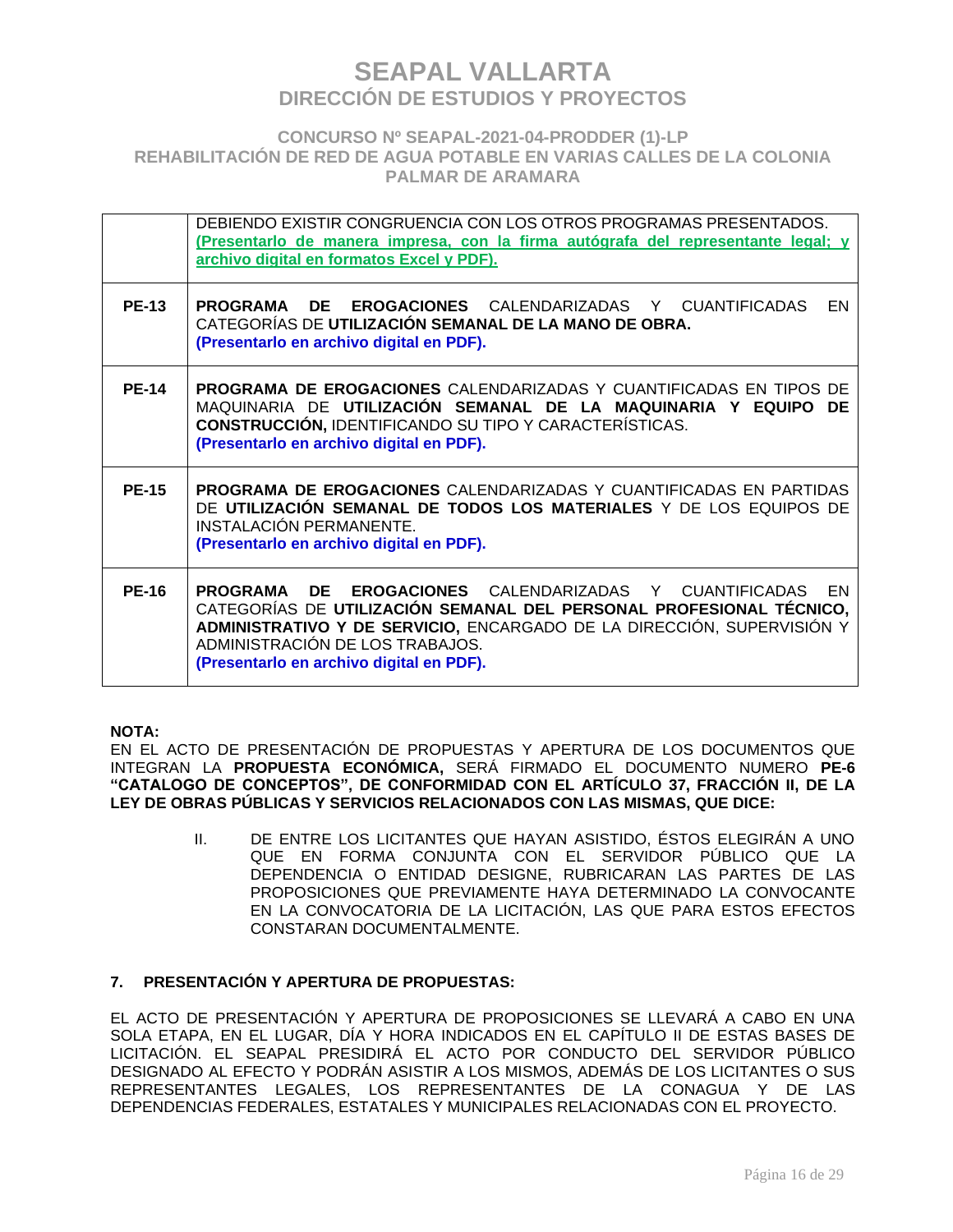### **CONCURSO Nº SEAPAL-2021-04-PRODDER (1)-LP REHABILITACIÓN DE RED DE AGUA POTABLE EN VARIAS CALLES DE LA COLONIA PALMAR DE ARAMARA**

|              | DEBIENDO EXISTIR CONGRUENCIA CON LOS OTROS PROGRAMAS PRESENTADOS.<br>(Presentarlo de manera impresa, con la firma autógrafa del representante legal; y<br>archivo digital en formatos Excel y PDF).                                                                                                     |
|--------------|---------------------------------------------------------------------------------------------------------------------------------------------------------------------------------------------------------------------------------------------------------------------------------------------------------|
| <b>PE-13</b> | <b>PROGRAMA DE EROGACIONES CALENDARIZADAS Y CUANTIFICADAS</b><br>EN<br>CATEGORÍAS DE UTILIZACIÓN SEMANAL DE LA MANO DE OBRA.<br>(Presentarlo en archivo digital en PDF).                                                                                                                                |
| <b>PE-14</b> | <b>PROGRAMA DE EROGACIONES</b> CALENDARIZADAS Y CUANTIFICADAS EN TIPOS DE<br>MAQUINARIA DE UTILIZACIÓN SEMANAL DE LA MAQUINARIA Y EQUIPO DE<br><b>CONSTRUCCIÓN, IDENTIFICANDO SU TIPO Y CARACTERÍSTICAS.</b><br>(Presentarlo en archivo digital en PDF).                                                |
| <b>PE-15</b> | <b>PROGRAMA DE EROGACIONES</b> CALENDARIZADAS Y CUANTIFICADAS EN PARTIDAS<br>DE UTILIZACIÓN SEMANAL DE TODOS LOS MATERIALES Y DE LOS EQUIPOS DE<br>INSTALACIÓN PERMANENTE.<br>(Presentarlo en archivo digital en PDF).                                                                                  |
| <b>PE-16</b> | DE.<br><b>EROGACIONES</b> CALENDARIZADAS Y CUANTIFICADAS EN<br>PROGRAMA<br>CATEGORÍAS DE UTILIZACIÓN SEMANAL DEL PERSONAL PROFESIONAL TÉCNICO,<br>ADMINISTRATIVO Y DE SERVICIO, ENCARGADO DE LA DIRECCIÓN, SUPERVISIÓN Y<br>ADMINISTRACIÓN DE LOS TRABAJOS.<br>(Presentarlo en archivo digital en PDF). |

### **NOTA:**

EN EL ACTO DE PRESENTACIÓN DE PROPUESTAS Y APERTURA DE LOS DOCUMENTOS QUE INTEGRAN LA **PROPUESTA ECONÓMICA,** SERÁ FIRMADO EL DOCUMENTO NUMERO **PE-6 "CATALOGO DE CONCEPTOS", DE CONFORMIDAD CON EL ARTÍCULO 37, FRACCIÓN II, DE LA LEY DE OBRAS PÚBLICAS Y SERVICIOS RELACIONADOS CON LAS MISMAS, QUE DICE:**

> II. DE ENTRE LOS LICITANTES QUE HAYAN ASISTIDO, ÉSTOS ELEGIRÁN A UNO QUE EN FORMA CONJUNTA CON EL SERVIDOR PÚBLICO QUE LA DEPENDENCIA O ENTIDAD DESIGNE, RUBRICARAN LAS PARTES DE LAS PROPOSICIONES QUE PREVIAMENTE HAYA DETERMINADO LA CONVOCANTE EN LA CONVOCATORIA DE LA LICITACIÓN, LAS QUE PARA ESTOS EFECTOS CONSTARAN DOCUMENTALMENTE.

### **7. PRESENTACIÓN Y APERTURA DE PROPUESTAS:**

EL ACTO DE PRESENTACIÓN Y APERTURA DE PROPOSICIONES SE LLEVARÁ A CABO EN UNA SOLA ETAPA, EN EL LUGAR, DÍA Y HORA INDICADOS EN EL CAPÍTULO II DE ESTAS BASES DE LICITACIÓN. EL SEAPAL PRESIDIRÁ EL ACTO POR CONDUCTO DEL SERVIDOR PÚBLICO DESIGNADO AL EFECTO Y PODRÁN ASISTIR A LOS MISMOS, ADEMÁS DE LOS LICITANTES O SUS REPRESENTANTES LEGALES, LOS REPRESENTANTES DE LA CONAGUA Y DE LAS DEPENDENCIAS FEDERALES, ESTATALES Y MUNICIPALES RELACIONADAS CON EL PROYECTO.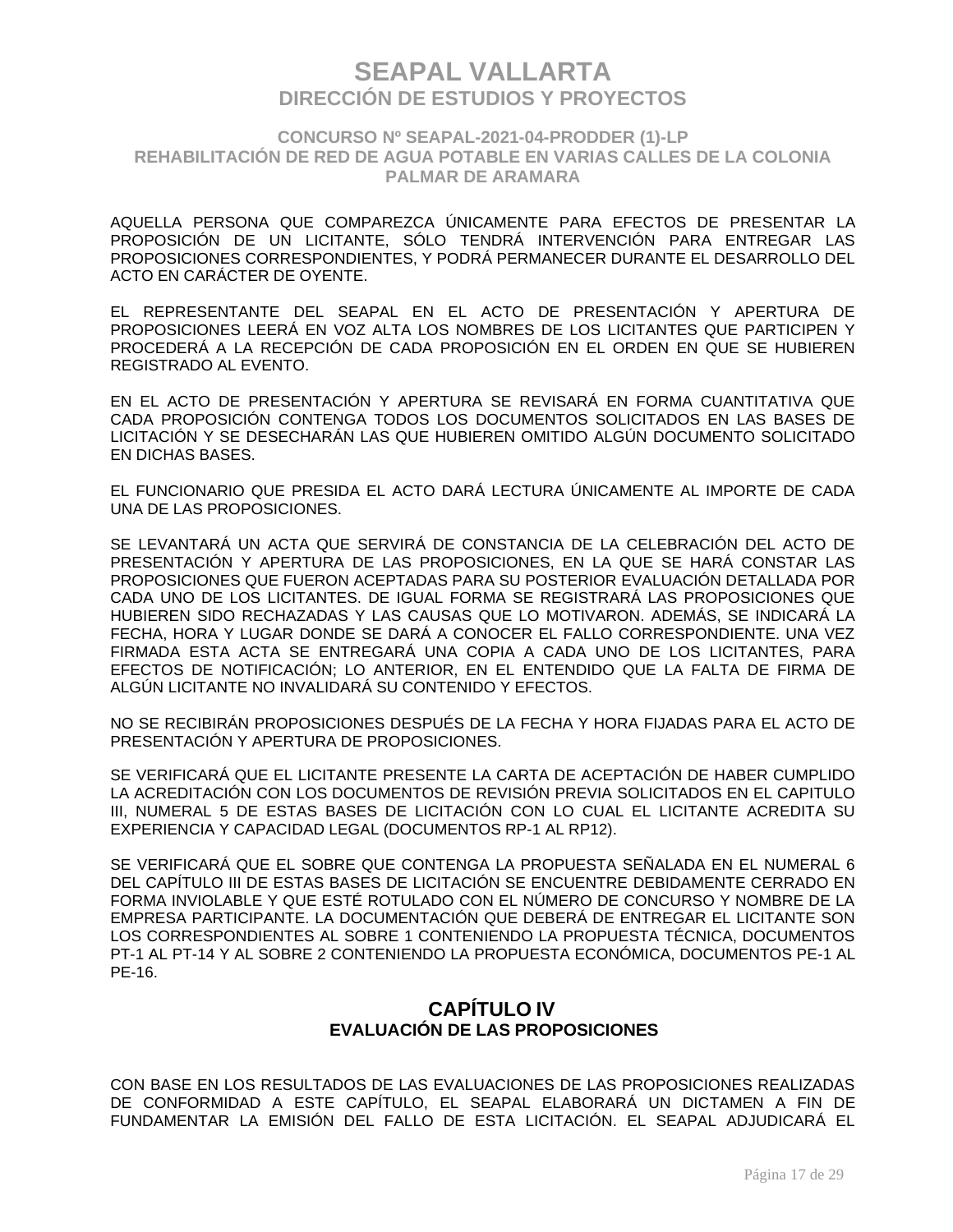### **CONCURSO Nº SEAPAL-2021-04-PRODDER (1)-LP REHABILITACIÓN DE RED DE AGUA POTABLE EN VARIAS CALLES DE LA COLONIA PALMAR DE ARAMARA**

AQUELLA PERSONA QUE COMPAREZCA ÚNICAMENTE PARA EFECTOS DE PRESENTAR LA PROPOSICIÓN DE UN LICITANTE, SÓLO TENDRÁ INTERVENCIÓN PARA ENTREGAR LAS PROPOSICIONES CORRESPONDIENTES, Y PODRÁ PERMANECER DURANTE EL DESARROLLO DEL ACTO EN CARÁCTER DE OYENTE.

EL REPRESENTANTE DEL SEAPAL EN EL ACTO DE PRESENTACIÓN Y APERTURA DE PROPOSICIONES LEERÁ EN VOZ ALTA LOS NOMBRES DE LOS LICITANTES QUE PARTICIPEN Y PROCEDERÁ A LA RECEPCIÓN DE CADA PROPOSICIÓN EN EL ORDEN EN QUE SE HUBIEREN REGISTRADO AL EVENTO.

EN EL ACTO DE PRESENTACIÓN Y APERTURA SE REVISARÁ EN FORMA CUANTITATIVA QUE CADA PROPOSICIÓN CONTENGA TODOS LOS DOCUMENTOS SOLICITADOS EN LAS BASES DE LICITACIÓN Y SE DESECHARÁN LAS QUE HUBIEREN OMITIDO ALGÚN DOCUMENTO SOLICITADO EN DICHAS BASES.

EL FUNCIONARIO QUE PRESIDA EL ACTO DARÁ LECTURA ÚNICAMENTE AL IMPORTE DE CADA UNA DE LAS PROPOSICIONES.

SE LEVANTARÁ UN ACTA QUE SERVIRÁ DE CONSTANCIA DE LA CELEBRACIÓN DEL ACTO DE PRESENTACIÓN Y APERTURA DE LAS PROPOSICIONES, EN LA QUE SE HARÁ CONSTAR LAS PROPOSICIONES QUE FUERON ACEPTADAS PARA SU POSTERIOR EVALUACIÓN DETALLADA POR CADA UNO DE LOS LICITANTES. DE IGUAL FORMA SE REGISTRARÁ LAS PROPOSICIONES QUE HUBIEREN SIDO RECHAZADAS Y LAS CAUSAS QUE LO MOTIVARON. ADEMÁS, SE INDICARÁ LA FECHA, HORA Y LUGAR DONDE SE DARÁ A CONOCER EL FALLO CORRESPONDIENTE. UNA VEZ FIRMADA ESTA ACTA SE ENTREGARÁ UNA COPIA A CADA UNO DE LOS LICITANTES, PARA EFECTOS DE NOTIFICACIÓN; LO ANTERIOR, EN EL ENTENDIDO QUE LA FALTA DE FIRMA DE ALGÚN LICITANTE NO INVALIDARÁ SU CONTENIDO Y EFECTOS.

NO SE RECIBIRÁN PROPOSICIONES DESPUÉS DE LA FECHA Y HORA FIJADAS PARA EL ACTO DE PRESENTACIÓN Y APERTURA DE PROPOSICIONES.

SE VERIFICARÁ QUE EL LICITANTE PRESENTE LA CARTA DE ACEPTACIÓN DE HABER CUMPLIDO LA ACREDITACIÓN CON LOS DOCUMENTOS DE REVISIÓN PREVIA SOLICITADOS EN EL CAPITULO III, NUMERAL 5 DE ESTAS BASES DE LICITACIÓN CON LO CUAL EL LICITANTE ACREDITA SU EXPERIENCIA Y CAPACIDAD LEGAL (DOCUMENTOS RP-1 AL RP12).

SE VERIFICARÁ QUE EL SOBRE QUE CONTENGA LA PROPUESTA SEÑALADA EN EL NUMERAL 6 DEL CAPÍTULO III DE ESTAS BASES DE LICITACIÓN SE ENCUENTRE DEBIDAMENTE CERRADO EN FORMA INVIOLABLE Y QUE ESTÉ ROTULADO CON EL NÚMERO DE CONCURSO Y NOMBRE DE LA EMPRESA PARTICIPANTE. LA DOCUMENTACIÓN QUE DEBERÁ DE ENTREGAR EL LICITANTE SON LOS CORRESPONDIENTES AL SOBRE 1 CONTENIENDO LA PROPUESTA TÉCNICA, DOCUMENTOS PT-1 AL PT-14 Y AL SOBRE 2 CONTENIENDO LA PROPUESTA ECONÓMICA, DOCUMENTOS PE-1 AL PE-16.

### **CAPÍTULO IV EVALUACIÓN DE LAS PROPOSICIONES**

CON BASE EN LOS RESULTADOS DE LAS EVALUACIONES DE LAS PROPOSICIONES REALIZADAS DE CONFORMIDAD A ESTE CAPÍTULO, EL SEAPAL ELABORARÁ UN DICTAMEN A FIN DE FUNDAMENTAR LA EMISIÓN DEL FALLO DE ESTA LICITACIÓN. EL SEAPAL ADJUDICARÁ EL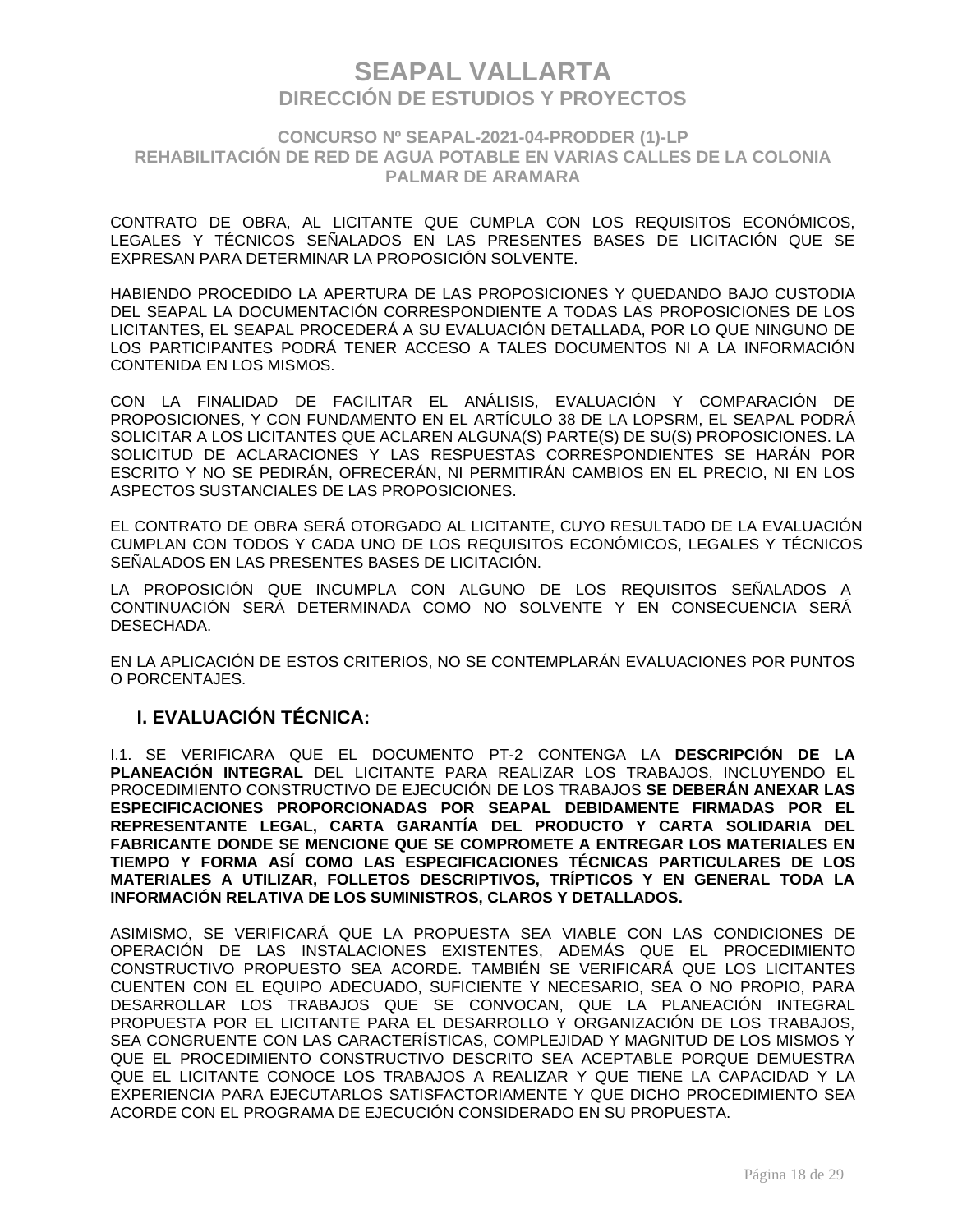### **CONCURSO Nº SEAPAL-2021-04-PRODDER (1)-LP REHABILITACIÓN DE RED DE AGUA POTABLE EN VARIAS CALLES DE LA COLONIA PALMAR DE ARAMARA**

CONTRATO DE OBRA, AL LICITANTE QUE CUMPLA CON LOS REQUISITOS ECONÓMICOS, LEGALES Y TÉCNICOS SEÑALADOS EN LAS PRESENTES BASES DE LICITACIÓN QUE SE EXPRESAN PARA DETERMINAR LA PROPOSICIÓN SOLVENTE.

HABIENDO PROCEDIDO LA APERTURA DE LAS PROPOSICIONES Y QUEDANDO BAJO CUSTODIA DEL SEAPAL LA DOCUMENTACIÓN CORRESPONDIENTE A TODAS LAS PROPOSICIONES DE LOS LICITANTES, EL SEAPAL PROCEDERÁ A SU EVALUACIÓN DETALLADA, POR LO QUE NINGUNO DE LOS PARTICIPANTES PODRÁ TENER ACCESO A TALES DOCUMENTOS NI A LA INFORMACIÓN CONTENIDA EN LOS MISMOS.

CON LA FINALIDAD DE FACILITAR EL ANÁLISIS, EVALUACIÓN Y COMPARACIÓN DE PROPOSICIONES, Y CON FUNDAMENTO EN EL ARTÍCULO 38 DE LA LOPSRM, EL SEAPAL PODRÁ SOLICITAR A LOS LICITANTES QUE ACLAREN ALGUNA(S) PARTE(S) DE SU(S) PROPOSICIONES. LA SOLICITUD DE ACLARACIONES Y LAS RESPUESTAS CORRESPONDIENTES SE HARÁN POR ESCRITO Y NO SE PEDIRÁN, OFRECERÁN, NI PERMITIRÁN CAMBIOS EN EL PRECIO, NI EN LOS ASPECTOS SUSTANCIALES DE LAS PROPOSICIONES.

EL CONTRATO DE OBRA SERÁ OTORGADO AL LICITANTE, CUYO RESULTADO DE LA EVALUACIÓN CUMPLAN CON TODOS Y CADA UNO DE LOS REQUISITOS ECONÓMICOS, LEGALES Y TÉCNICOS SEÑALADOS EN LAS PRESENTES BASES DE LICITACIÓN.

LA PROPOSICIÓN QUE INCUMPLA CON ALGUNO DE LOS REQUISITOS SEÑALADOS A CONTINUACIÓN SERÁ DETERMINADA COMO NO SOLVENTE Y EN CONSECUENCIA SERÁ DESECHADA.

EN LA APLICACIÓN DE ESTOS CRITERIOS, NO SE CONTEMPLARÁN EVALUACIONES POR PUNTOS O PORCENTAJES.

### **I. EVALUACIÓN TÉCNICA:**

I.1. SE VERIFICARA QUE EL DOCUMENTO PT-2 CONTENGA LA **DESCRIPCIÓN DE LA PLANEACIÓN INTEGRAL** DEL LICITANTE PARA REALIZAR LOS TRABAJOS, INCLUYENDO EL PROCEDIMIENTO CONSTRUCTIVO DE EJECUCIÓN DE LOS TRABAJOS **SE DEBERÁN ANEXAR LAS ESPECIFICACIONES PROPORCIONADAS POR SEAPAL DEBIDAMENTE FIRMADAS POR EL REPRESENTANTE LEGAL, CARTA GARANTÍA DEL PRODUCTO Y CARTA SOLIDARIA DEL FABRICANTE DONDE SE MENCIONE QUE SE COMPROMETE A ENTREGAR LOS MATERIALES EN TIEMPO Y FORMA ASÍ COMO LAS ESPECIFICACIONES TÉCNICAS PARTICULARES DE LOS MATERIALES A UTILIZAR, FOLLETOS DESCRIPTIVOS, TRÍPTICOS Y EN GENERAL TODA LA INFORMACIÓN RELATIVA DE LOS SUMINISTROS, CLAROS Y DETALLADOS.**

ASIMISMO, SE VERIFICARÁ QUE LA PROPUESTA SEA VIABLE CON LAS CONDICIONES DE OPERACIÓN DE LAS INSTALACIONES EXISTENTES, ADEMÁS QUE EL PROCEDIMIENTO CONSTRUCTIVO PROPUESTO SEA ACORDE. TAMBIÉN SE VERIFICARÁ QUE LOS LICITANTES CUENTEN CON EL EQUIPO ADECUADO, SUFICIENTE Y NECESARIO, SEA O NO PROPIO, PARA DESARROLLAR LOS TRABAJOS QUE SE CONVOCAN, QUE LA PLANEACIÓN INTEGRAL PROPUESTA POR EL LICITANTE PARA EL DESARROLLO Y ORGANIZACIÓN DE LOS TRABAJOS, SEA CONGRUENTE CON LAS CARACTERÍSTICAS, COMPLEJIDAD Y MAGNITUD DE LOS MISMOS Y QUE EL PROCEDIMIENTO CONSTRUCTIVO DESCRITO SEA ACEPTABLE PORQUE DEMUESTRA QUE EL LICITANTE CONOCE LOS TRABAJOS A REALIZAR Y QUE TIENE LA CAPACIDAD Y LA EXPERIENCIA PARA EJECUTARLOS SATISFACTORIAMENTE Y QUE DICHO PROCEDIMIENTO SEA ACORDE CON EL PROGRAMA DE EJECUCIÓN CONSIDERADO EN SU PROPUESTA.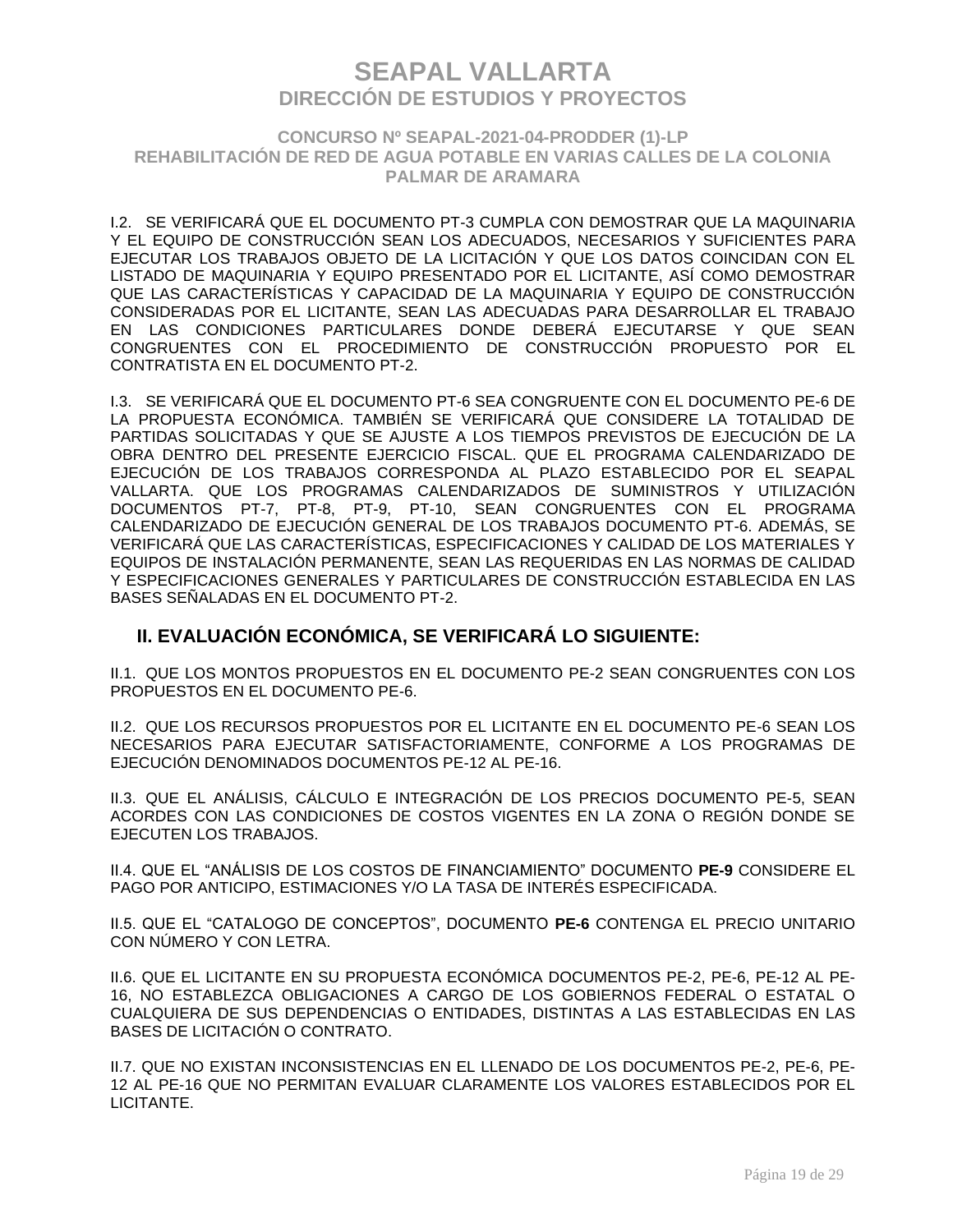### **CONCURSO Nº SEAPAL-2021-04-PRODDER (1)-LP REHABILITACIÓN DE RED DE AGUA POTABLE EN VARIAS CALLES DE LA COLONIA PALMAR DE ARAMARA**

I.2. SE VERIFICARÁ QUE EL DOCUMENTO PT-3 CUMPLA CON DEMOSTRAR QUE LA MAQUINARIA Y EL EQUIPO DE CONSTRUCCIÓN SEAN LOS ADECUADOS, NECESARIOS Y SUFICIENTES PARA EJECUTAR LOS TRABAJOS OBJETO DE LA LICITACIÓN Y QUE LOS DATOS COINCIDAN CON EL LISTADO DE MAQUINARIA Y EQUIPO PRESENTADO POR EL LICITANTE, ASÍ COMO DEMOSTRAR QUE LAS CARACTERÍSTICAS Y CAPACIDAD DE LA MAQUINARIA Y EQUIPO DE CONSTRUCCIÓN CONSIDERADAS POR EL LICITANTE, SEAN LAS ADECUADAS PARA DESARROLLAR EL TRABAJO EN LAS CONDICIONES PARTICULARES DONDE DEBERÁ EJECUTARSE Y QUE SEAN CONGRUENTES CON EL PROCEDIMIENTO DE CONSTRUCCIÓN PROPUESTO POR EL CONTRATISTA EN EL DOCUMENTO PT-2.

I.3. SE VERIFICARÁ QUE EL DOCUMENTO PT-6 SEA CONGRUENTE CON EL DOCUMENTO PE-6 DE LA PROPUESTA ECONÓMICA. TAMBIÉN SE VERIFICARÁ QUE CONSIDERE LA TOTALIDAD DE PARTIDAS SOLICITADAS Y QUE SE AJUSTE A LOS TIEMPOS PREVISTOS DE EJECUCIÓN DE LA OBRA DENTRO DEL PRESENTE EJERCICIO FISCAL. QUE EL PROGRAMA CALENDARIZADO DE EJECUCIÓN DE LOS TRABAJOS CORRESPONDA AL PLAZO ESTABLECIDO POR EL SEAPAL VALLARTA. QUE LOS PROGRAMAS CALENDARIZADOS DE SUMINISTROS Y UTILIZACIÓN DOCUMENTOS PT-7, PT-8, PT-9, PT-10, SEAN CONGRUENTES CON EL PROGRAMA CALENDARIZADO DE EJECUCIÓN GENERAL DE LOS TRABAJOS DOCUMENTO PT-6. ADEMÁS, SE VERIFICARÁ QUE LAS CARACTERÍSTICAS, ESPECIFICACIONES Y CALIDAD DE LOS MATERIALES Y EQUIPOS DE INSTALACIÓN PERMANENTE, SEAN LAS REQUERIDAS EN LAS NORMAS DE CALIDAD Y ESPECIFICACIONES GENERALES Y PARTICULARES DE CONSTRUCCIÓN ESTABLECIDA EN LAS BASES SEÑALADAS EN EL DOCUMENTO PT-2.

## **II. EVALUACIÓN ECONÓMICA, SE VERIFICARÁ LO SIGUIENTE:**

II.1. QUE LOS MONTOS PROPUESTOS EN EL DOCUMENTO PE-2 SEAN CONGRUENTES CON LOS PROPUESTOS EN EL DOCUMENTO PE-6.

II.2. QUE LOS RECURSOS PROPUESTOS POR EL LICITANTE EN EL DOCUMENTO PE-6 SEAN LOS NECESARIOS PARA EJECUTAR SATISFACTORIAMENTE, CONFORME A LOS PROGRAMAS DE EJECUCIÓN DENOMINADOS DOCUMENTOS PE-12 AL PE-16.

II.3. QUE EL ANÁLISIS, CÁLCULO E INTEGRACIÓN DE LOS PRECIOS DOCUMENTO PE-5, SEAN ACORDES CON LAS CONDICIONES DE COSTOS VIGENTES EN LA ZONA O REGIÓN DONDE SE EJECUTEN LOS TRABAJOS.

II.4. QUE EL "ANÁLISIS DE LOS COSTOS DE FINANCIAMIENTO" DOCUMENTO **PE-9** CONSIDERE EL PAGO POR ANTICIPO, ESTIMACIONES Y/O LA TASA DE INTERÉS ESPECIFICADA.

II.5. QUE EL "CATALOGO DE CONCEPTOS", DOCUMENTO **PE-6** CONTENGA EL PRECIO UNITARIO CON NÚMERO Y CON LETRA.

II.6. QUE EL LICITANTE EN SU PROPUESTA ECONÓMICA DOCUMENTOS PE-2, PE-6, PE-12 AL PE-16, NO ESTABLEZCA OBLIGACIONES A CARGO DE LOS GOBIERNOS FEDERAL O ESTATAL O CUALQUIERA DE SUS DEPENDENCIAS O ENTIDADES, DISTINTAS A LAS ESTABLECIDAS EN LAS BASES DE LICITACIÓN O CONTRATO.

II.7. QUE NO EXISTAN INCONSISTENCIAS EN EL LLENADO DE LOS DOCUMENTOS PE-2, PE-6, PE-12 AL PE-16 QUE NO PERMITAN EVALUAR CLARAMENTE LOS VALORES ESTABLECIDOS POR EL LICITANTE.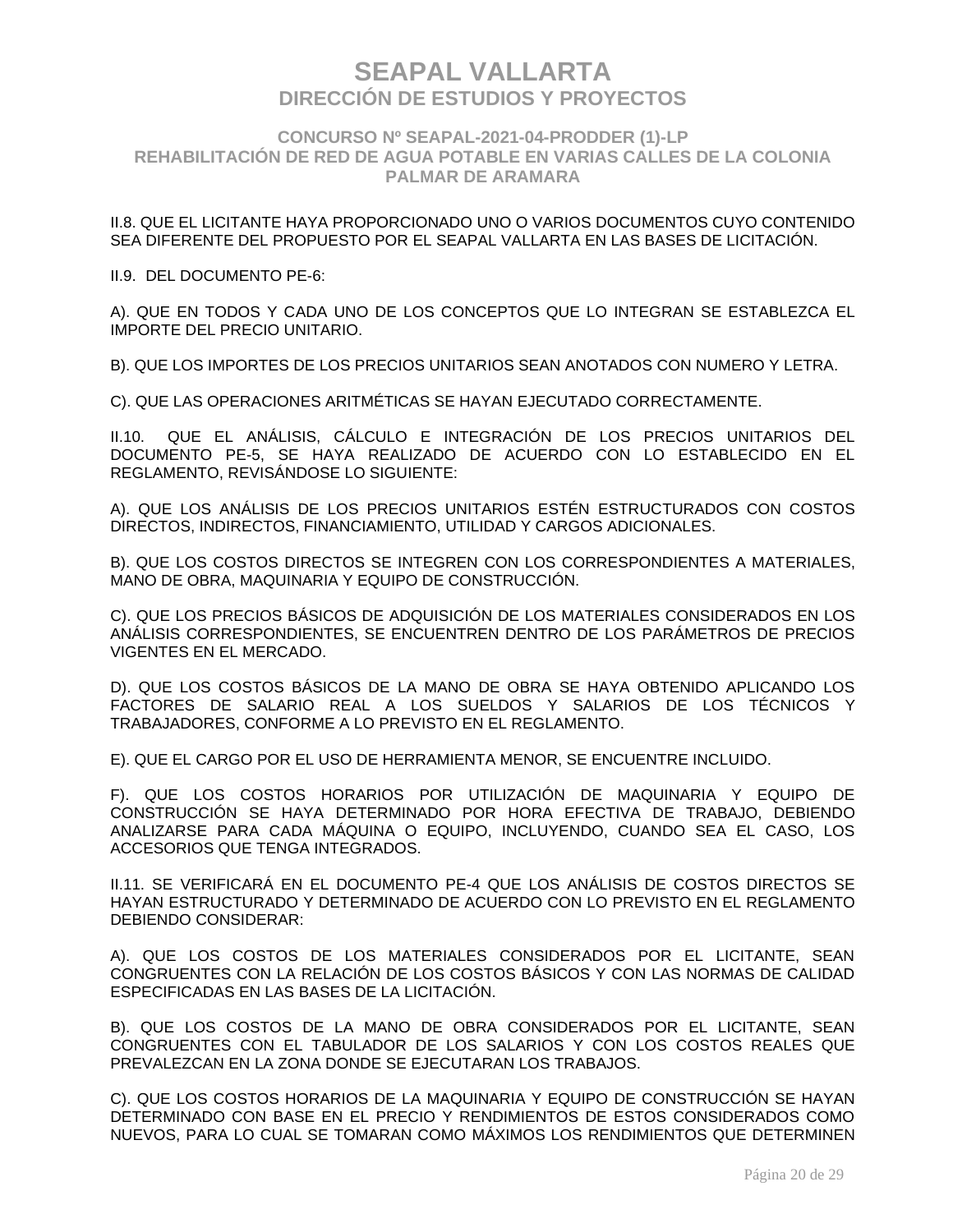### **CONCURSO Nº SEAPAL-2021-04-PRODDER (1)-LP REHABILITACIÓN DE RED DE AGUA POTABLE EN VARIAS CALLES DE LA COLONIA PALMAR DE ARAMARA**

II.8. QUE EL LICITANTE HAYA PROPORCIONADO UNO O VARIOS DOCUMENTOS CUYO CONTENIDO SEA DIFERENTE DEL PROPUESTO POR EL SEAPAL VALLARTA EN LAS BASES DE LICITACIÓN.

#### II.9. DEL DOCUMENTO PE-6:

A). QUE EN TODOS Y CADA UNO DE LOS CONCEPTOS QUE LO INTEGRAN SE ESTABLEZCA EL IMPORTE DEL PRECIO UNITARIO.

B). QUE LOS IMPORTES DE LOS PRECIOS UNITARIOS SEAN ANOTADOS CON NUMERO Y LETRA.

C). QUE LAS OPERACIONES ARITMÉTICAS SE HAYAN EJECUTADO CORRECTAMENTE.

II.10. QUE EL ANÁLISIS, CÁLCULO E INTEGRACIÓN DE LOS PRECIOS UNITARIOS DEL DOCUMENTO PE-5, SE HAYA REALIZADO DE ACUERDO CON LO ESTABLECIDO EN EL REGLAMENTO, REVISÁNDOSE LO SIGUIENTE:

A). QUE LOS ANÁLISIS DE LOS PRECIOS UNITARIOS ESTÉN ESTRUCTURADOS CON COSTOS DIRECTOS, INDIRECTOS, FINANCIAMIENTO, UTILIDAD Y CARGOS ADICIONALES.

B). QUE LOS COSTOS DIRECTOS SE INTEGREN CON LOS CORRESPONDIENTES A MATERIALES, MANO DE OBRA, MAQUINARIA Y EQUIPO DE CONSTRUCCIÓN.

C). QUE LOS PRECIOS BÁSICOS DE ADQUISICIÓN DE LOS MATERIALES CONSIDERADOS EN LOS ANÁLISIS CORRESPONDIENTES, SE ENCUENTREN DENTRO DE LOS PARÁMETROS DE PRECIOS VIGENTES EN EL MERCADO.

D). QUE LOS COSTOS BÁSICOS DE LA MANO DE OBRA SE HAYA OBTENIDO APLICANDO LOS FACTORES DE SALARIO REAL A LOS SUELDOS Y SALARIOS DE LOS TÉCNICOS Y TRABAJADORES, CONFORME A LO PREVISTO EN EL REGLAMENTO.

E). QUE EL CARGO POR EL USO DE HERRAMIENTA MENOR, SE ENCUENTRE INCLUIDO.

F). QUE LOS COSTOS HORARIOS POR UTILIZACIÓN DE MAQUINARIA Y EQUIPO DE CONSTRUCCIÓN SE HAYA DETERMINADO POR HORA EFECTIVA DE TRABAJO, DEBIENDO ANALIZARSE PARA CADA MÁQUINA O EQUIPO, INCLUYENDO, CUANDO SEA EL CASO, LOS ACCESORIOS QUE TENGA INTEGRADOS.

II.11. SE VERIFICARÁ EN EL DOCUMENTO PE-4 QUE LOS ANÁLISIS DE COSTOS DIRECTOS SE HAYAN ESTRUCTURADO Y DETERMINADO DE ACUERDO CON LO PREVISTO EN EL REGLAMENTO DEBIENDO CONSIDERAR:

A). QUE LOS COSTOS DE LOS MATERIALES CONSIDERADOS POR EL LICITANTE, SEAN CONGRUENTES CON LA RELACIÓN DE LOS COSTOS BÁSICOS Y CON LAS NORMAS DE CALIDAD ESPECIFICADAS EN LAS BASES DE LA LICITACIÓN.

B). QUE LOS COSTOS DE LA MANO DE OBRA CONSIDERADOS POR EL LICITANTE, SEAN CONGRUENTES CON EL TABULADOR DE LOS SALARIOS Y CON LOS COSTOS REALES QUE PREVALEZCAN EN LA ZONA DONDE SE EJECUTARAN LOS TRABAJOS.

C). QUE LOS COSTOS HORARIOS DE LA MAQUINARIA Y EQUIPO DE CONSTRUCCIÓN SE HAYAN DETERMINADO CON BASE EN EL PRECIO Y RENDIMIENTOS DE ESTOS CONSIDERADOS COMO NUEVOS, PARA LO CUAL SE TOMARAN COMO MÁXIMOS LOS RENDIMIENTOS QUE DETERMINEN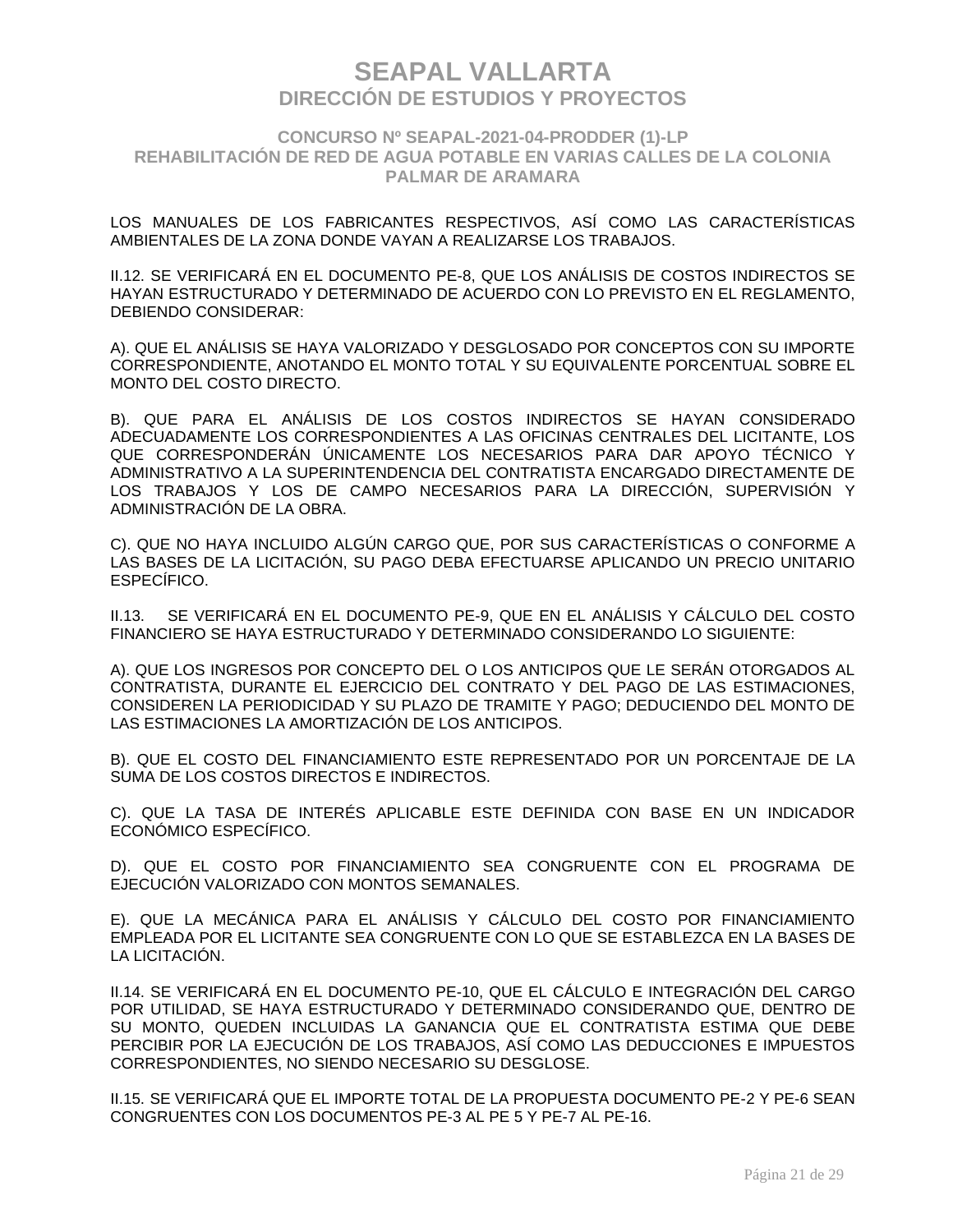### **CONCURSO Nº SEAPAL-2021-04-PRODDER (1)-LP REHABILITACIÓN DE RED DE AGUA POTABLE EN VARIAS CALLES DE LA COLONIA PALMAR DE ARAMARA**

LOS MANUALES DE LOS FABRICANTES RESPECTIVOS, ASÍ COMO LAS CARACTERÍSTICAS AMBIENTALES DE LA ZONA DONDE VAYAN A REALIZARSE LOS TRABAJOS.

II.12. SE VERIFICARÁ EN EL DOCUMENTO PE-8, QUE LOS ANÁLISIS DE COSTOS INDIRECTOS SE HAYAN ESTRUCTURADO Y DETERMINADO DE ACUERDO CON LO PREVISTO EN EL REGLAMENTO, DEBIENDO CONSIDERAR:

A). QUE EL ANÁLISIS SE HAYA VALORIZADO Y DESGLOSADO POR CONCEPTOS CON SU IMPORTE CORRESPONDIENTE, ANOTANDO EL MONTO TOTAL Y SU EQUIVALENTE PORCENTUAL SOBRE EL MONTO DEL COSTO DIRECTO.

B). QUE PARA EL ANÁLISIS DE LOS COSTOS INDIRECTOS SE HAYAN CONSIDERADO ADECUADAMENTE LOS CORRESPONDIENTES A LAS OFICINAS CENTRALES DEL LICITANTE, LOS QUE CORRESPONDERÁN ÚNICAMENTE LOS NECESARIOS PARA DAR APOYO TÉCNICO Y ADMINISTRATIVO A LA SUPERINTENDENCIA DEL CONTRATISTA ENCARGADO DIRECTAMENTE DE LOS TRABAJOS Y LOS DE CAMPO NECESARIOS PARA LA DIRECCIÓN, SUPERVISIÓN Y ADMINISTRACIÓN DE LA OBRA.

C). QUE NO HAYA INCLUIDO ALGÚN CARGO QUE, POR SUS CARACTERÍSTICAS O CONFORME A LAS BASES DE LA LICITACIÓN, SU PAGO DEBA EFECTUARSE APLICANDO UN PRECIO UNITARIO ESPECÍFICO.

II.13. SE VERIFICARÁ EN EL DOCUMENTO PE-9, QUE EN EL ANÁLISIS Y CÁLCULO DEL COSTO FINANCIERO SE HAYA ESTRUCTURADO Y DETERMINADO CONSIDERANDO LO SIGUIENTE:

A). QUE LOS INGRESOS POR CONCEPTO DEL O LOS ANTICIPOS QUE LE SERÁN OTORGADOS AL CONTRATISTA, DURANTE EL EJERCICIO DEL CONTRATO Y DEL PAGO DE LAS ESTIMACIONES, CONSIDEREN LA PERIODICIDAD Y SU PLAZO DE TRAMITE Y PAGO; DEDUCIENDO DEL MONTO DE LAS ESTIMACIONES LA AMORTIZACIÓN DE LOS ANTICIPOS.

B). QUE EL COSTO DEL FINANCIAMIENTO ESTE REPRESENTADO POR UN PORCENTAJE DE LA SUMA DE LOS COSTOS DIRECTOS E INDIRECTOS.

C). QUE LA TASA DE INTERÉS APLICABLE ESTE DEFINIDA CON BASE EN UN INDICADOR ECONÓMICO ESPECÍFICO.

D). QUE EL COSTO POR FINANCIAMIENTO SEA CONGRUENTE CON EL PROGRAMA DE EJECUCIÓN VALORIZADO CON MONTOS SEMANALES.

E). QUE LA MECÁNICA PARA EL ANÁLISIS Y CÁLCULO DEL COSTO POR FINANCIAMIENTO EMPLEADA POR EL LICITANTE SEA CONGRUENTE CON LO QUE SE ESTABLEZCA EN LA BASES DE LA LICITACIÓN.

II.14. SE VERIFICARÁ EN EL DOCUMENTO PE-10, QUE EL CÁLCULO E INTEGRACIÓN DEL CARGO POR UTILIDAD, SE HAYA ESTRUCTURADO Y DETERMINADO CONSIDERANDO QUE, DENTRO DE SU MONTO, QUEDEN INCLUIDAS LA GANANCIA QUE EL CONTRATISTA ESTIMA QUE DEBE PERCIBIR POR LA EJECUCIÓN DE LOS TRABAJOS, ASÍ COMO LAS DEDUCCIONES E IMPUESTOS CORRESPONDIENTES, NO SIENDO NECESARIO SU DESGLOSE.

II.15. SE VERIFICARÁ QUE EL IMPORTE TOTAL DE LA PROPUESTA DOCUMENTO PE-2 Y PE-6 SEAN CONGRUENTES CON LOS DOCUMENTOS PE-3 AL PE 5 Y PE-7 AL PE-16.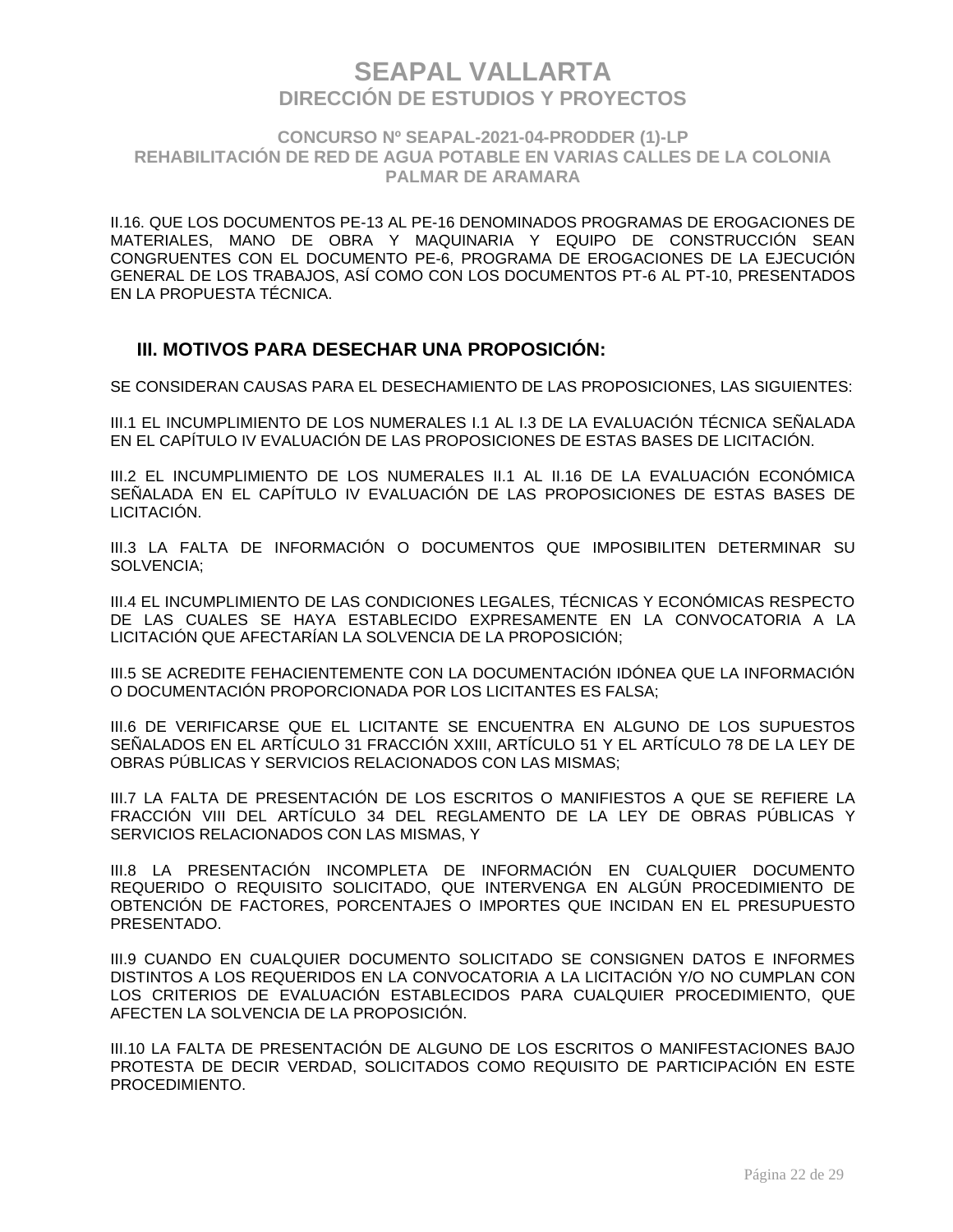### **CONCURSO Nº SEAPAL-2021-04-PRODDER (1)-LP REHABILITACIÓN DE RED DE AGUA POTABLE EN VARIAS CALLES DE LA COLONIA PALMAR DE ARAMARA**

II.16. QUE LOS DOCUMENTOS PE-13 AL PE-16 DENOMINADOS PROGRAMAS DE EROGACIONES DE MATERIALES, MANO DE OBRA Y MAQUINARIA Y EQUIPO DE CONSTRUCCIÓN SEAN CONGRUENTES CON EL DOCUMENTO PE-6, PROGRAMA DE EROGACIONES DE LA EJECUCIÓN GENERAL DE LOS TRABAJOS, ASÍ COMO CON LOS DOCUMENTOS PT-6 AL PT-10, PRESENTADOS EN LA PROPUESTA TÉCNICA.

### **III. MOTIVOS PARA DESECHAR UNA PROPOSICIÓN:**

SE CONSIDERAN CAUSAS PARA EL DESECHAMIENTO DE LAS PROPOSICIONES, LAS SIGUIENTES:

III.1 EL INCUMPLIMIENTO DE LOS NUMERALES I.1 AL I.3 DE LA EVALUACIÓN TÉCNICA SEÑALADA EN EL CAPÍTULO IV EVALUACIÓN DE LAS PROPOSICIONES DE ESTAS BASES DE LICITACIÓN.

III.2 EL INCUMPLIMIENTO DE LOS NUMERALES II.1 AL II.16 DE LA EVALUACIÓN ECONÓMICA SEÑALADA EN EL CAPÍTULO IV EVALUACIÓN DE LAS PROPOSICIONES DE ESTAS BASES DE LICITACIÓN.

III.3 LA FALTA DE INFORMACIÓN O DOCUMENTOS QUE IMPOSIBILITEN DETERMINAR SU SOLVENCIA;

III.4 EL INCUMPLIMIENTO DE LAS CONDICIONES LEGALES, TÉCNICAS Y ECONÓMICAS RESPECTO DE LAS CUALES SE HAYA ESTABLECIDO EXPRESAMENTE EN LA CONVOCATORIA A LA LICITACIÓN QUE AFECTARÍAN LA SOLVENCIA DE LA PROPOSICIÓN;

III.5 SE ACREDITE FEHACIENTEMENTE CON LA DOCUMENTACIÓN IDÓNEA QUE LA INFORMACIÓN O DOCUMENTACIÓN PROPORCIONADA POR LOS LICITANTES ES FALSA;

III.6 DE VERIFICARSE QUE EL LICITANTE SE ENCUENTRA EN ALGUNO DE LOS SUPUESTOS SEÑALADOS EN EL ARTÍCULO 31 FRACCIÓN XXIII, ARTÍCULO 51 Y EL ARTÍCULO 78 DE LA LEY DE OBRAS PÚBLICAS Y SERVICIOS RELACIONADOS CON LAS MISMAS;

III.7 LA FALTA DE PRESENTACIÓN DE LOS ESCRITOS O MANIFIESTOS A QUE SE REFIERE LA FRACCIÓN VIII DEL ARTÍCULO 34 DEL REGLAMENTO DE LA LEY DE OBRAS PÚBLICAS Y SERVICIOS RELACIONADOS CON LAS MISMAS, Y

III.8 LA PRESENTACIÓN INCOMPLETA DE INFORMACIÓN EN CUALQUIER DOCUMENTO REQUERIDO O REQUISITO SOLICITADO, QUE INTERVENGA EN ALGÚN PROCEDIMIENTO DE OBTENCIÓN DE FACTORES, PORCENTAJES O IMPORTES QUE INCIDAN EN EL PRESUPUESTO PRESENTADO.

III.9 CUANDO EN CUALQUIER DOCUMENTO SOLICITADO SE CONSIGNEN DATOS E INFORMES DISTINTOS A LOS REQUERIDOS EN LA CONVOCATORIA A LA LICITACIÓN Y/O NO CUMPLAN CON LOS CRITERIOS DE EVALUACIÓN ESTABLECIDOS PARA CUALQUIER PROCEDIMIENTO, QUE AFECTEN LA SOLVENCIA DE LA PROPOSICIÓN.

III.10 LA FALTA DE PRESENTACIÓN DE ALGUNO DE LOS ESCRITOS O MANIFESTACIONES BAJO PROTESTA DE DECIR VERDAD, SOLICITADOS COMO REQUISITO DE PARTICIPACIÓN EN ESTE PROCEDIMIENTO.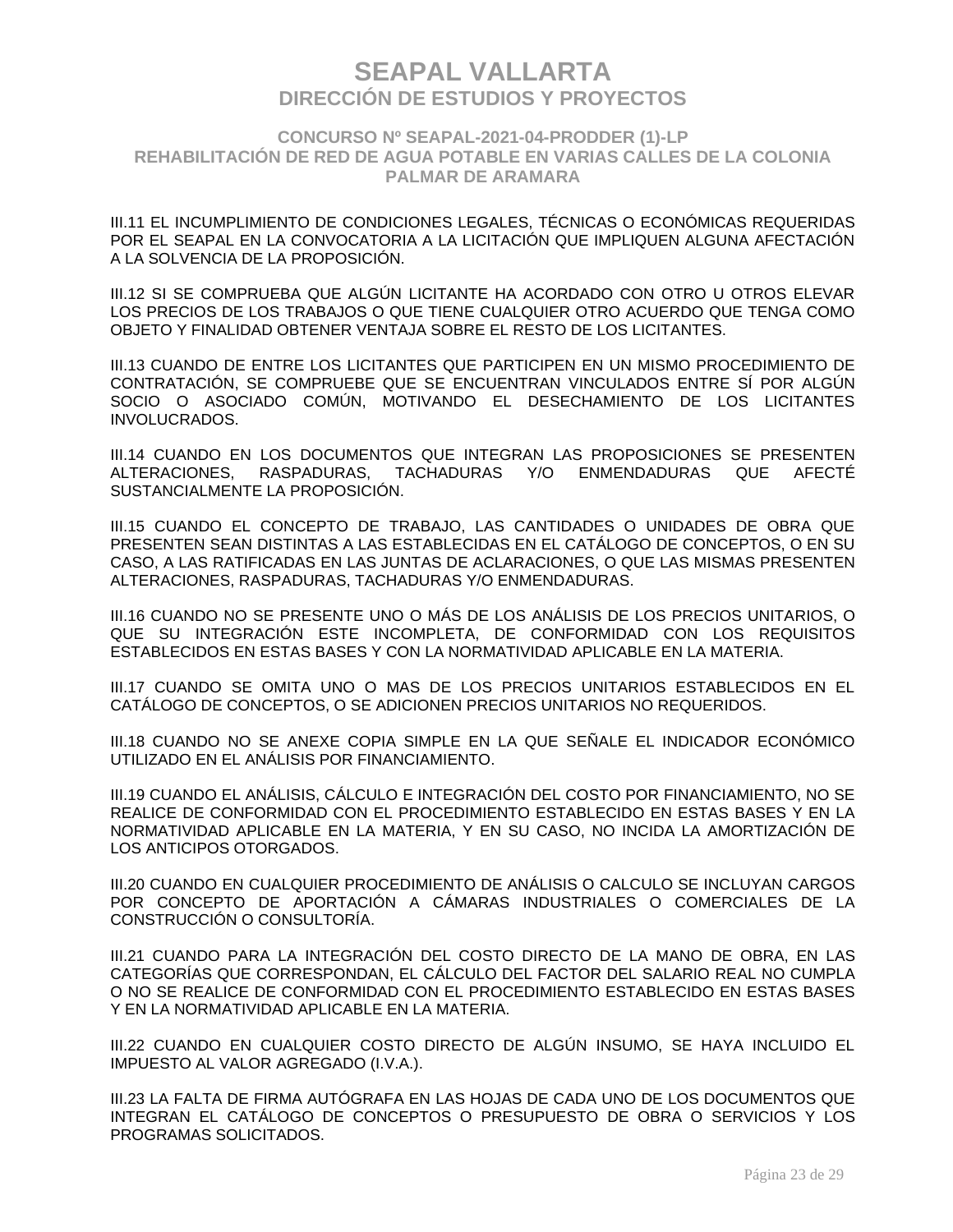### **CONCURSO Nº SEAPAL-2021-04-PRODDER (1)-LP REHABILITACIÓN DE RED DE AGUA POTABLE EN VARIAS CALLES DE LA COLONIA PALMAR DE ARAMARA**

III.11 EL INCUMPLIMIENTO DE CONDICIONES LEGALES, TÉCNICAS O ECONÓMICAS REQUERIDAS POR EL SEAPAL EN LA CONVOCATORIA A LA LICITACIÓN QUE IMPLIQUEN ALGUNA AFECTACIÓN A LA SOLVENCIA DE LA PROPOSICIÓN.

III.12 SI SE COMPRUEBA QUE ALGÚN LICITANTE HA ACORDADO CON OTRO U OTROS ELEVAR LOS PRECIOS DE LOS TRABAJOS O QUE TIENE CUALQUIER OTRO ACUERDO QUE TENGA COMO OBJETO Y FINALIDAD OBTENER VENTAJA SOBRE EL RESTO DE LOS LICITANTES.

III.13 CUANDO DE ENTRE LOS LICITANTES QUE PARTICIPEN EN UN MISMO PROCEDIMIENTO DE CONTRATACIÓN, SE COMPRUEBE QUE SE ENCUENTRAN VINCULADOS ENTRE SÍ POR ALGÚN SOCIO O ASOCIADO COMÚN, MOTIVANDO EL DESECHAMIENTO DE LOS LICITANTES INVOLUCRADOS.

III.14 CUANDO EN LOS DOCUMENTOS QUE INTEGRAN LAS PROPOSICIONES SE PRESENTEN ALTERACIONES, RASPADURAS, TACHADURAS Y/O ENMENDADURAS QUE AFECTÉ SUSTANCIALMENTE LA PROPOSICIÓN.

III.15 CUANDO EL CONCEPTO DE TRABAJO, LAS CANTIDADES O UNIDADES DE OBRA QUE PRESENTEN SEAN DISTINTAS A LAS ESTABLECIDAS EN EL CATÁLOGO DE CONCEPTOS, O EN SU CASO, A LAS RATIFICADAS EN LAS JUNTAS DE ACLARACIONES, O QUE LAS MISMAS PRESENTEN ALTERACIONES, RASPADURAS, TACHADURAS Y/O ENMENDADURAS.

III.16 CUANDO NO SE PRESENTE UNO O MÁS DE LOS ANÁLISIS DE LOS PRECIOS UNITARIOS, O QUE SU INTEGRACIÓN ESTE INCOMPLETA, DE CONFORMIDAD CON LOS REQUISITOS ESTABLECIDOS EN ESTAS BASES Y CON LA NORMATIVIDAD APLICABLE EN LA MATERIA.

III.17 CUANDO SE OMITA UNO O MAS DE LOS PRECIOS UNITARIOS ESTABLECIDOS EN EL CATÁLOGO DE CONCEPTOS, O SE ADICIONEN PRECIOS UNITARIOS NO REQUERIDOS.

III.18 CUANDO NO SE ANEXE COPIA SIMPLE EN LA QUE SEÑALE EL INDICADOR ECONÓMICO UTILIZADO EN EL ANÁLISIS POR FINANCIAMIENTO.

III.19 CUANDO EL ANÁLISIS, CÁLCULO E INTEGRACIÓN DEL COSTO POR FINANCIAMIENTO, NO SE REALICE DE CONFORMIDAD CON EL PROCEDIMIENTO ESTABLECIDO EN ESTAS BASES Y EN LA NORMATIVIDAD APLICABLE EN LA MATERIA, Y EN SU CASO, NO INCIDA LA AMORTIZACIÓN DE LOS ANTICIPOS OTORGADOS.

III.20 CUANDO EN CUALQUIER PROCEDIMIENTO DE ANÁLISIS O CALCULO SE INCLUYAN CARGOS POR CONCEPTO DE APORTACIÓN A CÁMARAS INDUSTRIALES O COMERCIALES DE LA CONSTRUCCIÓN O CONSULTORÍA.

III.21 CUANDO PARA LA INTEGRACIÓN DEL COSTO DIRECTO DE LA MANO DE OBRA, EN LAS CATEGORÍAS QUE CORRESPONDAN, EL CÁLCULO DEL FACTOR DEL SALARIO REAL NO CUMPLA O NO SE REALICE DE CONFORMIDAD CON EL PROCEDIMIENTO ESTABLECIDO EN ESTAS BASES Y EN LA NORMATIVIDAD APLICABLE EN LA MATERIA.

III.22 CUANDO EN CUALQUIER COSTO DIRECTO DE ALGÚN INSUMO, SE HAYA INCLUIDO EL IMPUESTO AL VALOR AGREGADO (I.V.A.).

III.23 LA FALTA DE FIRMA AUTÓGRAFA EN LAS HOJAS DE CADA UNO DE LOS DOCUMENTOS QUE INTEGRAN EL CATÁLOGO DE CONCEPTOS O PRESUPUESTO DE OBRA O SERVICIOS Y LOS PROGRAMAS SOLICITADOS.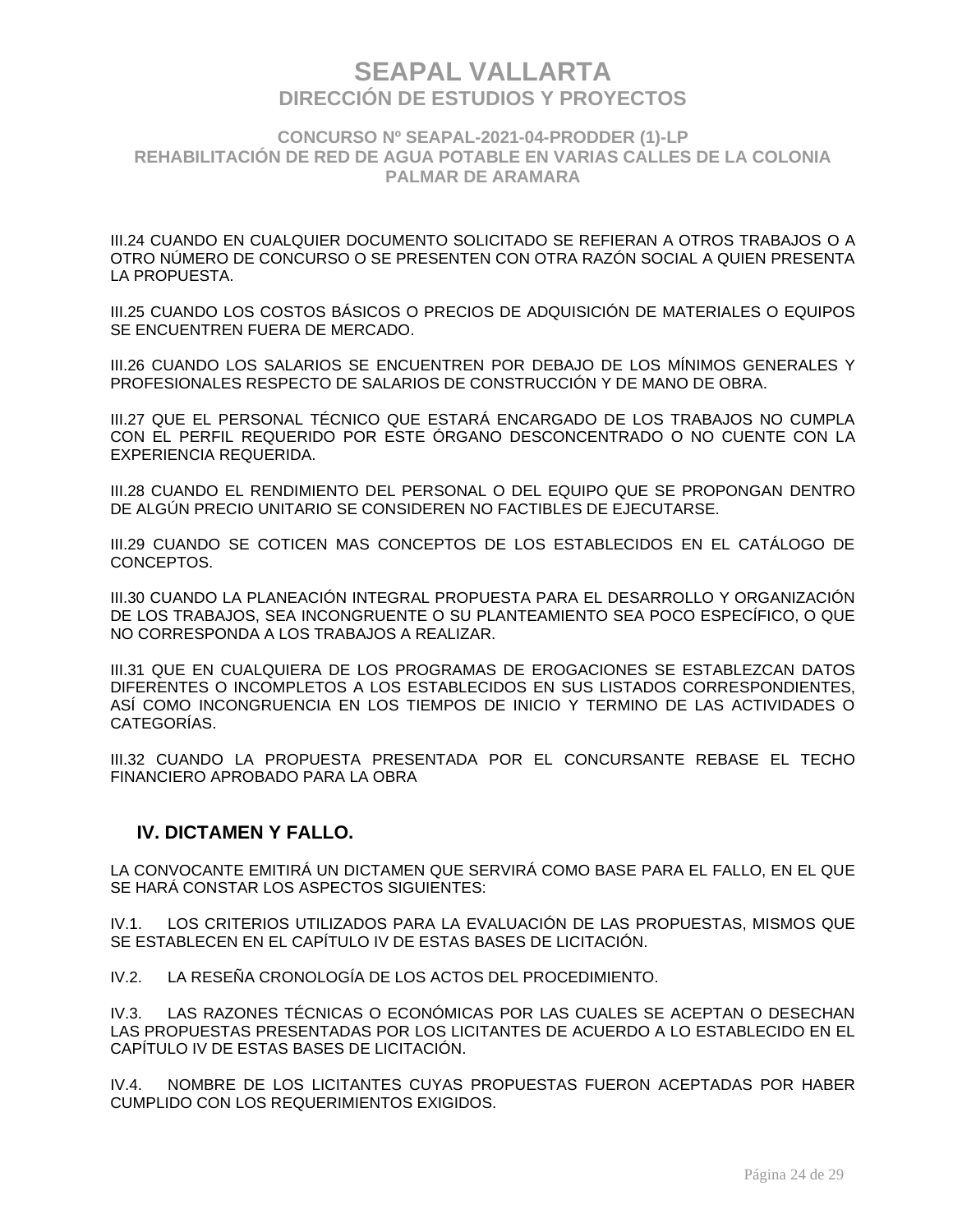### **CONCURSO Nº SEAPAL-2021-04-PRODDER (1)-LP REHABILITACIÓN DE RED DE AGUA POTABLE EN VARIAS CALLES DE LA COLONIA PALMAR DE ARAMARA**

III.24 CUANDO EN CUALQUIER DOCUMENTO SOLICITADO SE REFIERAN A OTROS TRABAJOS O A OTRO NÚMERO DE CONCURSO O SE PRESENTEN CON OTRA RAZÓN SOCIAL A QUIEN PRESENTA LA PROPUESTA.

III.25 CUANDO LOS COSTOS BÁSICOS O PRECIOS DE ADQUISICIÓN DE MATERIALES O EQUIPOS SE ENCUENTREN FUERA DE MERCADO.

III.26 CUANDO LOS SALARIOS SE ENCUENTREN POR DEBAJO DE LOS MÍNIMOS GENERALES Y PROFESIONALES RESPECTO DE SALARIOS DE CONSTRUCCIÓN Y DE MANO DE OBRA.

III.27 QUE EL PERSONAL TÉCNICO QUE ESTARÁ ENCARGADO DE LOS TRABAJOS NO CUMPLA CON EL PERFIL REQUERIDO POR ESTE ÓRGANO DESCONCENTRADO O NO CUENTE CON LA EXPERIENCIA REQUERIDA.

III.28 CUANDO EL RENDIMIENTO DEL PERSONAL O DEL EQUIPO QUE SE PROPONGAN DENTRO DE ALGÚN PRECIO UNITARIO SE CONSIDEREN NO FACTIBLES DE EJECUTARSE.

III.29 CUANDO SE COTICEN MAS CONCEPTOS DE LOS ESTABLECIDOS EN EL CATÁLOGO DE CONCEPTOS.

III.30 CUANDO LA PLANEACIÓN INTEGRAL PROPUESTA PARA EL DESARROLLO Y ORGANIZACIÓN DE LOS TRABAJOS, SEA INCONGRUENTE O SU PLANTEAMIENTO SEA POCO ESPECÍFICO, O QUE NO CORRESPONDA A LOS TRABAJOS A REALIZAR.

III.31 QUE EN CUALQUIERA DE LOS PROGRAMAS DE EROGACIONES SE ESTABLEZCAN DATOS DIFERENTES O INCOMPLETOS A LOS ESTABLECIDOS EN SUS LISTADOS CORRESPONDIENTES, ASÍ COMO INCONGRUENCIA EN LOS TIEMPOS DE INICIO Y TERMINO DE LAS ACTIVIDADES O CATEGORÍAS.

III.32 CUANDO LA PROPUESTA PRESENTADA POR EL CONCURSANTE REBASE EL TECHO FINANCIERO APROBADO PARA LA OBRA

### **IV. DICTAMEN Y FALLO.**

LA CONVOCANTE EMITIRÁ UN DICTAMEN QUE SERVIRÁ COMO BASE PARA EL FALLO, EN EL QUE SE HARÁ CONSTAR LOS ASPECTOS SIGUIENTES:

IV.1. LOS CRITERIOS UTILIZADOS PARA LA EVALUACIÓN DE LAS PROPUESTAS, MISMOS QUE SE ESTABLECEN EN EL CAPÍTULO IV DE ESTAS BASES DE LICITACIÓN.

IV.2. LA RESEÑA CRONOLOGÍA DE LOS ACTOS DEL PROCEDIMIENTO.

IV.3. LAS RAZONES TÉCNICAS O ECONÓMICAS POR LAS CUALES SE ACEPTAN O DESECHAN LAS PROPUESTAS PRESENTADAS POR LOS LICITANTES DE ACUERDO A LO ESTABLECIDO EN EL CAPÍTULO IV DE ESTAS BASES DE LICITACIÓN.

IV.4. NOMBRE DE LOS LICITANTES CUYAS PROPUESTAS FUERON ACEPTADAS POR HABER CUMPLIDO CON LOS REQUERIMIENTOS EXIGIDOS.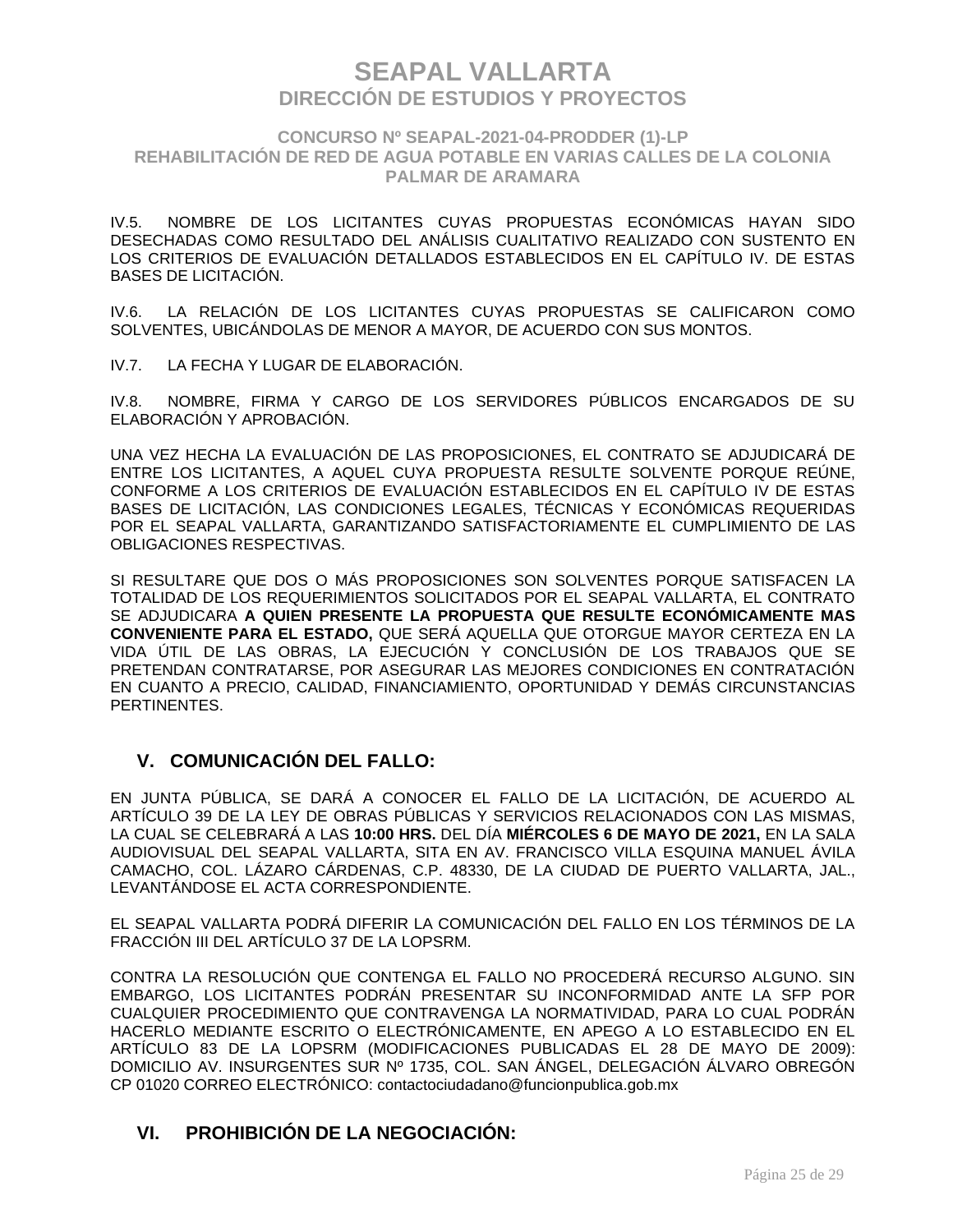### **CONCURSO Nº SEAPAL-2021-04-PRODDER (1)-LP REHABILITACIÓN DE RED DE AGUA POTABLE EN VARIAS CALLES DE LA COLONIA PALMAR DE ARAMARA**

IV.5. NOMBRE DE LOS LICITANTES CUYAS PROPUESTAS ECONÓMICAS HAYAN SIDO DESECHADAS COMO RESULTADO DEL ANÁLISIS CUALITATIVO REALIZADO CON SUSTENTO EN LOS CRITERIOS DE EVALUACIÓN DETALLADOS ESTABLECIDOS EN EL CAPÍTULO IV. DE ESTAS BASES DE LICITACIÓN.

IV.6. LA RELACIÓN DE LOS LICITANTES CUYAS PROPUESTAS SE CALIFICARON COMO SOLVENTES, UBICÁNDOLAS DE MENOR A MAYOR, DE ACUERDO CON SUS MONTOS.

IV.7. LA FECHA Y LUGAR DE ELABORACIÓN.

IV.8. NOMBRE, FIRMA Y CARGO DE LOS SERVIDORES PÚBLICOS ENCARGADOS DE SU ELABORACIÓN Y APROBACIÓN.

UNA VEZ HECHA LA EVALUACIÓN DE LAS PROPOSICIONES, EL CONTRATO SE ADJUDICARÁ DE ENTRE LOS LICITANTES, A AQUEL CUYA PROPUESTA RESULTE SOLVENTE PORQUE REÚNE, CONFORME A LOS CRITERIOS DE EVALUACIÓN ESTABLECIDOS EN EL CAPÍTULO IV DE ESTAS BASES DE LICITACIÓN, LAS CONDICIONES LEGALES, TÉCNICAS Y ECONÓMICAS REQUERIDAS POR EL SEAPAL VALLARTA, GARANTIZANDO SATISFACTORIAMENTE EL CUMPLIMIENTO DE LAS OBLIGACIONES RESPECTIVAS.

SI RESULTARE QUE DOS O MÁS PROPOSICIONES SON SOLVENTES PORQUE SATISFACEN LA TOTALIDAD DE LOS REQUERIMIENTOS SOLICITADOS POR EL SEAPAL VALLARTA, EL CONTRATO SE ADJUDICARA **A QUIEN PRESENTE LA PROPUESTA QUE RESULTE ECONÓMICAMENTE MAS CONVENIENTE PARA EL ESTADO,** QUE SERÁ AQUELLA QUE OTORGUE MAYOR CERTEZA EN LA VIDA ÚTIL DE LAS OBRAS, LA EJECUCIÓN Y CONCLUSIÓN DE LOS TRABAJOS QUE SE PRETENDAN CONTRATARSE, POR ASEGURAR LAS MEJORES CONDICIONES EN CONTRATACIÓN EN CUANTO A PRECIO, CALIDAD, FINANCIAMIENTO, OPORTUNIDAD Y DEMÁS CIRCUNSTANCIAS PERTINENTES.

### **V. COMUNICACIÓN DEL FALLO:**

EN JUNTA PÚBLICA, SE DARÁ A CONOCER EL FALLO DE LA LICITACIÓN, DE ACUERDO AL ARTÍCULO 39 DE LA LEY DE OBRAS PÚBLICAS Y SERVICIOS RELACIONADOS CON LAS MISMAS, LA CUAL SE CELEBRARÁ A LAS **10:00 HRS.** DEL DÍA **MIÉRCOLES 6 DE MAYO DE 2021,** EN LA SALA AUDIOVISUAL DEL SEAPAL VALLARTA, SITA EN AV. FRANCISCO VILLA ESQUINA MANUEL ÁVILA CAMACHO, COL. LÁZARO CÁRDENAS, C.P. 48330, DE LA CIUDAD DE PUERTO VALLARTA, JAL., LEVANTÁNDOSE EL ACTA CORRESPONDIENTE.

EL SEAPAL VALLARTA PODRÁ DIFERIR LA COMUNICACIÓN DEL FALLO EN LOS TÉRMINOS DE LA FRACCIÓN III DEL ARTÍCULO 37 DE LA LOPSRM.

CONTRA LA RESOLUCIÓN QUE CONTENGA EL FALLO NO PROCEDERÁ RECURSO ALGUNO. SIN EMBARGO, LOS LICITANTES PODRÁN PRESENTAR SU INCONFORMIDAD ANTE LA SFP POR CUALQUIER PROCEDIMIENTO QUE CONTRAVENGA LA NORMATIVIDAD, PARA LO CUAL PODRÁN HACERLO MEDIANTE ESCRITO O ELECTRÓNICAMENTE, EN APEGO A LO ESTABLECIDO EN EL ARTÍCULO 83 DE LA LOPSRM (MODIFICACIONES PUBLICADAS EL 28 DE MAYO DE 2009): DOMICILIO AV. INSURGENTES SUR Nº 1735, COL. SAN ÁNGEL, DELEGACIÓN ÁLVARO OBREGÓN CP 01020 CORREO ELECTRÓNICO: contactociudadano@funcionpublica.gob.mx

### **VI. PROHIBICIÓN DE LA NEGOCIACIÓN:**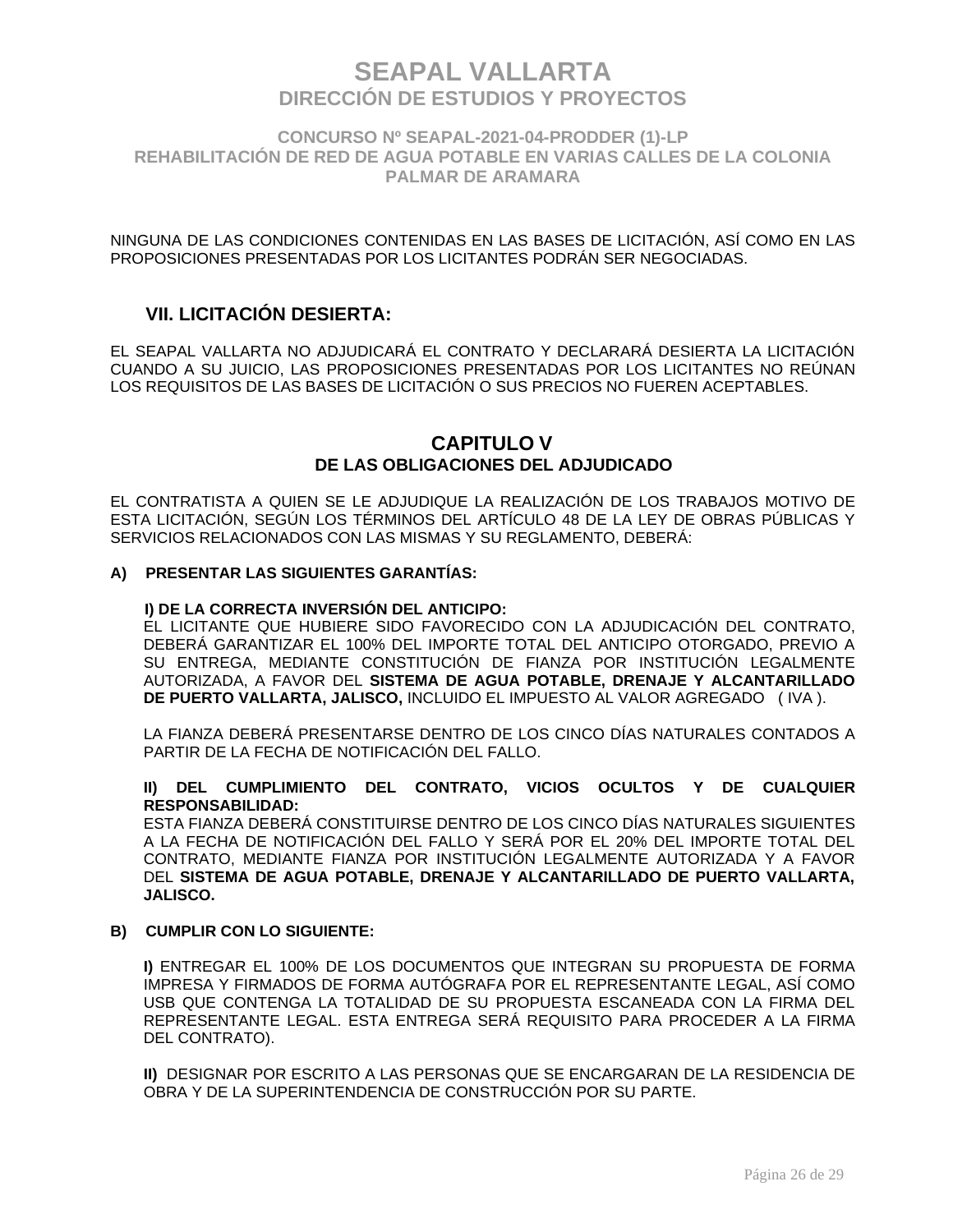**CONCURSO Nº SEAPAL-2021-04-PRODDER (1)-LP REHABILITACIÓN DE RED DE AGUA POTABLE EN VARIAS CALLES DE LA COLONIA PALMAR DE ARAMARA**

NINGUNA DE LAS CONDICIONES CONTENIDAS EN LAS BASES DE LICITACIÓN, ASÍ COMO EN LAS PROPOSICIONES PRESENTADAS POR LOS LICITANTES PODRÁN SER NEGOCIADAS.

### **VII. LICITACIÓN DESIERTA:**

EL SEAPAL VALLARTA NO ADJUDICARÁ EL CONTRATO Y DECLARARÁ DESIERTA LA LICITACIÓN CUANDO A SU JUICIO, LAS PROPOSICIONES PRESENTADAS POR LOS LICITANTES NO REÚNAN LOS REQUISITOS DE LAS BASES DE LICITACIÓN O SUS PRECIOS NO FUEREN ACEPTABLES.

### **CAPITULO V DE LAS OBLIGACIONES DEL ADJUDICADO**

EL CONTRATISTA A QUIEN SE LE ADJUDIQUE LA REALIZACIÓN DE LOS TRABAJOS MOTIVO DE ESTA LICITACIÓN, SEGÚN LOS TÉRMINOS DEL ARTÍCULO 48 DE LA LEY DE OBRAS PÚBLICAS Y SERVICIOS RELACIONADOS CON LAS MISMAS Y SU REGLAMENTO, DEBERÁ:

### **A) PRESENTAR LAS SIGUIENTES GARANTÍAS:**

#### **I) DE LA CORRECTA INVERSIÓN DEL ANTICIPO:**

EL LICITANTE QUE HUBIERE SIDO FAVORECIDO CON LA ADJUDICACIÓN DEL CONTRATO, DEBERÁ GARANTIZAR EL 100% DEL IMPORTE TOTAL DEL ANTICIPO OTORGADO, PREVIO A SU ENTREGA, MEDIANTE CONSTITUCIÓN DE FIANZA POR INSTITUCIÓN LEGALMENTE AUTORIZADA, A FAVOR DEL **SISTEMA DE AGUA POTABLE, DRENAJE Y ALCANTARILLADO DE PUERTO VALLARTA, JALISCO,** INCLUIDO EL IMPUESTO AL VALOR AGREGADO ( IVA ).

LA FIANZA DEBERÁ PRESENTARSE DENTRO DE LOS CINCO DÍAS NATURALES CONTADOS A PARTIR DE LA FECHA DE NOTIFICACIÓN DEL FALLO.

#### **II) DEL CUMPLIMIENTO DEL CONTRATO, VICIOS OCULTOS Y DE CUALQUIER RESPONSABILIDAD:**

ESTA FIANZA DEBERÁ CONSTITUIRSE DENTRO DE LOS CINCO DÍAS NATURALES SIGUIENTES A LA FECHA DE NOTIFICACIÓN DEL FALLO Y SERÁ POR EL 20% DEL IMPORTE TOTAL DEL CONTRATO, MEDIANTE FIANZA POR INSTITUCIÓN LEGALMENTE AUTORIZADA Y A FAVOR DEL **SISTEMA DE AGUA POTABLE, DRENAJE Y ALCANTARILLADO DE PUERTO VALLARTA, JALISCO.**

#### **B) CUMPLIR CON LO SIGUIENTE:**

**I)** ENTREGAR EL 100% DE LOS DOCUMENTOS QUE INTEGRAN SU PROPUESTA DE FORMA IMPRESA Y FIRMADOS DE FORMA AUTÓGRAFA POR EL REPRESENTANTE LEGAL, ASÍ COMO USB QUE CONTENGA LA TOTALIDAD DE SU PROPUESTA ESCANEADA CON LA FIRMA DEL REPRESENTANTE LEGAL. ESTA ENTREGA SERÁ REQUISITO PARA PROCEDER A LA FIRMA DEL CONTRATO).

**II)** DESIGNAR POR ESCRITO A LAS PERSONAS QUE SE ENCARGARAN DE LA RESIDENCIA DE OBRA Y DE LA SUPERINTENDENCIA DE CONSTRUCCIÓN POR SU PARTE.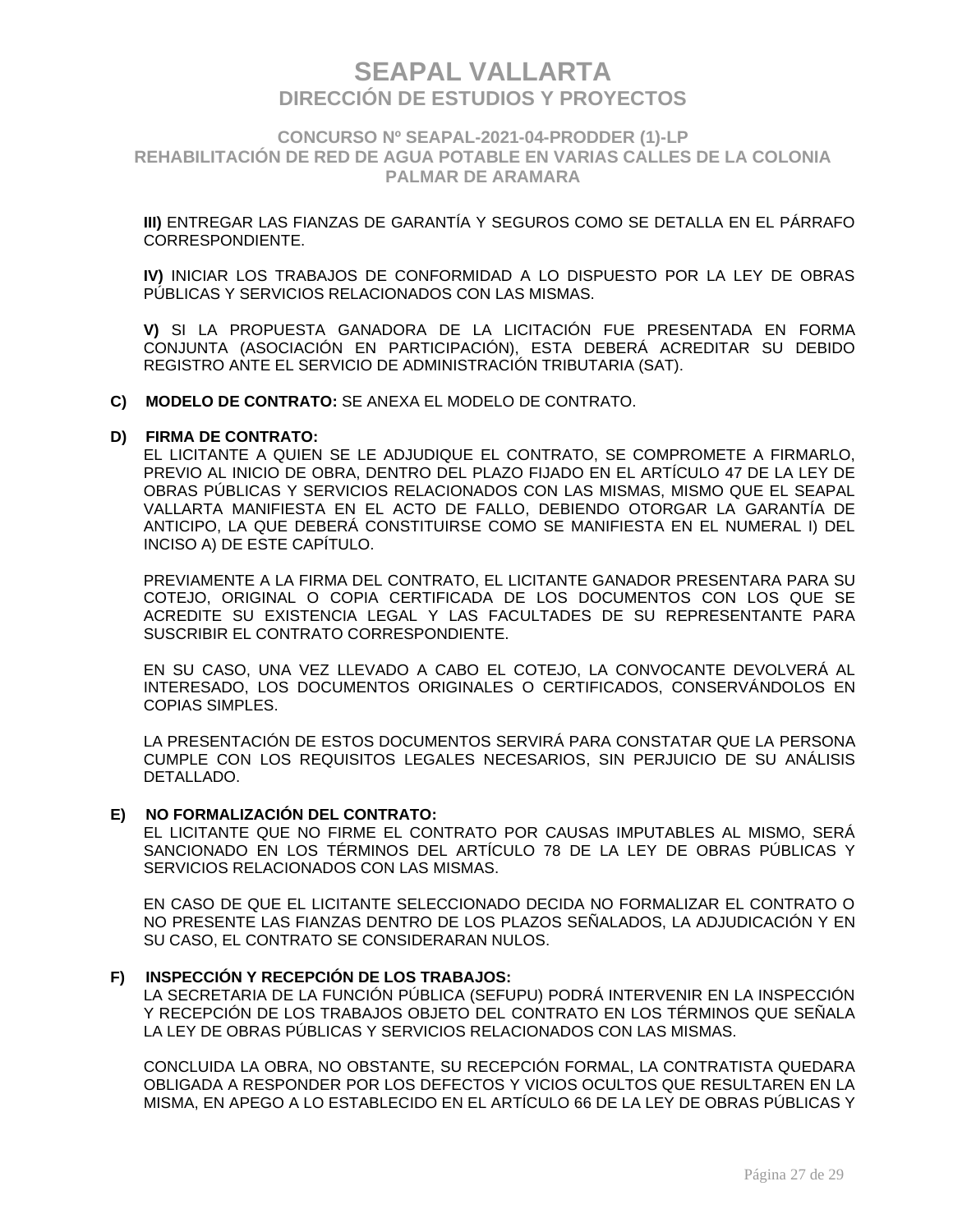### **CONCURSO Nº SEAPAL-2021-04-PRODDER (1)-LP REHABILITACIÓN DE RED DE AGUA POTABLE EN VARIAS CALLES DE LA COLONIA PALMAR DE ARAMARA**

**III)** ENTREGAR LAS FIANZAS DE GARANTÍA Y SEGUROS COMO SE DETALLA EN EL PÁRRAFO CORRESPONDIENTE.

**IV)** INICIAR LOS TRABAJOS DE CONFORMIDAD A LO DISPUESTO POR LA LEY DE OBRAS PÚBLICAS Y SERVICIOS RELACIONADOS CON LAS MISMAS.

**V)** SI LA PROPUESTA GANADORA DE LA LICITACIÓN FUE PRESENTADA EN FORMA CONJUNTA (ASOCIACIÓN EN PARTICIPACIÓN), ESTA DEBERÁ ACREDITAR SU DEBIDO REGISTRO ANTE EL SERVICIO DE ADMINISTRACIÓN TRIBUTARIA (SAT).

**C) MODELO DE CONTRATO:** SE ANEXA EL MODELO DE CONTRATO.

#### **D) FIRMA DE CONTRATO:**

EL LICITANTE A QUIEN SE LE ADJUDIQUE EL CONTRATO, SE COMPROMETE A FIRMARLO, PREVIO AL INICIO DE OBRA, DENTRO DEL PLAZO FIJADO EN EL ARTÍCULO 47 DE LA LEY DE OBRAS PÚBLICAS Y SERVICIOS RELACIONADOS CON LAS MISMAS, MISMO QUE EL SEAPAL VALLARTA MANIFIESTA EN EL ACTO DE FALLO, DEBIENDO OTORGAR LA GARANTÍA DE ANTICIPO, LA QUE DEBERÁ CONSTITUIRSE COMO SE MANIFIESTA EN EL NUMERAL I) DEL INCISO A) DE ESTE CAPÍTULO.

PREVIAMENTE A LA FIRMA DEL CONTRATO, EL LICITANTE GANADOR PRESENTARA PARA SU COTEJO, ORIGINAL O COPIA CERTIFICADA DE LOS DOCUMENTOS CON LOS QUE SE ACREDITE SU EXISTENCIA LEGAL Y LAS FACULTADES DE SU REPRESENTANTE PARA SUSCRIBIR EL CONTRATO CORRESPONDIENTE.

EN SU CASO, UNA VEZ LLEVADO A CABO EL COTEJO, LA CONVOCANTE DEVOLVERÁ AL INTERESADO, LOS DOCUMENTOS ORIGINALES O CERTIFICADOS, CONSERVÁNDOLOS EN COPIAS SIMPLES.

LA PRESENTACIÓN DE ESTOS DOCUMENTOS SERVIRÁ PARA CONSTATAR QUE LA PERSONA CUMPLE CON LOS REQUISITOS LEGALES NECESARIOS, SIN PERJUICIO DE SU ANÁLISIS DETALLADO.

#### **E) NO FORMALIZACIÓN DEL CONTRATO:**

EL LICITANTE QUE NO FIRME EL CONTRATO POR CAUSAS IMPUTABLES AL MISMO, SERÁ SANCIONADO EN LOS TÉRMINOS DEL ARTÍCULO 78 DE LA LEY DE OBRAS PÚBLICAS Y SERVICIOS RELACIONADOS CON LAS MISMAS.

EN CASO DE QUE EL LICITANTE SELECCIONADO DECIDA NO FORMALIZAR EL CONTRATO O NO PRESENTE LAS FIANZAS DENTRO DE LOS PLAZOS SEÑALADOS, LA ADJUDICACIÓN Y EN SU CASO, EL CONTRATO SE CONSIDERARAN NULOS.

#### **F) INSPECCIÓN Y RECEPCIÓN DE LOS TRABAJOS:**

LA SECRETARIA DE LA FUNCIÓN PÚBLICA (SEFUPU) PODRÁ INTERVENIR EN LA INSPECCIÓN Y RECEPCIÓN DE LOS TRABAJOS OBJETO DEL CONTRATO EN LOS TÉRMINOS QUE SEÑALA LA LEY DE OBRAS PÚBLICAS Y SERVICIOS RELACIONADOS CON LAS MISMAS.

CONCLUIDA LA OBRA, NO OBSTANTE, SU RECEPCIÓN FORMAL, LA CONTRATISTA QUEDARA OBLIGADA A RESPONDER POR LOS DEFECTOS Y VICIOS OCULTOS QUE RESULTAREN EN LA MISMA, EN APEGO A LO ESTABLECIDO EN EL ARTÍCULO 66 DE LA LEY DE OBRAS PÚBLICAS Y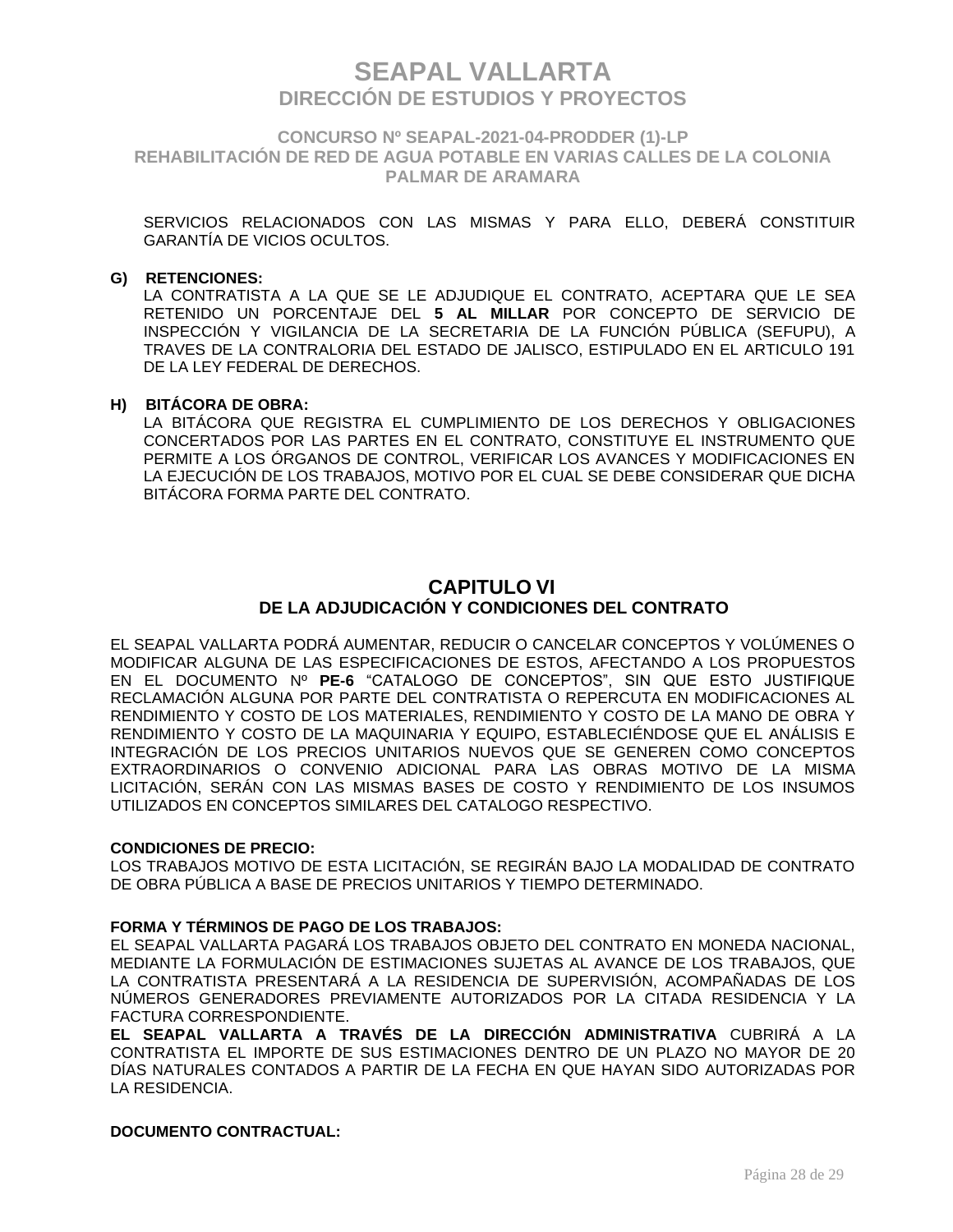**CONCURSO Nº SEAPAL-2021-04-PRODDER (1)-LP REHABILITACIÓN DE RED DE AGUA POTABLE EN VARIAS CALLES DE LA COLONIA PALMAR DE ARAMARA**

SERVICIOS RELACIONADOS CON LAS MISMAS Y PARA ELLO, DEBERÁ CONSTITUIR GARANTÍA DE VICIOS OCULTOS.

#### **G) RETENCIONES:**

LA CONTRATISTA A LA QUE SE LE ADJUDIQUE EL CONTRATO, ACEPTARA QUE LE SEA RETENIDO UN PORCENTAJE DEL **5 AL MILLAR** POR CONCEPTO DE SERVICIO DE INSPECCIÓN Y VIGILANCIA DE LA SECRETARIA DE LA FUNCIÓN PÚBLICA (SEFUPU), A TRAVES DE LA CONTRALORIA DEL ESTADO DE JALISCO, ESTIPULADO EN EL ARTICULO 191 DE LA LEY FEDERAL DE DERECHOS.

#### **H) BITÁCORA DE OBRA:**

LA BITÁCORA QUE REGISTRA EL CUMPLIMIENTO DE LOS DERECHOS Y OBLIGACIONES CONCERTADOS POR LAS PARTES EN EL CONTRATO, CONSTITUYE EL INSTRUMENTO QUE PERMITE A LOS ÓRGANOS DE CONTROL, VERIFICAR LOS AVANCES Y MODIFICACIONES EN LA EJECUCIÓN DE LOS TRABAJOS, MOTIVO POR EL CUAL SE DEBE CONSIDERAR QUE DICHA BITÁCORA FORMA PARTE DEL CONTRATO.

### **CAPITULO VI DE LA ADJUDICACIÓN Y CONDICIONES DEL CONTRATO**

EL SEAPAL VALLARTA PODRÁ AUMENTAR, REDUCIR O CANCELAR CONCEPTOS Y VOLÚMENES O MODIFICAR ALGUNA DE LAS ESPECIFICACIONES DE ESTOS, AFECTANDO A LOS PROPUESTOS EN EL DOCUMENTO Nº **PE-6** "CATALOGO DE CONCEPTOS", SIN QUE ESTO JUSTIFIQUE RECLAMACIÓN ALGUNA POR PARTE DEL CONTRATISTA O REPERCUTA EN MODIFICACIONES AL RENDIMIENTO Y COSTO DE LOS MATERIALES, RENDIMIENTO Y COSTO DE LA MANO DE OBRA Y RENDIMIENTO Y COSTO DE LA MAQUINARIA Y EQUIPO, ESTABLECIÉNDOSE QUE EL ANÁLISIS E INTEGRACIÓN DE LOS PRECIOS UNITARIOS NUEVOS QUE SE GENEREN COMO CONCEPTOS EXTRAORDINARIOS O CONVENIO ADICIONAL PARA LAS OBRAS MOTIVO DE LA MISMA LICITACIÓN, SERÁN CON LAS MISMAS BASES DE COSTO Y RENDIMIENTO DE LOS INSUMOS UTILIZADOS EN CONCEPTOS SIMILARES DEL CATALOGO RESPECTIVO.

#### **CONDICIONES DE PRECIO:**

LOS TRABAJOS MOTIVO DE ESTA LICITACIÓN, SE REGIRÁN BAJO LA MODALIDAD DE CONTRATO DE OBRA PÚBLICA A BASE DE PRECIOS UNITARIOS Y TIEMPO DETERMINADO.

#### **FORMA Y TÉRMINOS DE PAGO DE LOS TRABAJOS:**

EL SEAPAL VALLARTA PAGARÁ LOS TRABAJOS OBJETO DEL CONTRATO EN MONEDA NACIONAL, MEDIANTE LA FORMULACIÓN DE ESTIMACIONES SUJETAS AL AVANCE DE LOS TRABAJOS, QUE LA CONTRATISTA PRESENTARÁ A LA RESIDENCIA DE SUPERVISIÓN, ACOMPAÑADAS DE LOS NÚMEROS GENERADORES PREVIAMENTE AUTORIZADOS POR LA CITADA RESIDENCIA Y LA FACTURA CORRESPONDIENTE.

**EL SEAPAL VALLARTA A TRAVÉS DE LA DIRECCIÓN ADMINISTRATIVA** CUBRIRÁ A LA CONTRATISTA EL IMPORTE DE SUS ESTIMACIONES DENTRO DE UN PLAZO NO MAYOR DE 20 DÍAS NATURALES CONTADOS A PARTIR DE LA FECHA EN QUE HAYAN SIDO AUTORIZADAS POR LA RESIDENCIA.

#### **DOCUMENTO CONTRACTUAL:**